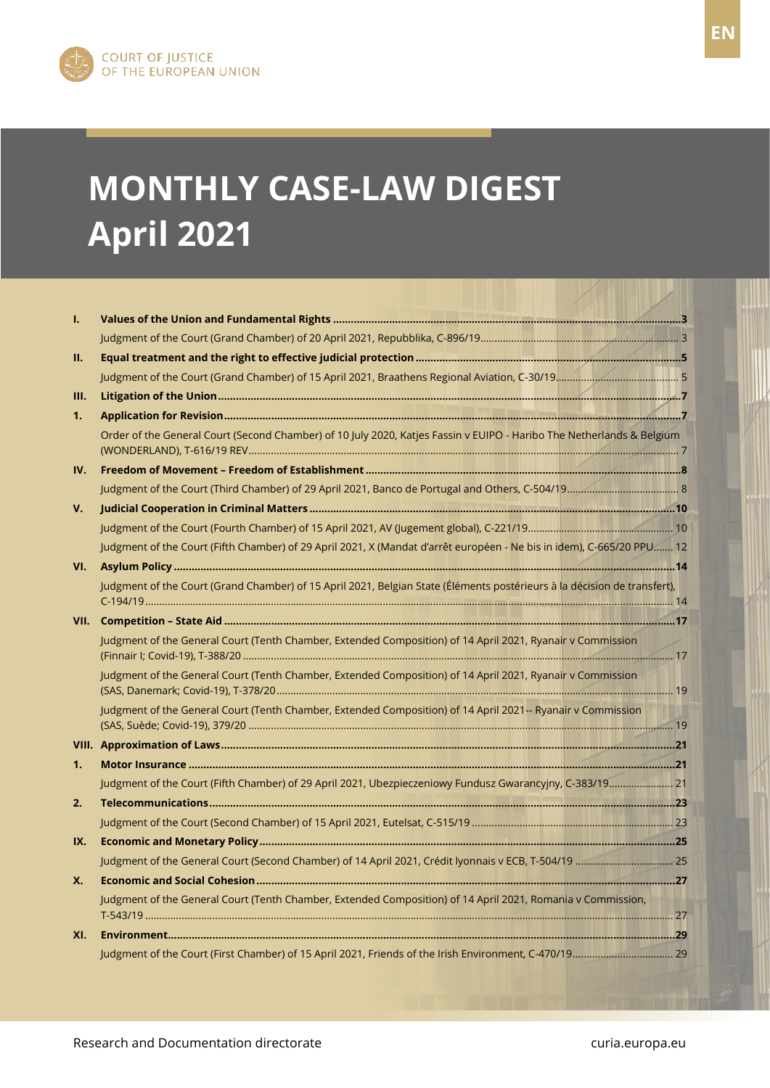

FR

# **MONTHLY CASE-LAW DIGEST April 2021**

| ı.        |                                                                                                                          |  |
|-----------|--------------------------------------------------------------------------------------------------------------------------|--|
|           |                                                                                                                          |  |
| П.        |                                                                                                                          |  |
|           |                                                                                                                          |  |
| Ш.        |                                                                                                                          |  |
| 1.        |                                                                                                                          |  |
|           | Order of the General Court (Second Chamber) of 10 July 2020, Katjes Fassin v EUIPO - Haribo The Netherlands & Belgium    |  |
| IV.       |                                                                                                                          |  |
|           |                                                                                                                          |  |
| V.        |                                                                                                                          |  |
|           |                                                                                                                          |  |
|           | Judgment of the Court (Fifth Chamber) of 29 April 2021, X (Mandat d'arrêt européen - Ne bis in idem), C-665/20 PPU 12    |  |
| VI.       |                                                                                                                          |  |
|           | Judgment of the Court (Grand Chamber) of 15 April 2021, Belgian State (Éléments postérieurs à la décision de transfert), |  |
|           |                                                                                                                          |  |
|           | Judgment of the General Court (Tenth Chamber, Extended Composition) of 14 April 2021, Ryanair v Commission               |  |
|           | Judgment of the General Court (Tenth Chamber, Extended Composition) of 14 April 2021, Ryanair v Commission               |  |
|           | Judgment of the General Court (Tenth Chamber, Extended Composition) of 14 April 2021 -- Ryanair v Commission             |  |
|           |                                                                                                                          |  |
| 1.        |                                                                                                                          |  |
|           | Judgment of the Court (Fifth Chamber) of 29 April 2021, Ubezpieczeniowy Fundusz Gwarancyjny, C-383/19 21                 |  |
| 2.        |                                                                                                                          |  |
|           |                                                                                                                          |  |
| IX.       |                                                                                                                          |  |
|           |                                                                                                                          |  |
| <b>X.</b> |                                                                                                                          |  |
|           | Judgment of the General Court (Tenth Chamber, Extended Composition) of 14 April 2021, Romania v Commission,              |  |
| XI.       |                                                                                                                          |  |
|           |                                                                                                                          |  |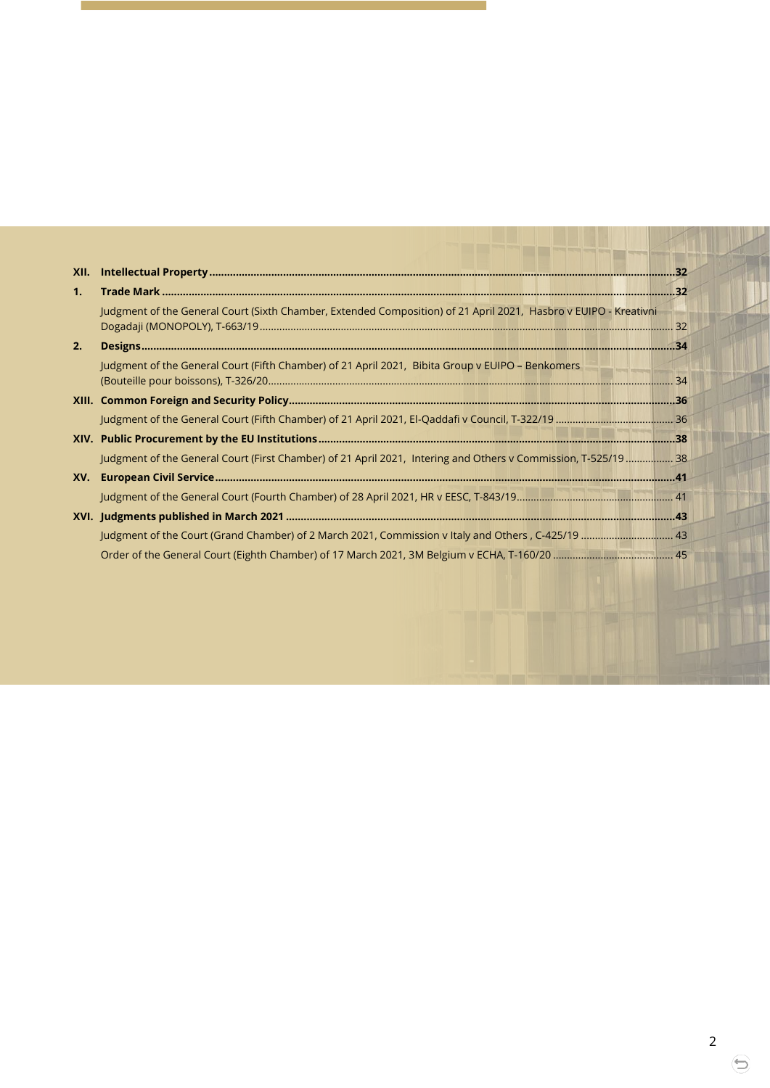| XII.           |                                                                                                                  |  |
|----------------|------------------------------------------------------------------------------------------------------------------|--|
| 1 <sub>1</sub> |                                                                                                                  |  |
|                | Judgment of the General Court (Sixth Chamber, Extended Composition) of 21 April 2021, Hasbro v EUIPO - Kreativni |  |
| 2.             |                                                                                                                  |  |
|                | Judgment of the General Court (Fifth Chamber) of 21 April 2021, Bibita Group v EUIPO - Benkomers                 |  |
|                |                                                                                                                  |  |
|                |                                                                                                                  |  |
|                |                                                                                                                  |  |
|                | Judgment of the General Court (First Chamber) of 21 April 2021, Intering and Others v Commission, T-525/19  38   |  |
| XV.            |                                                                                                                  |  |
|                |                                                                                                                  |  |
|                |                                                                                                                  |  |
|                |                                                                                                                  |  |
|                |                                                                                                                  |  |

⊖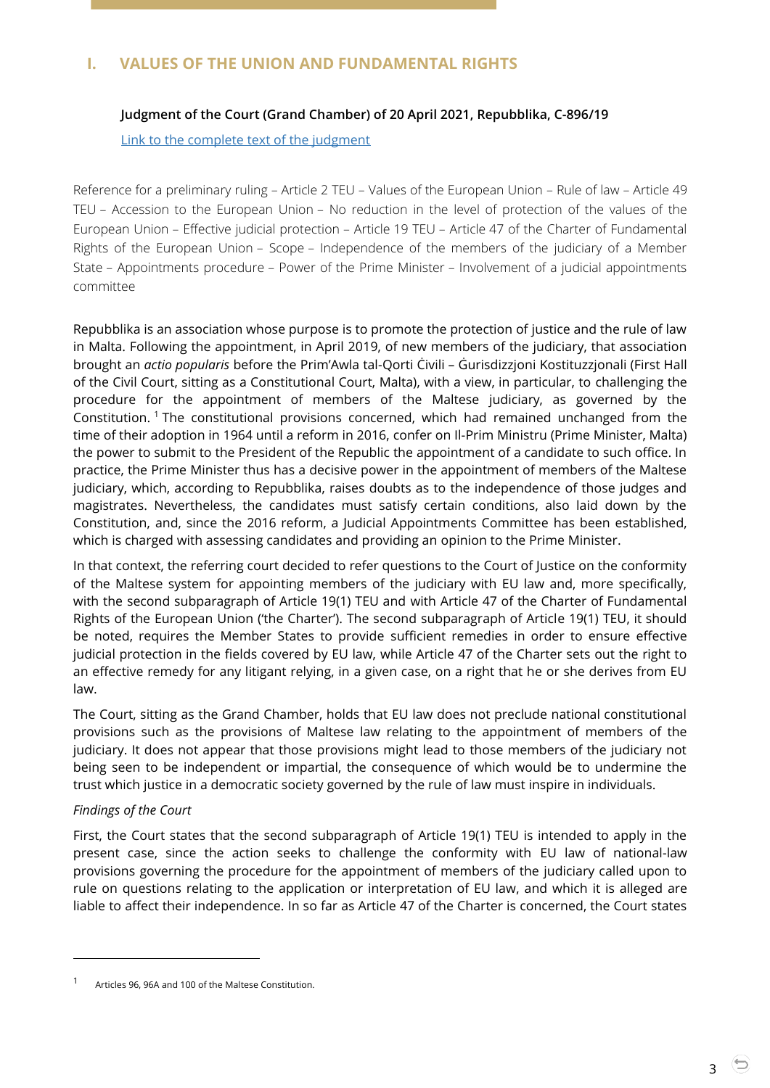# <span id="page-2-1"></span><span id="page-2-0"></span>**I. VALUES OF THE UNION AND FUNDAMENTAL RIGHTS**

## **Judgment of the Court (Grand Chamber) of 20 April 2021, Repubblika, C-896/19**

#### [Link to the complete text of the judgment](https://curia.europa.eu/juris/document/document.jsf?text=&docid=240084&pageIndex=0&doclang=EN&mode=lst&dir=&occ=first&part=1&cid=4549897)

Reference for a preliminary ruling – Article 2 TEU – Values of the European Union – Rule of law – Article 49 TEU – Accession to the European Union – No reduction in the level of protection of the values of the European Union – Effective judicial protection – Article 19 TEU – Article 47 of the Charter of Fundamental Rights of the European Union – Scope – Independence of the members of the judiciary of a Member State – Appointments procedure – Power of the Prime Minister – Involvement of a judicial appointments committee

Repubblika is an association whose purpose is to promote the protection of justice and the rule of law in Malta. Following the appointment, in April 2019, of new members of the judiciary, that association brought an *actio popularis* before the Prim'Awla tal-Qorti Ċivili – Ġurisdizzjoni Kostituzzjonali (First Hall of the Civil Court, sitting as a Constitutional Court, Malta), with a view, in particular, to challenging the procedure for the appointment of members of the Maltese judiciary, as governed by the Constitution. <sup>1</sup> The constitutional provisions concerned, which had remained unchanged from the time of their adoption in 1964 until a reform in 2016, confer on Il-Prim Ministru (Prime Minister, Malta) the power to submit to the President of the Republic the appointment of a candidate to such office. In practice, the Prime Minister thus has a decisive power in the appointment of members of the Maltese judiciary, which, according to Repubblika, raises doubts as to the independence of those judges and magistrates. Nevertheless, the candidates must satisfy certain conditions, also laid down by the Constitution, and, since the 2016 reform, a Judicial Appointments Committee has been established, which is charged with assessing candidates and providing an opinion to the Prime Minister.

In that context, the referring court decided to refer questions to the Court of Justice on the conformity of the Maltese system for appointing members of the judiciary with EU law and, more specifically, with the second subparagraph of Article 19(1) TEU and with Article 47 of the Charter of Fundamental Rights of the European Union ('the Charter'). The second subparagraph of Article 19(1) TEU, it should be noted, requires the Member States to provide sufficient remedies in order to ensure effective judicial protection in the fields covered by EU law, while Article 47 of the Charter sets out the right to an effective remedy for any litigant relying, in a given case, on a right that he or she derives from EU law.

The Court, sitting as the Grand Chamber, holds that EU law does not preclude national constitutional provisions such as the provisions of Maltese law relating to the appointment of members of the judiciary. It does not appear that those provisions might lead to those members of the judiciary not being seen to be independent or impartial, the consequence of which would be to undermine the trust which justice in a democratic society governed by the rule of law must inspire in individuals.

#### *Findings of the Court*

 $\overline{a}$ 

First, the Court states that the second subparagraph of Article 19(1) TEU is intended to apply in the present case, since the action seeks to challenge the conformity with EU law of national-law provisions governing the procedure for the appointment of members of the judiciary called upon to rule on questions relating to the application or interpretation of EU law, and which it is alleged are liable to affect their independence. In so far as Article 47 of the Charter is concerned, the Court states

<sup>1</sup> Articles 96, 96A and 100 of the Maltese Constitution.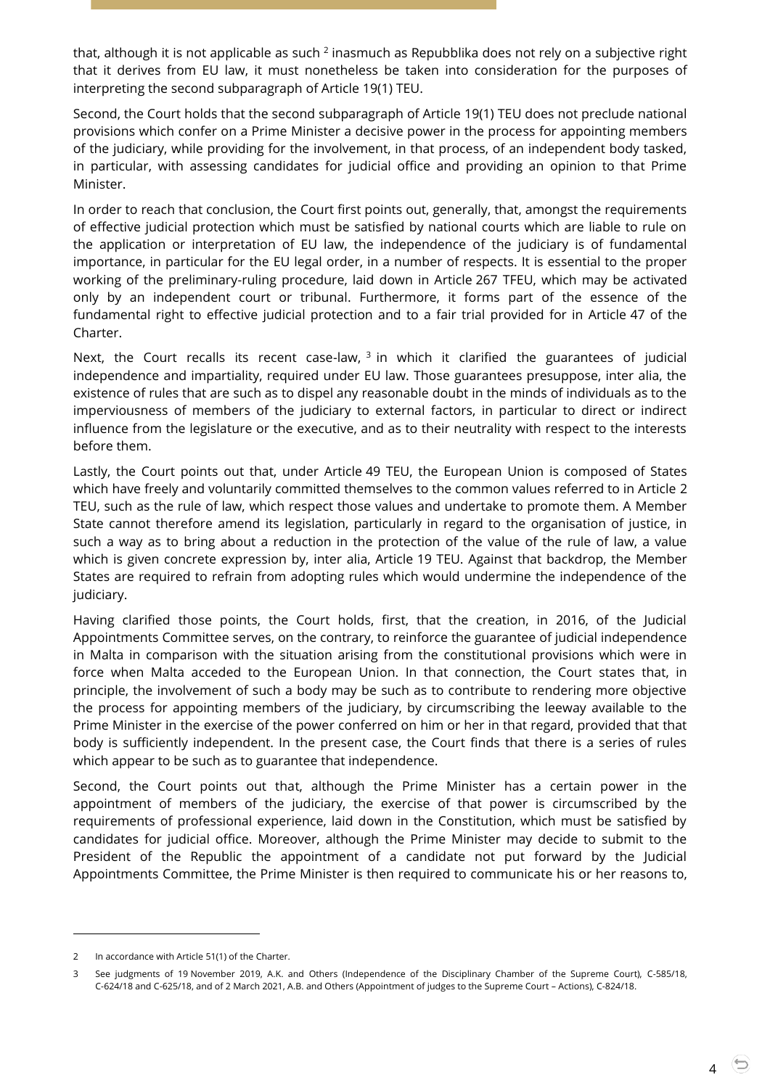that, although it is not applicable as such  $^2$  inasmuch as Repubblika does not rely on a subjective right that it derives from EU law, it must nonetheless be taken into consideration for the purposes of interpreting the second subparagraph of Article 19(1) TEU.

Second, the Court holds that the second subparagraph of Article 19(1) TEU does not preclude national provisions which confer on a Prime Minister a decisive power in the process for appointing members of the judiciary, while providing for the involvement, in that process, of an independent body tasked, in particular, with assessing candidates for judicial office and providing an opinion to that Prime Minister.

In order to reach that conclusion, the Court first points out, generally, that, amongst the requirements of effective judicial protection which must be satisfied by national courts which are liable to rule on the application or interpretation of EU law, the independence of the judiciary is of fundamental importance, in particular for the EU legal order, in a number of respects. It is essential to the proper working of the preliminary-ruling procedure, laid down in Article 267 TFEU, which may be activated only by an independent court or tribunal. Furthermore, it forms part of the essence of the fundamental right to effective judicial protection and to a fair trial provided for in Article 47 of the Charter.

Next, the Court recalls its recent case-law,  $3$  in which it clarified the guarantees of judicial independence and impartiality, required under EU law. Those guarantees presuppose, inter alia, the existence of rules that are such as to dispel any reasonable doubt in the minds of individuals as to the imperviousness of members of the judiciary to external factors, in particular to direct or indirect influence from the legislature or the executive, and as to their neutrality with respect to the interests before them.

Lastly, the Court points out that, under Article 49 TEU, the European Union is composed of States which have freely and voluntarily committed themselves to the common values referred to in Article 2 TEU, such as the rule of law, which respect those values and undertake to promote them. A Member State cannot therefore amend its legislation, particularly in regard to the organisation of justice, in such a way as to bring about a reduction in the protection of the value of the rule of law, a value which is given concrete expression by, inter alia, Article 19 TEU. Against that backdrop, the Member States are required to refrain from adopting rules which would undermine the independence of the judiciary.

Having clarified those points, the Court holds, first, that the creation, in 2016, of the Judicial Appointments Committee serves, on the contrary, to reinforce the guarantee of judicial independence in Malta in comparison with the situation arising from the constitutional provisions which were in force when Malta acceded to the European Union. In that connection, the Court states that, in principle, the involvement of such a body may be such as to contribute to rendering more objective the process for appointing members of the judiciary, by circumscribing the leeway available to the Prime Minister in the exercise of the power conferred on him or her in that regard, provided that that body is sufficiently independent. In the present case, the Court finds that there is a series of rules which appear to be such as to guarantee that independence.

Second, the Court points out that, although the Prime Minister has a certain power in the appointment of members of the judiciary, the exercise of that power is circumscribed by the requirements of professional experience, laid down in the Constitution, which must be satisfied by candidates for judicial office. Moreover, although the Prime Minister may decide to submit to the President of the Republic the appointment of a candidate not put forward by the Judicial Appointments Committee, the Prime Minister is then required to communicate his or her reasons to,

<sup>2</sup> In accordance with Article 51(1) of the Charter.

<sup>3</sup> See judgments of 19 November 2019, A.K. and Others (Independence of the Disciplinary Chamber of the Supreme Court), [C-585/18,](http://curia.europa.eu/juris/documents.jsf?num=C-585/18)  [C-624/18 and C-625/18,](http://curia.europa.eu/juris/documents.jsf?num=C-585/18) and of 2 March 2021, A.B. and Others (Appointment of judges to the Supreme Court – Actions)[, C-824/18.](http://curia.europa.eu/juris/documents.jsf?num=C-824/18)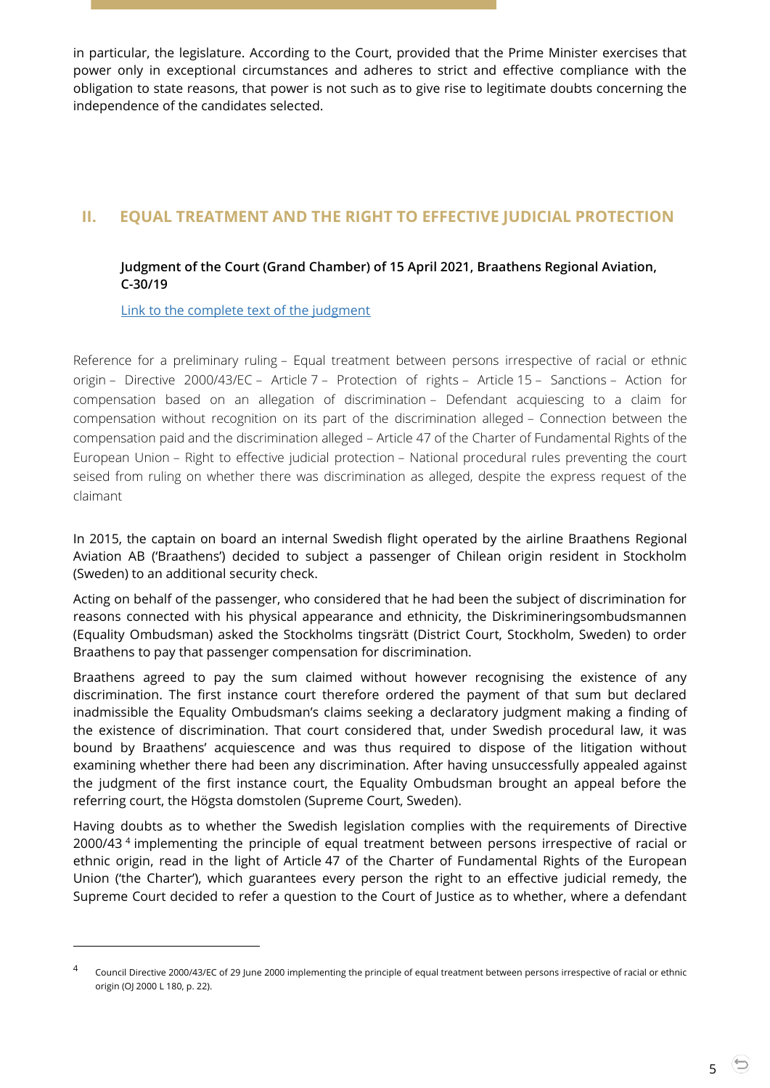in particular, the legislature. According to the Court, provided that the Prime Minister exercises that power only in exceptional circumstances and adheres to strict and effective compliance with the obligation to state reasons, that power is not such as to give rise to legitimate doubts concerning the independence of the candidates selected.

# <span id="page-4-1"></span><span id="page-4-0"></span>**II. EQUAL TREATMENT AND THE RIGHT TO EFFECTIVE JUDICIAL PROTECTION**

# **Judgment of the Court (Grand Chamber) of 15 April 2021, Braathens Regional Aviation, C-30/19**

[Link to the complete text of the judgment](https://curia.europa.eu/juris/document/document.jsf?text=&docid=239882&pageIndex=0&doclang=EN&mode=lst&dir=&occ=first&part=1&cid=4559003)

-

Reference for a preliminary ruling – Equal treatment between persons irrespective of racial or ethnic origin – Directive 2000/43/EC – Article 7 – Protection of rights – Article 15 – Sanctions – Action for compensation based on an allegation of discrimination – Defendant acquiescing to a claim for compensation without recognition on its part of the discrimination alleged – Connection between the compensation paid and the discrimination alleged – Article 47 of the Charter of Fundamental Rights of the European Union – Right to effective judicial protection – National procedural rules preventing the court seised from ruling on whether there was discrimination as alleged, despite the express request of the claimant

In 2015, the captain on board an internal Swedish flight operated by the airline Braathens Regional Aviation AB ('Braathens') decided to subject a passenger of Chilean origin resident in Stockholm (Sweden) to an additional security check.

Acting on behalf of the passenger, who considered that he had been the subject of discrimination for reasons connected with his physical appearance and ethnicity, the Diskrimineringsombudsmannen (Equality Ombudsman) asked the Stockholms tingsrätt (District Court, Stockholm, Sweden) to order Braathens to pay that passenger compensation for discrimination.

Braathens agreed to pay the sum claimed without however recognising the existence of any discrimination. The first instance court therefore ordered the payment of that sum but declared inadmissible the Equality Ombudsman's claims seeking a declaratory judgment making a finding of the existence of discrimination. That court considered that, under Swedish procedural law, it was bound by Braathens' acquiescence and was thus required to dispose of the litigation without examining whether there had been any discrimination. After having unsuccessfully appealed against the judgment of the first instance court, the Equality Ombudsman brought an appeal before the referring court, the Högsta domstolen (Supreme Court, Sweden).

Having doubts as to whether the Swedish legislation complies with the requirements of Directive 2000/43 <sup>4</sup> implementing the principle of equal treatment between persons irrespective of racial or ethnic origin, read in the light of Article 47 of the Charter of Fundamental Rights of the European Union ('the Charter'), which guarantees every person the right to an effective judicial remedy, the Supreme Court decided to refer a question to the Court of Justice as to whether, where a defendant

<sup>4</sup> Council Directive 2000/43/EC of 29 June 2000 implementing the principle of equal treatment between persons irrespective of racial or ethnic origin (OJ 2000 L 180, p. 22).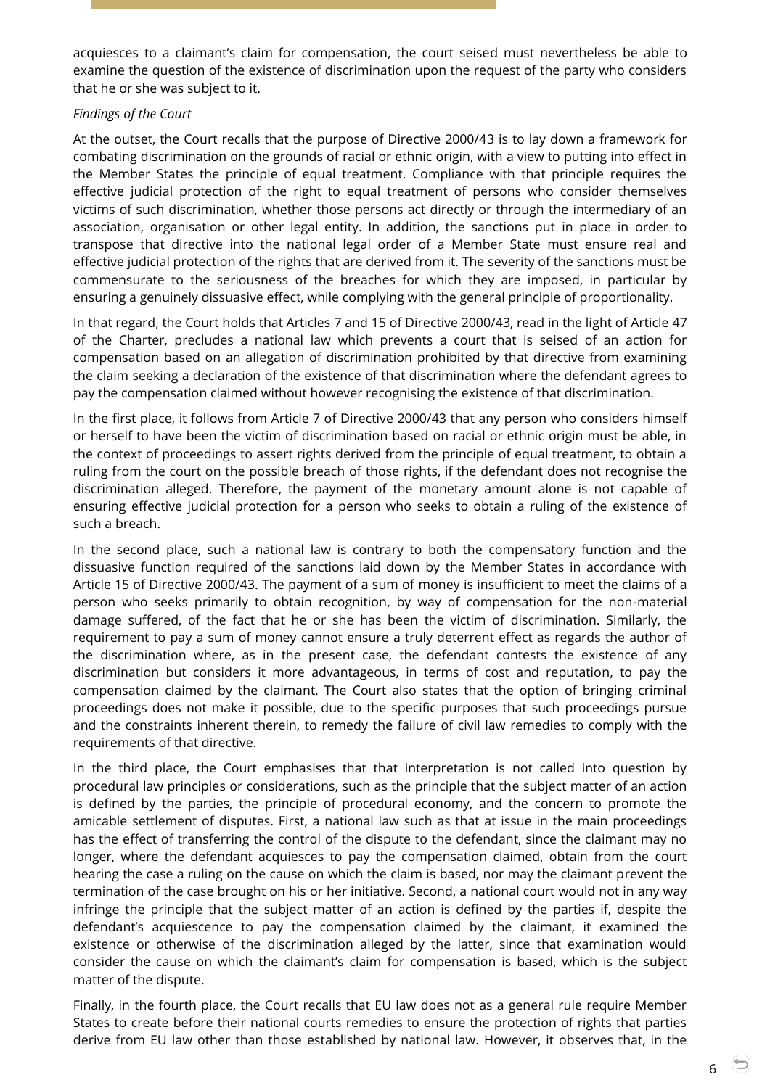acquiesces to a claimant's claim for compensation, the court seised must nevertheless be able to examine the question of the existence of discrimination upon the request of the party who considers that he or she was subject to it.

#### *Findings of the Court*

At the outset, the Court recalls that the purpose of Directive 2000/43 is to lay down a framework for combating discrimination on the grounds of racial or ethnic origin, with a view to putting into effect in the Member States the principle of equal treatment. Compliance with that principle requires the effective judicial protection of the right to equal treatment of persons who consider themselves victims of such discrimination, whether those persons act directly or through the intermediary of an association, organisation or other legal entity. In addition, the sanctions put in place in order to transpose that directive into the national legal order of a Member State must ensure real and effective judicial protection of the rights that are derived from it. The severity of the sanctions must be commensurate to the seriousness of the breaches for which they are imposed, in particular by ensuring a genuinely dissuasive effect, while complying with the general principle of proportionality.

In that regard, the Court holds that Articles 7 and 15 of Directive 2000/43, read in the light of Article 47 of the Charter, precludes a national law which prevents a court that is seised of an action for compensation based on an allegation of discrimination prohibited by that directive from examining the claim seeking a declaration of the existence of that discrimination where the defendant agrees to pay the compensation claimed without however recognising the existence of that discrimination.

In the first place, it follows from Article 7 of Directive 2000/43 that any person who considers himself or herself to have been the victim of discrimination based on racial or ethnic origin must be able, in the context of proceedings to assert rights derived from the principle of equal treatment, to obtain a ruling from the court on the possible breach of those rights, if the defendant does not recognise the discrimination alleged. Therefore, the payment of the monetary amount alone is not capable of ensuring effective judicial protection for a person who seeks to obtain a ruling of the existence of such a breach.

In the second place, such a national law is contrary to both the compensatory function and the dissuasive function required of the sanctions laid down by the Member States in accordance with Article 15 of Directive 2000/43. The payment of a sum of money is insufficient to meet the claims of a person who seeks primarily to obtain recognition, by way of compensation for the non-material damage suffered, of the fact that he or she has been the victim of discrimination. Similarly, the requirement to pay a sum of money cannot ensure a truly deterrent effect as regards the author of the discrimination where, as in the present case, the defendant contests the existence of any discrimination but considers it more advantageous, in terms of cost and reputation, to pay the compensation claimed by the claimant. The Court also states that the option of bringing criminal proceedings does not make it possible, due to the specific purposes that such proceedings pursue and the constraints inherent therein, to remedy the failure of civil law remedies to comply with the requirements of that directive.

In the third place, the Court emphasises that that interpretation is not called into question by procedural law principles or considerations, such as the principle that the subject matter of an action is defined by the parties, the principle of procedural economy, and the concern to promote the amicable settlement of disputes. First, a national law such as that at issue in the main proceedings has the effect of transferring the control of the dispute to the defendant, since the claimant may no longer, where the defendant acquiesces to pay the compensation claimed, obtain from the court hearing the case a ruling on the cause on which the claim is based, nor may the claimant prevent the termination of the case brought on his or her initiative. Second, a national court would not in any way infringe the principle that the subject matter of an action is defined by the parties if, despite the defendant's acquiescence to pay the compensation claimed by the claimant, it examined the existence or otherwise of the discrimination alleged by the latter, since that examination would consider the cause on which the claimant's claim for compensation is based, which is the subject matter of the dispute.

Finally, in the fourth place, the Court recalls that EU law does not as a general rule require Member States to create before their national courts remedies to ensure the protection of rights that parties derive from EU law other than those established by national law. However, it observes that, in the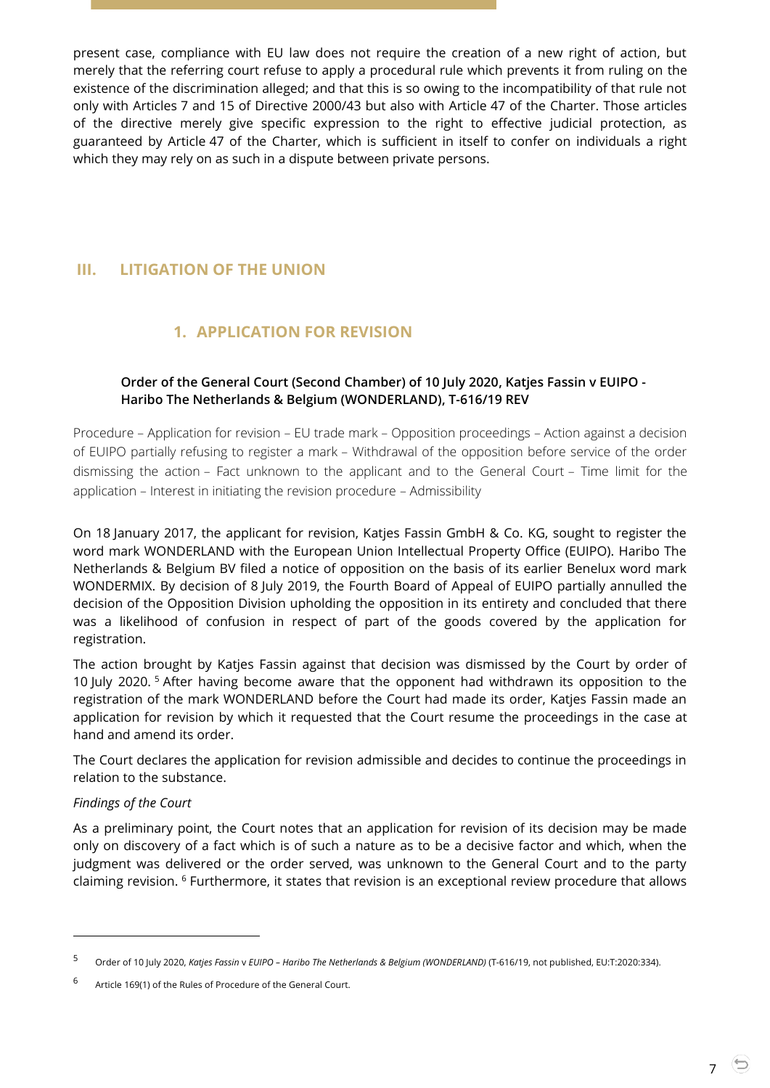present case, compliance with EU law does not require the creation of a new right of action, but merely that the referring court refuse to apply a procedural rule which prevents it from ruling on the existence of the discrimination alleged; and that this is so owing to the incompatibility of that rule not only with Articles 7 and 15 of Directive 2000/43 but also with Article 47 of the Charter. Those articles of the directive merely give specific expression to the right to effective judicial protection, as guaranteed by Article 47 of the Charter, which is sufficient in itself to confer on individuals a right which they may rely on as such in a dispute between private persons.

# <span id="page-6-1"></span><span id="page-6-0"></span>**III. LITIGATION OF THE UNION**

# **1. APPLICATION FOR REVISION**

## <span id="page-6-2"></span>**Order of the General Court (Second Chamber) of 10 July 2020, Katjes Fassin v EUIPO - Haribo The Netherlands & Belgium (WONDERLAND), T-616/19 REV**

Procedure – Application for revision – EU trade mark – Opposition proceedings – Action against a decision of EUIPO partially refusing to register a mark – Withdrawal of the opposition before service of the order dismissing the action – Fact unknown to the applicant and to the General Court – Time limit for the application – Interest in initiating the revision procedure – Admissibility

On 18 January 2017, the applicant for revision, Katjes Fassin GmbH & Co. KG, sought to register the word mark WONDERLAND with the European Union Intellectual Property Office (EUIPO). Haribo The Netherlands & Belgium BV filed a notice of opposition on the basis of its earlier Benelux word mark WONDERMIX. By decision of 8 July 2019, the Fourth Board of Appeal of EUIPO partially annulled the decision of the Opposition Division upholding the opposition in its entirety and concluded that there was a likelihood of confusion in respect of part of the goods covered by the application for registration.

The action brought by Katjes Fassin against that decision was dismissed by the Court by order of 10 July 2020. <sup>5</sup> After having become aware that the opponent had withdrawn its opposition to the registration of the mark WONDERLAND before the Court had made its order, Katjes Fassin made an application for revision by which it requested that the Court resume the proceedings in the case at hand and amend its order.

The Court declares the application for revision admissible and decides to continue the proceedings in relation to the substance.

#### *Findings of the Court*

 $\overline{a}$ 

As a preliminary point, the Court notes that an application for revision of its decision may be made only on discovery of a fact which is of such a nature as to be a decisive factor and which, when the judgment was delivered or the order served, was unknown to the General Court and to the party claiming revision. <sup>6</sup> Furthermore, it states that revision is an exceptional review procedure that allows

<sup>5</sup> Order of 10 July 2020, *Katjes Fassin* <sup>v</sup>*EUIPO – Haribo The Netherlands & Belgium (WONDERLAND)* (T-616/19, not published, EU:T:2020:334).

<sup>6</sup> Article 169(1) of the Rules of Procedure of the General Court.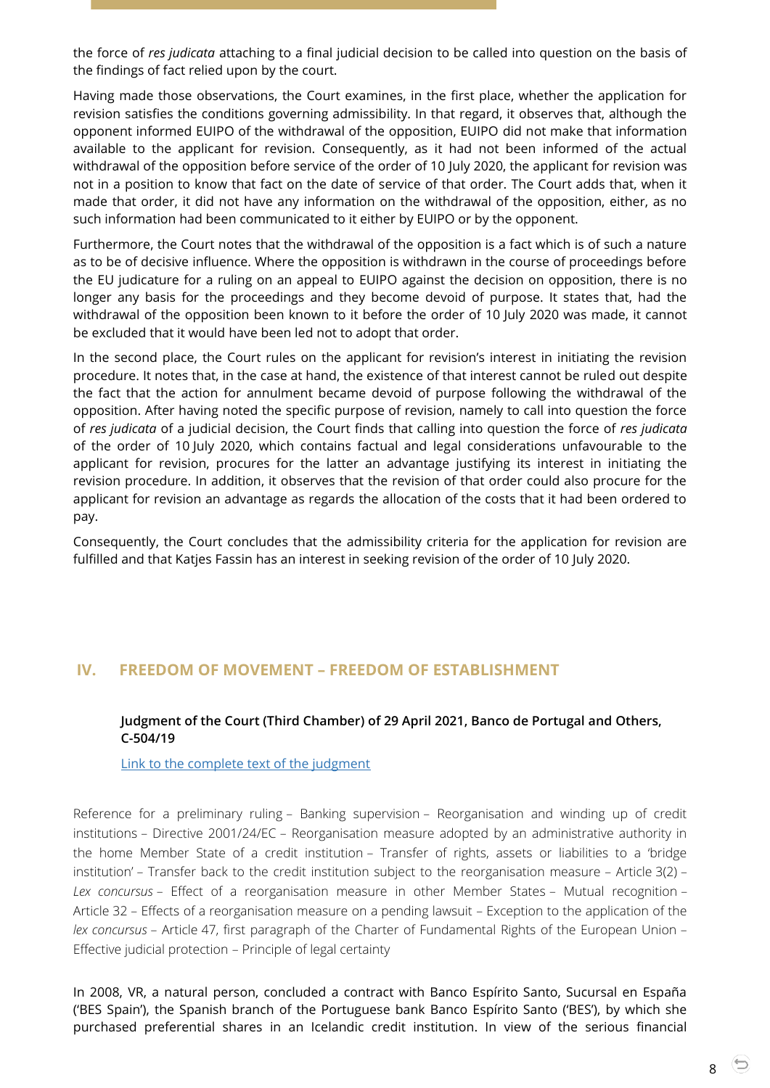the force of *res judicata* attaching to a final judicial decision to be called into question on the basis of the findings of fact relied upon by the court.

Having made those observations, the Court examines, in the first place, whether the application for revision satisfies the conditions governing admissibility. In that regard, it observes that, although the opponent informed EUIPO of the withdrawal of the opposition, EUIPO did not make that information available to the applicant for revision. Consequently, as it had not been informed of the actual withdrawal of the opposition before service of the order of 10 July 2020, the applicant for revision was not in a position to know that fact on the date of service of that order. The Court adds that, when it made that order, it did not have any information on the withdrawal of the opposition, either, as no such information had been communicated to it either by EUIPO or by the opponent.

Furthermore, the Court notes that the withdrawal of the opposition is a fact which is of such a nature as to be of decisive influence. Where the opposition is withdrawn in the course of proceedings before the EU judicature for a ruling on an appeal to EUIPO against the decision on opposition, there is no longer any basis for the proceedings and they become devoid of purpose. It states that, had the withdrawal of the opposition been known to it before the order of 10 July 2020 was made, it cannot be excluded that it would have been led not to adopt that order.

In the second place, the Court rules on the applicant for revision's interest in initiating the revision procedure. It notes that, in the case at hand, the existence of that interest cannot be ruled out despite the fact that the action for annulment became devoid of purpose following the withdrawal of the opposition. After having noted the specific purpose of revision, namely to call into question the force of *res judicata* of a judicial decision, the Court finds that calling into question the force of *res judicata* of the order of 10 July 2020, which contains factual and legal considerations unfavourable to the applicant for revision, procures for the latter an advantage justifying its interest in initiating the revision procedure. In addition, it observes that the revision of that order could also procure for the applicant for revision an advantage as regards the allocation of the costs that it had been ordered to pay.

Consequently, the Court concludes that the admissibility criteria for the application for revision are fulfilled and that Katjes Fassin has an interest in seeking revision of the order of 10 July 2020.

# <span id="page-7-1"></span><span id="page-7-0"></span>**IV. FREEDOM OF MOVEMENT – FREEDOM OF ESTABLISHMENT**

#### **Judgment of the Court (Third Chamber) of 29 April 2021, Banco de Portugal and Others, C-504/19**

[Link to the complete text of the judgment](https://curia.europa.eu/juris/document/document.jsf?text=&docid=240542&pageIndex=0&doclang=EN&mode=lst&dir=&occ=first&part=1&cid=4568838)

Reference for a preliminary ruling – Banking supervision – Reorganisation and winding up of credit institutions – Directive 2001/24/EC – Reorganisation measure adopted by an administrative authority in the home Member State of a credit institution – Transfer of rights, assets or liabilities to a 'bridge institution' – Transfer back to the credit institution subject to the reorganisation measure – Article 3(2) – *Lex concursus* – Effect of a reorganisation measure in other Member States – Mutual recognition – Article 32 – Effects of a reorganisation measure on a pending lawsuit – Exception to the application of the *lex concursus* – Article 47, first paragraph of the Charter of Fundamental Rights of the European Union – Effective judicial protection – Principle of legal certainty

In 2008, VR, a natural person, concluded a contract with Banco Espírito Santo, Sucursal en España ('BES Spain'), the Spanish branch of the Portuguese bank Banco Espírito Santo ('BES'), by which she purchased preferential shares in an Icelandic credit institution. In view of the serious financial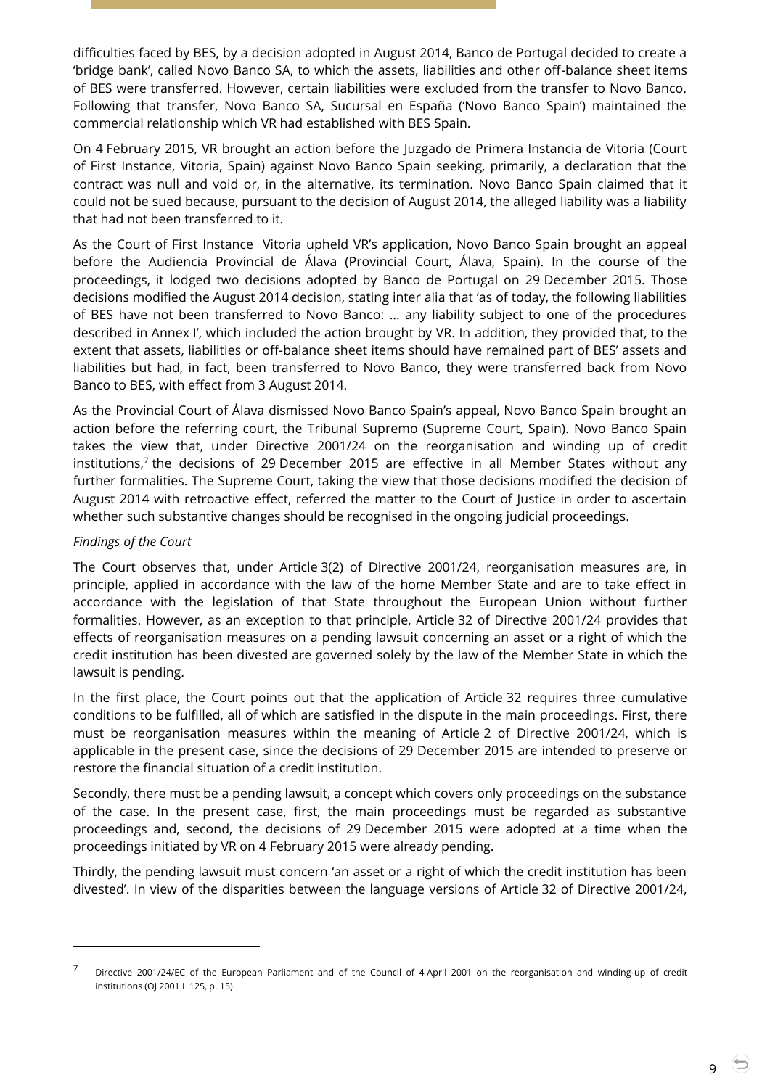difficulties faced by BES, by a decision adopted in August 2014, Banco de Portugal decided to create a 'bridge bank', called Novo Banco SA, to which the assets, liabilities and other off-balance sheet items of BES were transferred. However, certain liabilities were excluded from the transfer to Novo Banco. Following that transfer, Novo Banco SA, Sucursal en España ('Novo Banco Spain') maintained the commercial relationship which VR had established with BES Spain.

On 4 February 2015, VR brought an action before the Juzgado de Primera Instancia de Vitoria (Court of First Instance, Vitoria, Spain) against Novo Banco Spain seeking, primarily, a declaration that the contract was null and void or, in the alternative, its termination. Novo Banco Spain claimed that it could not be sued because, pursuant to the decision of August 2014, the alleged liability was a liability that had not been transferred to it.

As the Court of First Instance Vitoria upheld VR's application, Novo Banco Spain brought an appeal before the Audiencia Provincial de Álava (Provincial Court, Álava, Spain). In the course of the proceedings, it lodged two decisions adopted by Banco de Portugal on 29 December 2015. Those decisions modified the August 2014 decision, stating inter alia that 'as of today, the following liabilities of BES have not been transferred to Novo Banco: … any liability subject to one of the procedures described in Annex I', which included the action brought by VR. In addition, they provided that, to the extent that assets, liabilities or off-balance sheet items should have remained part of BES' assets and liabilities but had, in fact, been transferred to Novo Banco, they were transferred back from Novo Banco to BES, with effect from 3 August 2014.

As the Provincial Court of Álava dismissed Novo Banco Spain's appeal, Novo Banco Spain brought an action before the referring court, the Tribunal Supremo (Supreme Court, Spain). Novo Banco Spain takes the view that, under Directive 2001/24 on the reorganisation and winding up of credit institutions,<sup>7</sup> the decisions of 29 December 2015 are effective in all Member States without any further formalities. The Supreme Court, taking the view that those decisions modified the decision of August 2014 with retroactive effect, referred the matter to the Court of Justice in order to ascertain whether such substantive changes should be recognised in the ongoing judicial proceedings.

#### *Findings of the Court*

-

The Court observes that, under Article 3(2) of Directive 2001/24, reorganisation measures are, in principle, applied in accordance with the law of the home Member State and are to take effect in accordance with the legislation of that State throughout the European Union without further formalities. However, as an exception to that principle, Article 32 of Directive 2001/24 provides that effects of reorganisation measures on a pending lawsuit concerning an asset or a right of which the credit institution has been divested are governed solely by the law of the Member State in which the lawsuit is pending.

In the first place, the Court points out that the application of Article 32 requires three cumulative conditions to be fulfilled, all of which are satisfied in the dispute in the main proceedings. First, there must be reorganisation measures within the meaning of Article 2 of Directive 2001/24, which is applicable in the present case, since the decisions of 29 December 2015 are intended to preserve or restore the financial situation of a credit institution.

Secondly, there must be a pending lawsuit, a concept which covers only proceedings on the substance of the case. In the present case, first, the main proceedings must be regarded as substantive proceedings and, second, the decisions of 29 December 2015 were adopted at a time when the proceedings initiated by VR on 4 February 2015 were already pending.

Thirdly, the pending lawsuit must concern 'an asset or a right of which the credit institution has been divested'. In view of the disparities between the language versions of Article 32 of Directive 2001/24,

9

<sup>7</sup> Directive 2001/24/EC of the European Parliament and of the Council of 4 April 2001 on the reorganisation and winding-up of credit institutions (OJ 2001 L 125, p. 15).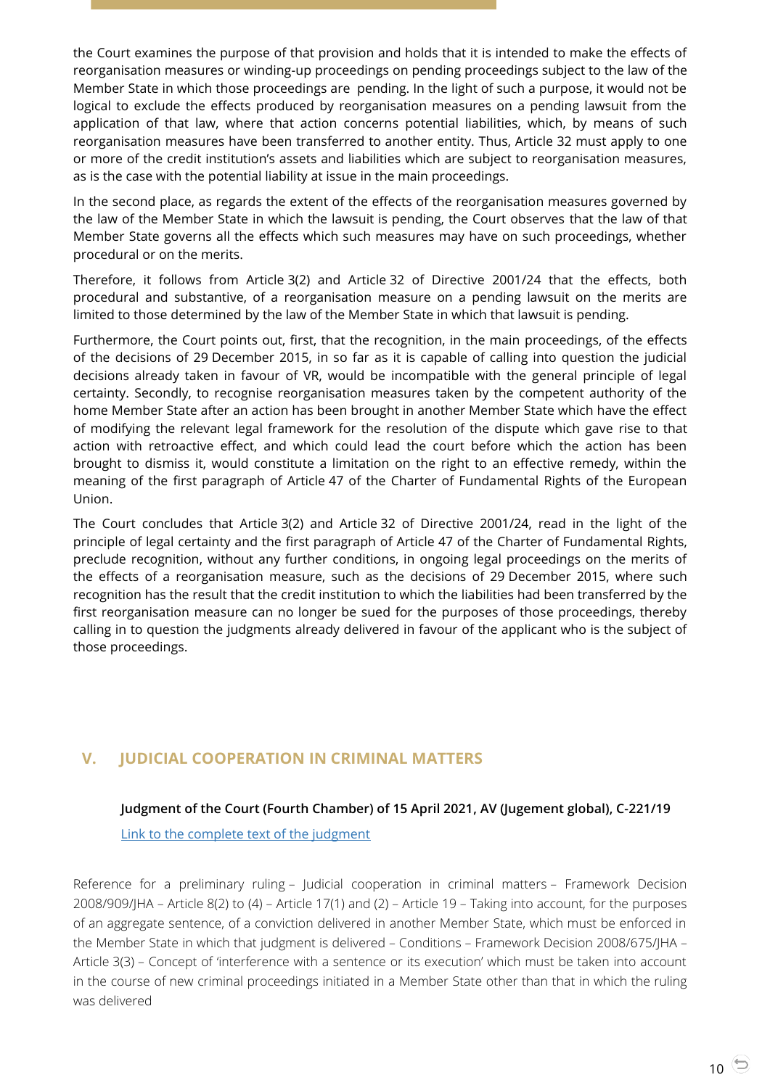the Court examines the purpose of that provision and holds that it is intended to make the effects of reorganisation measures or winding-up proceedings on pending proceedings subject to the law of the Member State in which those proceedings are pending. In the light of such a purpose, it would not be logical to exclude the effects produced by reorganisation measures on a pending lawsuit from the application of that law, where that action concerns potential liabilities, which, by means of such reorganisation measures have been transferred to another entity. Thus, Article 32 must apply to one or more of the credit institution's assets and liabilities which are subject to reorganisation measures, as is the case with the potential liability at issue in the main proceedings.

In the second place, as regards the extent of the effects of the reorganisation measures governed by the law of the Member State in which the lawsuit is pending, the Court observes that the law of that Member State governs all the effects which such measures may have on such proceedings, whether procedural or on the merits.

Therefore, it follows from Article 3(2) and Article 32 of Directive 2001/24 that the effects, both procedural and substantive, of a reorganisation measure on a pending lawsuit on the merits are limited to those determined by the law of the Member State in which that lawsuit is pending.

Furthermore, the Court points out, first, that the recognition, in the main proceedings, of the effects of the decisions of 29 December 2015, in so far as it is capable of calling into question the judicial decisions already taken in favour of VR, would be incompatible with the general principle of legal certainty. Secondly, to recognise reorganisation measures taken by the competent authority of the home Member State after an action has been brought in another Member State which have the effect of modifying the relevant legal framework for the resolution of the dispute which gave rise to that action with retroactive effect, and which could lead the court before which the action has been brought to dismiss it, would constitute a limitation on the right to an effective remedy, within the meaning of the first paragraph of Article 47 of the Charter of Fundamental Rights of the European Union.

The Court concludes that Article 3(2) and Article 32 of Directive 2001/24, read in the light of the principle of legal certainty and the first paragraph of Article 47 of the Charter of Fundamental Rights, preclude recognition, without any further conditions, in ongoing legal proceedings on the merits of the effects of a reorganisation measure, such as the decisions of 29 December 2015, where such recognition has the result that the credit institution to which the liabilities had been transferred by the first reorganisation measure can no longer be sued for the purposes of those proceedings, thereby calling in to question the judgments already delivered in favour of the applicant who is the subject of those proceedings.

# <span id="page-9-1"></span><span id="page-9-0"></span>**V. JUDICIAL COOPERATION IN CRIMINAL MATTERS**

# **Judgment of the Court (Fourth Chamber) of 15 April 2021, AV (Jugement global), C-221/19**

[Link to the complete text of the judgment](https://curia.europa.eu/juris/document/document.jsf?text=&docid=239892&pageIndex=0&doclang=EN&mode=lst&dir=&occ=first&part=1&cid=4577411)

Reference for a preliminary ruling – Judicial cooperation in criminal matters – Framework Decision 2008/909/JHA – Article 8(2) to (4) – Article 17(1) and (2) – Article 19 – Taking into account, for the purposes of an aggregate sentence, of a conviction delivered in another Member State, which must be enforced in the Member State in which that judgment is delivered – Conditions – Framework Decision 2008/675/JHA – Article 3(3) – Concept of 'interference with a sentence or its execution' which must be taken into account in the course of new criminal proceedings initiated in a Member State other than that in which the ruling was delivered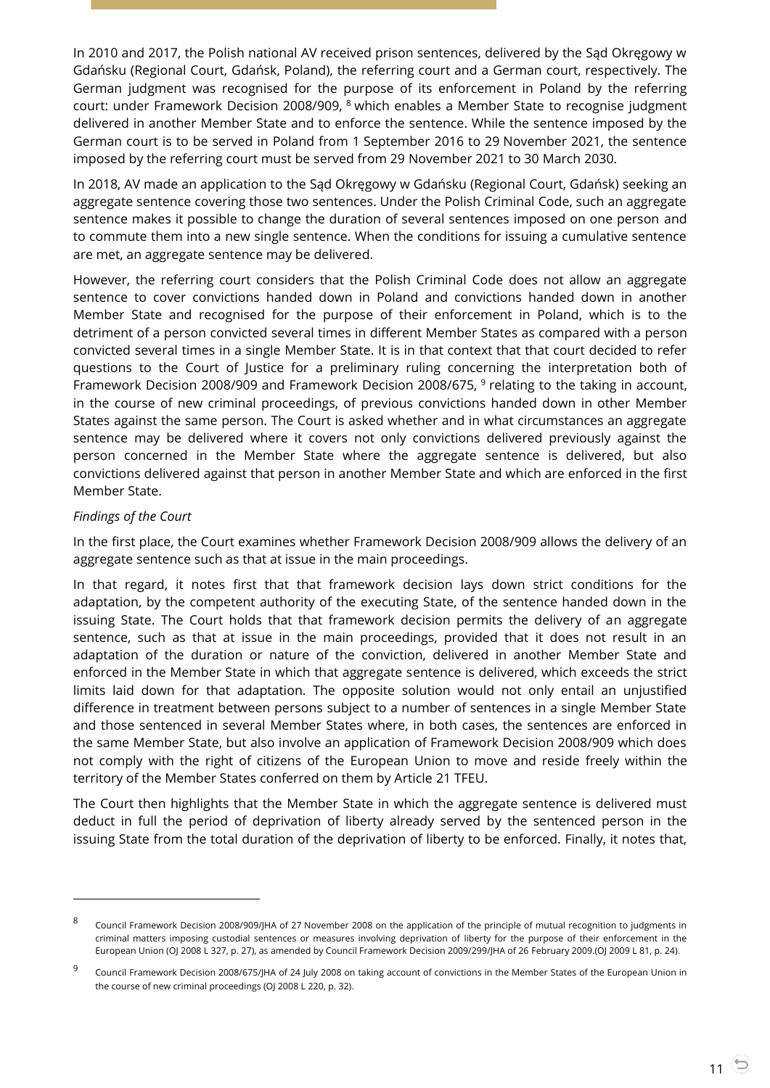In 2010 and 2017, the Polish national AV received prison sentences, delivered by the Sąd Okręgowy w Gdańsku (Regional Court, Gdańsk, Poland), the referring court and a German court, respectively. The German judgment was recognised for the purpose of its enforcement in Poland by the referring court: under Framework Decision 2008/909, <sup>8</sup> which enables a Member State to recognise judgment delivered in another Member State and to enforce the sentence. While the sentence imposed by the German court is to be served in Poland from 1 September 2016 to 29 November 2021, the sentence imposed by the referring court must be served from 29 November 2021 to 30 March 2030.

In 2018, AV made an application to the Sąd Okręgowy w Gdańsku (Regional Court, Gdańsk) seeking an aggregate sentence covering those two sentences. Under the Polish Criminal Code, such an aggregate sentence makes it possible to change the duration of several sentences imposed on one person and to commute them into a new single sentence. When the conditions for issuing a cumulative sentence are met, an aggregate sentence may be delivered.

However, the referring court considers that the Polish Criminal Code does not allow an aggregate sentence to cover convictions handed down in Poland and convictions handed down in another Member State and recognised for the purpose of their enforcement in Poland, which is to the detriment of a person convicted several times in different Member States as compared with a person convicted several times in a single Member State. It is in that context that that court decided to refer questions to the Court of Justice for a preliminary ruling concerning the interpretation both of Framework Decision 2008/909 and Framework Decision 2008/675, <sup>9</sup> relating to the taking in account, in the course of new criminal proceedings, of previous convictions handed down in other Member States against the same person. The Court is asked whether and in what circumstances an aggregate sentence may be delivered where it covers not only convictions delivered previously against the person concerned in the Member State where the aggregate sentence is delivered, but also convictions delivered against that person in another Member State and which are enforced in the first Member State.

#### *Findings of the Court*

-

In the first place, the Court examines whether Framework Decision 2008/909 allows the delivery of an aggregate sentence such as that at issue in the main proceedings.

In that regard, it notes first that that framework decision lays down strict conditions for the adaptation, by the competent authority of the executing State, of the sentence handed down in the issuing State. The Court holds that that framework decision permits the delivery of an aggregate sentence, such as that at issue in the main proceedings, provided that it does not result in an adaptation of the duration or nature of the conviction, delivered in another Member State and enforced in the Member State in which that aggregate sentence is delivered, which exceeds the strict limits laid down for that adaptation. The opposite solution would not only entail an unjustified difference in treatment between persons subject to a number of sentences in a single Member State and those sentenced in several Member States where, in both cases, the sentences are enforced in the same Member State, but also involve an application of Framework Decision 2008/909 which does not comply with the right of citizens of the European Union to move and reside freely within the territory of the Member States conferred on them by Article 21 TFEU.

The Court then highlights that the Member State in which the aggregate sentence is delivered must deduct in full the period of deprivation of liberty already served by the sentenced person in the issuing State from the total duration of the deprivation of liberty to be enforced. Finally, it notes that,

<sup>8</sup> Council Framework Decision 2008/909/JHA of 27 November 2008 on the application of the principle of mutual recognition to judgments in criminal matters imposing custodial sentences or measures involving deprivation of liberty for the purpose of their enforcement in the European Union (OJ 2008 L 327, p. 27), as amended by Council Framework Decision 2009/299/JHA of 26 February 2009.(OJ 2009 L 81, p. 24).

<sup>9</sup> Council Framework Decision 2008/675/JHA of 24 July 2008 on taking account of convictions in the Member States of the European Union in the course of new criminal proceedings (OJ 2008 L 220, p. 32).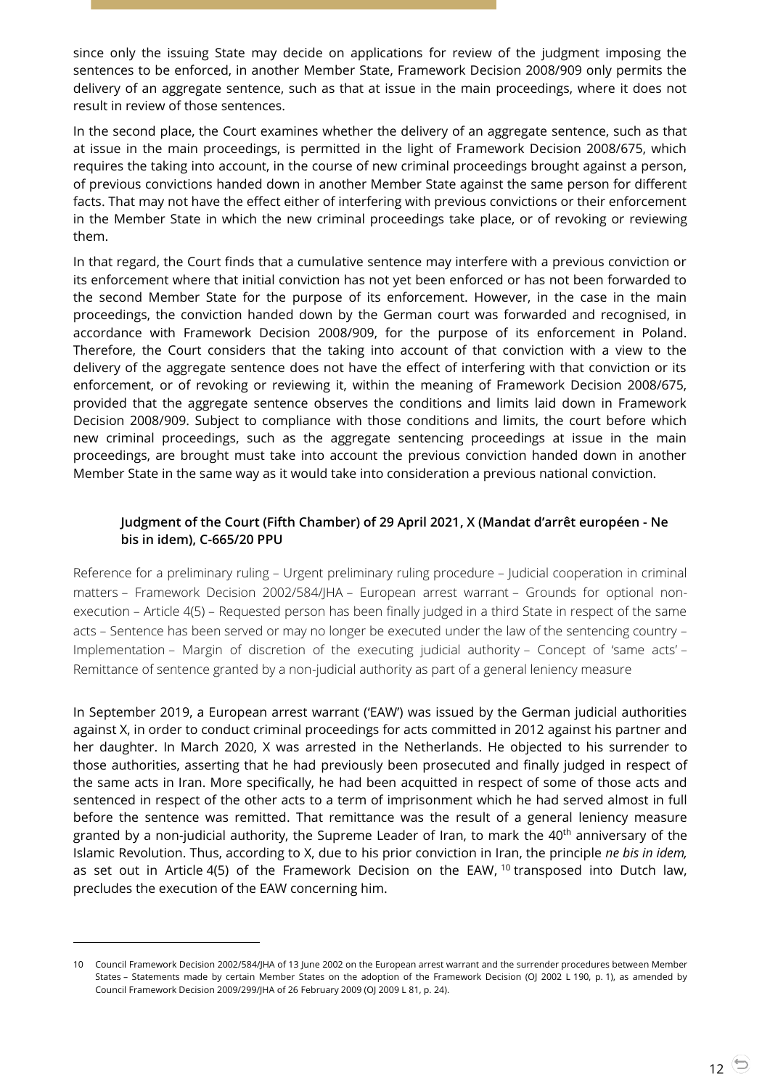since only the issuing State may decide on applications for review of the judgment imposing the sentences to be enforced, in another Member State, Framework Decision 2008/909 only permits the delivery of an aggregate sentence, such as that at issue in the main proceedings, where it does not result in review of those sentences.

In the second place, the Court examines whether the delivery of an aggregate sentence, such as that at issue in the main proceedings, is permitted in the light of Framework Decision 2008/675, which requires the taking into account, in the course of new criminal proceedings brought against a person, of previous convictions handed down in another Member State against the same person for different facts. That may not have the effect either of interfering with previous convictions or their enforcement in the Member State in which the new criminal proceedings take place, or of revoking or reviewing them.

In that regard, the Court finds that a cumulative sentence may interfere with a previous conviction or its enforcement where that initial conviction has not yet been enforced or has not been forwarded to the second Member State for the purpose of its enforcement. However, in the case in the main proceedings, the conviction handed down by the German court was forwarded and recognised, in accordance with Framework Decision 2008/909, for the purpose of its enforcement in Poland. Therefore, the Court considers that the taking into account of that conviction with a view to the delivery of the aggregate sentence does not have the effect of interfering with that conviction or its enforcement, or of revoking or reviewing it, within the meaning of Framework Decision 2008/675, provided that the aggregate sentence observes the conditions and limits laid down in Framework Decision 2008/909. Subject to compliance with those conditions and limits, the court before which new criminal proceedings, such as the aggregate sentencing proceedings at issue in the main proceedings, are brought must take into account the previous conviction handed down in another Member State in the same way as it would take into consideration a previous national conviction.

## <span id="page-11-0"></span>**Judgment of the Court (Fifth Chamber) of 29 April 2021, X (Mandat d'arrêt européen - Ne bis in idem), C-665/20 PPU**

Reference for a preliminary ruling – Urgent preliminary ruling procedure – Judicial cooperation in criminal matters – Framework Decision 2002/584/JHA – European arrest warrant – Grounds for optional nonexecution – Article 4(5) – Requested person has been finally judged in a third State in respect of the same acts – Sentence has been served or may no longer be executed under the law of the sentencing country – Implementation – Margin of discretion of the executing judicial authority – Concept of 'same acts' – Remittance of sentence granted by a non-judicial authority as part of a general leniency measure

In September 2019, a European arrest warrant ('EAW') was issued by the German judicial authorities against X, in order to conduct criminal proceedings for acts committed in 2012 against his partner and her daughter. In March 2020, X was arrested in the Netherlands. He objected to his surrender to those authorities, asserting that he had previously been prosecuted and finally judged in respect of the same acts in Iran. More specifically, he had been acquitted in respect of some of those acts and sentenced in respect of the other acts to a term of imprisonment which he had served almost in full before the sentence was remitted. That remittance was the result of a general leniency measure granted by a non-judicial authority, the Supreme Leader of Iran, to mark the  $40<sup>th</sup>$  anniversary of the Islamic Revolution. Thus, according to X, due to his prior conviction in Iran, the principle *ne bis in idem,*  as set out in Article  $4(5)$  of the Framework Decision on the EAW,  $^{10}$  transposed into Dutch law, precludes the execution of the EAW concerning him.

<sup>10</sup> Council Framework Decision 2002/584/JHA of 13 June 2002 on the European arrest warrant and the surrender procedures between Member States – Statements made by certain Member States on the adoption of the Framework Decision (OJ 2002 L 190, p. 1), as amended by Council Framework Decision 2009/299/JHA of 26 February 2009 (OJ 2009 L 81, p. 24).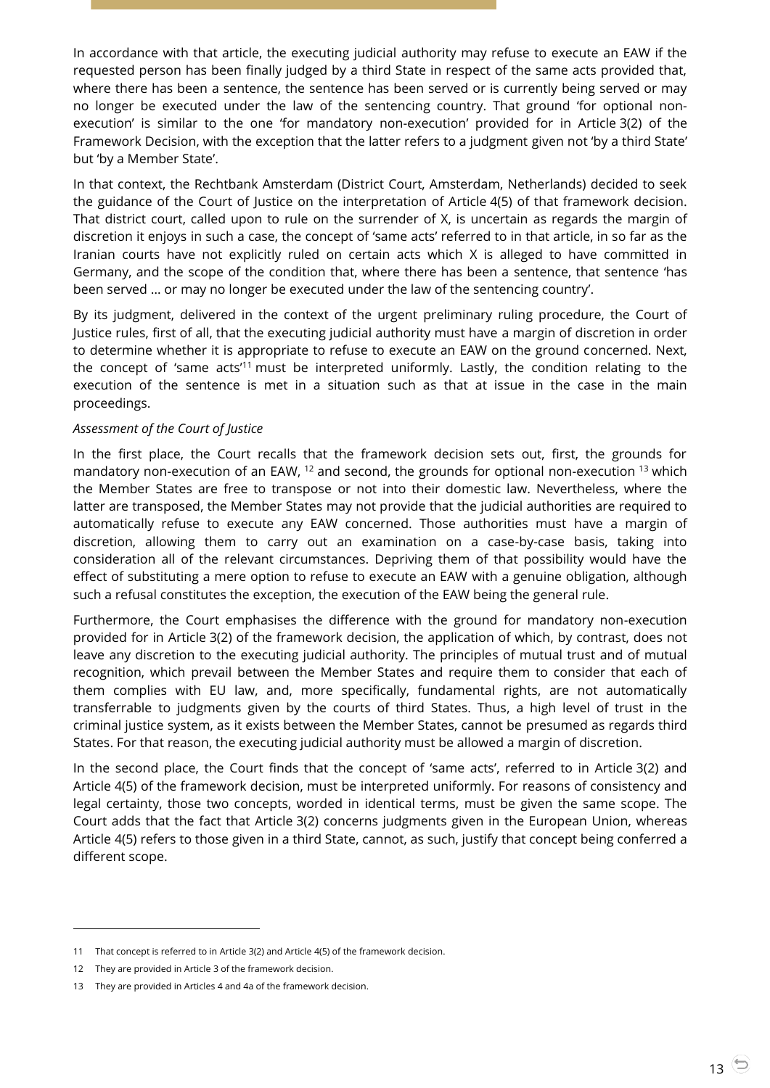In accordance with that article, the executing judicial authority may refuse to execute an EAW if the requested person has been finally judged by a third State in respect of the same acts provided that, where there has been a sentence, the sentence has been served or is currently being served or may no longer be executed under the law of the sentencing country. That ground 'for optional nonexecution' is similar to the one 'for mandatory non-execution' provided for in Article 3(2) of the Framework Decision, with the exception that the latter refers to a judgment given not 'by a third State' but 'by a Member State'.

In that context, the Rechtbank Amsterdam (District Court, Amsterdam, Netherlands) decided to seek the guidance of the Court of Justice on the interpretation of Article 4(5) of that framework decision. That district court, called upon to rule on the surrender of X, is uncertain as regards the margin of discretion it enjoys in such a case, the concept of 'same acts' referred to in that article, in so far as the Iranian courts have not explicitly ruled on certain acts which X is alleged to have committed in Germany, and the scope of the condition that, where there has been a sentence, that sentence 'has been served … or may no longer be executed under the law of the sentencing country'.

By its judgment, delivered in the context of the urgent preliminary ruling procedure, the Court of Justice rules, first of all, that the executing judicial authority must have a margin of discretion in order to determine whether it is appropriate to refuse to execute an EAW on the ground concerned. Next, the concept of 'same acts<sup>'11</sup> must be interpreted uniformly. Lastly, the condition relating to the execution of the sentence is met in a situation such as that at issue in the case in the main proceedings.

#### *Assessment of the Court of Justice*

In the first place, the Court recalls that the framework decision sets out, first, the grounds for mandatory non-execution of an EAW,  $^{12}$  and second, the grounds for optional non-execution  $^{13}$  which the Member States are free to transpose or not into their domestic law. Nevertheless, where the latter are transposed, the Member States may not provide that the judicial authorities are required to automatically refuse to execute any EAW concerned. Those authorities must have a margin of discretion, allowing them to carry out an examination on a case-by-case basis, taking into consideration all of the relevant circumstances. Depriving them of that possibility would have the effect of substituting a mere option to refuse to execute an EAW with a genuine obligation, although such a refusal constitutes the exception, the execution of the EAW being the general rule.

Furthermore, the Court emphasises the difference with the ground for mandatory non-execution provided for in Article 3(2) of the framework decision, the application of which, by contrast, does not leave any discretion to the executing judicial authority. The principles of mutual trust and of mutual recognition, which prevail between the Member States and require them to consider that each of them complies with EU law, and, more specifically, fundamental rights, are not automatically transferrable to judgments given by the courts of third States. Thus, a high level of trust in the criminal justice system, as it exists between the Member States, cannot be presumed as regards third States. For that reason, the executing judicial authority must be allowed a margin of discretion.

In the second place, the Court finds that the concept of 'same acts', referred to in Article 3(2) and Article 4(5) of the framework decision, must be interpreted uniformly. For reasons of consistency and legal certainty, those two concepts, worded in identical terms, must be given the same scope. The Court adds that the fact that Article 3(2) concerns judgments given in the European Union, whereas Article 4(5) refers to those given in a third State, cannot, as such, justify that concept being conferred a different scope.

-

<sup>11</sup> That concept is referred to in Article 3(2) and Article 4(5) of the framework decision.

<sup>12</sup> They are provided in Article 3 of the framework decision.

<sup>13</sup> They are provided in Articles 4 and 4a of the framework decision.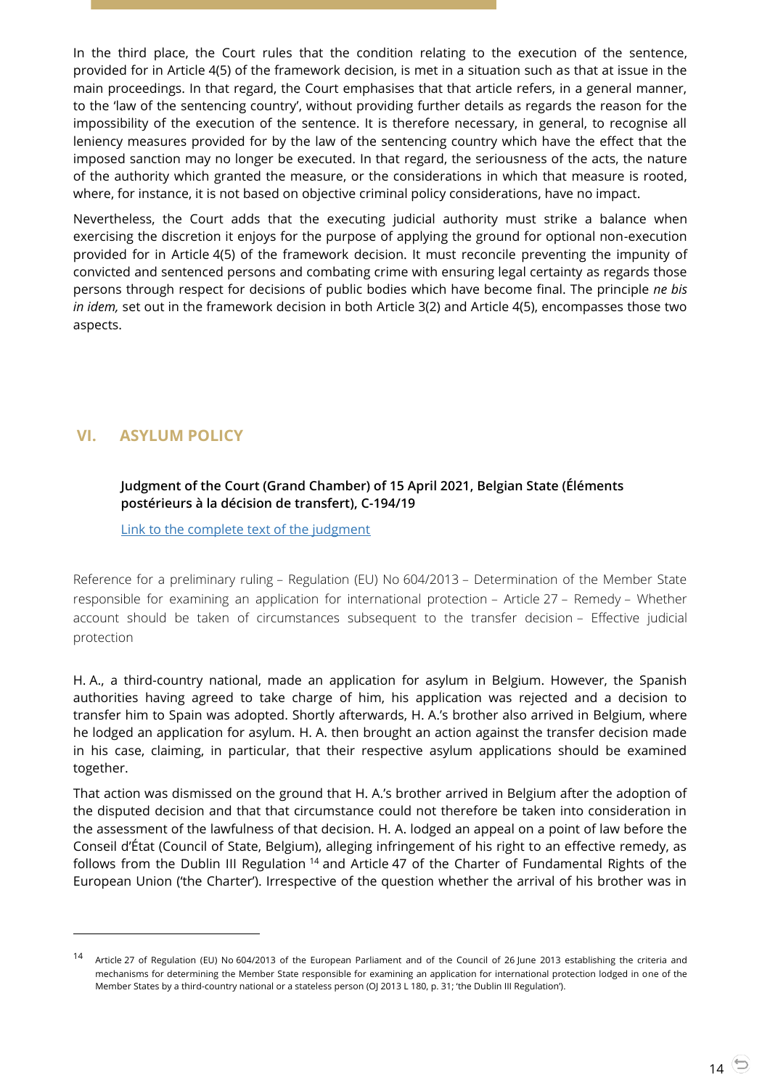In the third place, the Court rules that the condition relating to the execution of the sentence, provided for in Article 4(5) of the framework decision, is met in a situation such as that at issue in the main proceedings. In that regard, the Court emphasises that that article refers, in a general manner, to the 'law of the sentencing country', without providing further details as regards the reason for the impossibility of the execution of the sentence. It is therefore necessary, in general, to recognise all leniency measures provided for by the law of the sentencing country which have the effect that the imposed sanction may no longer be executed. In that regard, the seriousness of the acts, the nature of the authority which granted the measure, or the considerations in which that measure is rooted, where, for instance, it is not based on objective criminal policy considerations, have no impact.

Nevertheless, the Court adds that the executing judicial authority must strike a balance when exercising the discretion it enjoys for the purpose of applying the ground for optional non-execution provided for in Article 4(5) of the framework decision. It must reconcile preventing the impunity of convicted and sentenced persons and combating crime with ensuring legal certainty as regards those persons through respect for decisions of public bodies which have become final. The principle *ne bis in idem,* set out in the framework decision in both Article 3(2) and Article 4(5), encompasses those two aspects.

# <span id="page-13-1"></span><span id="page-13-0"></span>**VI. ASYLUM POLICY**

 $\overline{a}$ 

## **Judgment of the Court (Grand Chamber) of 15 April 2021, Belgian State (Éléments postérieurs à la décision de transfert), C-194/19**

[Link to the complete text of the judgment](https://curia.europa.eu/juris/document/document.jsf?text=&docid=239896&pageIndex=0&doclang=en&mode=lst&dir=&occ=first&part=1&cid=4582509)

Reference for a preliminary ruling – Regulation (EU) No 604/2013 – Determination of the Member State responsible for examining an application for international protection – Article 27 – Remedy – Whether account should be taken of circumstances subsequent to the transfer decision – Effective judicial protection

H. A., a third-country national, made an application for asylum in Belgium. However, the Spanish authorities having agreed to take charge of him, his application was rejected and a decision to transfer him to Spain was adopted. Shortly afterwards, H. A.'s brother also arrived in Belgium, where he lodged an application for asylum. H. A. then brought an action against the transfer decision made in his case, claiming, in particular, that their respective asylum applications should be examined together.

That action was dismissed on the ground that H. A.'s brother arrived in Belgium after the adoption of the disputed decision and that that circumstance could not therefore be taken into consideration in the assessment of the lawfulness of that decision. H. A. lodged an appeal on a point of law before the Conseil d'État (Council of State, Belgium), alleging infringement of his right to an effective remedy, as follows from the Dublin III Regulation <sup>14</sup> and Article 47 of the Charter of Fundamental Rights of the European Union ('the Charter'). Irrespective of the question whether the arrival of his brother was in

Article 27 of Regulation (EU) No 604/2013 of the European Parliament and of the Council of 26 June 2013 establishing the criteria and mechanisms for determining the Member State responsible for examining an application for international protection lodged in one of the Member States by a third-country national or a stateless person (OJ 2013 L 180, p. 31; 'the Dublin III Regulation').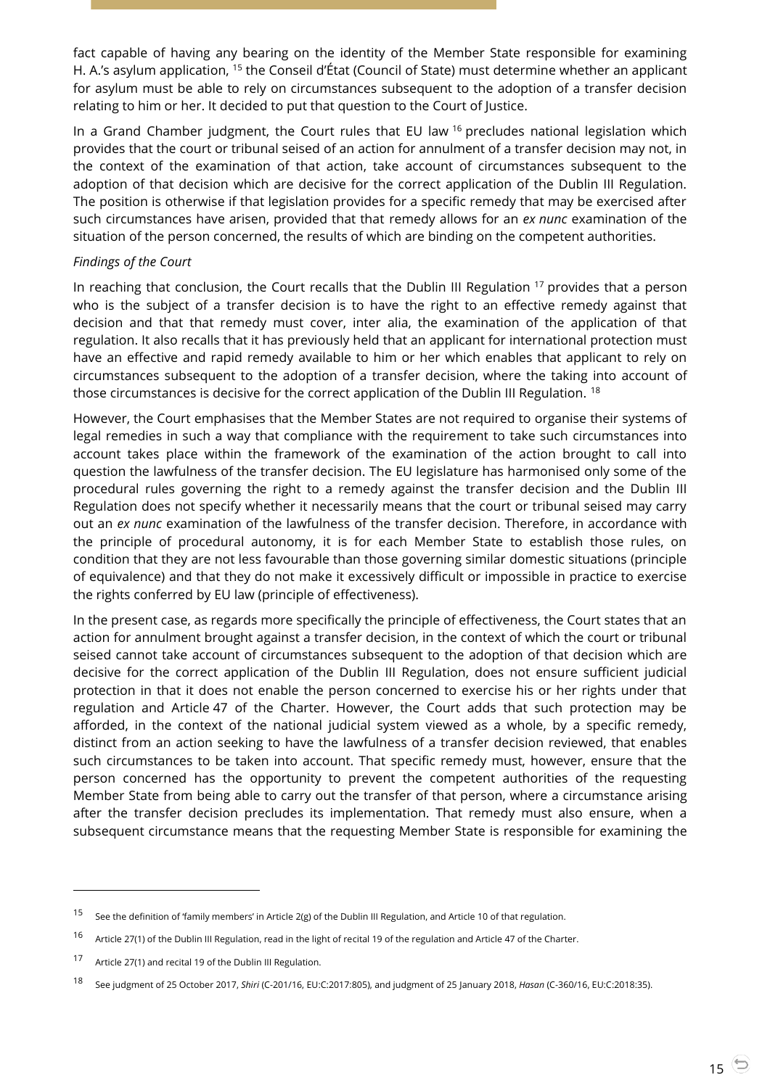fact capable of having any bearing on the identity of the Member State responsible for examining H. A.'s asylum application, <sup>15</sup> the Conseil d'État (Council of State) must determine whether an applicant for asylum must be able to rely on circumstances subsequent to the adoption of a transfer decision relating to him or her. It decided to put that question to the Court of Justice.

In a Grand Chamber judgment, the Court rules that EU law <sup>16</sup> precludes national legislation which provides that the court or tribunal seised of an action for annulment of a transfer decision may not, in the context of the examination of that action, take account of circumstances subsequent to the adoption of that decision which are decisive for the correct application of the Dublin III Regulation. The position is otherwise if that legislation provides for a specific remedy that may be exercised after such circumstances have arisen, provided that that remedy allows for an *ex nunc* examination of the situation of the person concerned, the results of which are binding on the competent authorities.

#### *Findings of the Court*

In reaching that conclusion, the Court recalls that the Dublin III Regulation <sup>17</sup> provides that a person who is the subject of a transfer decision is to have the right to an effective remedy against that decision and that that remedy must cover, inter alia, the examination of the application of that regulation. It also recalls that it has previously held that an applicant for international protection must have an effective and rapid remedy available to him or her which enables that applicant to rely on circumstances subsequent to the adoption of a transfer decision, where the taking into account of those circumstances is decisive for the correct application of the Dublin III Regulation. <sup>18</sup>

However, the Court emphasises that the Member States are not required to organise their systems of legal remedies in such a way that compliance with the requirement to take such circumstances into account takes place within the framework of the examination of the action brought to call into question the lawfulness of the transfer decision. The EU legislature has harmonised only some of the procedural rules governing the right to a remedy against the transfer decision and the Dublin III Regulation does not specify whether it necessarily means that the court or tribunal seised may carry out an *ex nunc* examination of the lawfulness of the transfer decision. Therefore, in accordance with the principle of procedural autonomy, it is for each Member State to establish those rules, on condition that they are not less favourable than those governing similar domestic situations (principle of equivalence) and that they do not make it excessively difficult or impossible in practice to exercise the rights conferred by EU law (principle of effectiveness).

In the present case, as regards more specifically the principle of effectiveness, the Court states that an action for annulment brought against a transfer decision, in the context of which the court or tribunal seised cannot take account of circumstances subsequent to the adoption of that decision which are decisive for the correct application of the Dublin III Regulation, does not ensure sufficient judicial protection in that it does not enable the person concerned to exercise his or her rights under that regulation and Article 47 of the Charter. However, the Court adds that such protection may be afforded, in the context of the national judicial system viewed as a whole, by a specific remedy, distinct from an action seeking to have the lawfulness of a transfer decision reviewed, that enables such circumstances to be taken into account. That specific remedy must, however, ensure that the person concerned has the opportunity to prevent the competent authorities of the requesting Member State from being able to carry out the transfer of that person, where a circumstance arising after the transfer decision precludes its implementation. That remedy must also ensure, when a subsequent circumstance means that the requesting Member State is responsible for examining the

<sup>&</sup>lt;sup>15</sup> See the definition of 'family members' in Article 2(g) of the Dublin III Regulation, and Article 10 of that regulation.

<sup>&</sup>lt;sup>16</sup> Article 27(1) of the Dublin III Regulation, read in the light of recital 19 of the regulation and Article 47 of the Charter.

<sup>17</sup> Article 27(1) and recital 19 of the Dublin III Regulation.

<sup>18</sup> See judgment of 25 October 2017, *Shiri* (C-201/16, EU:C:2017:805), and judgment of 25 January 2018, *Hasan* (C-360/16, EU:C:2018:35).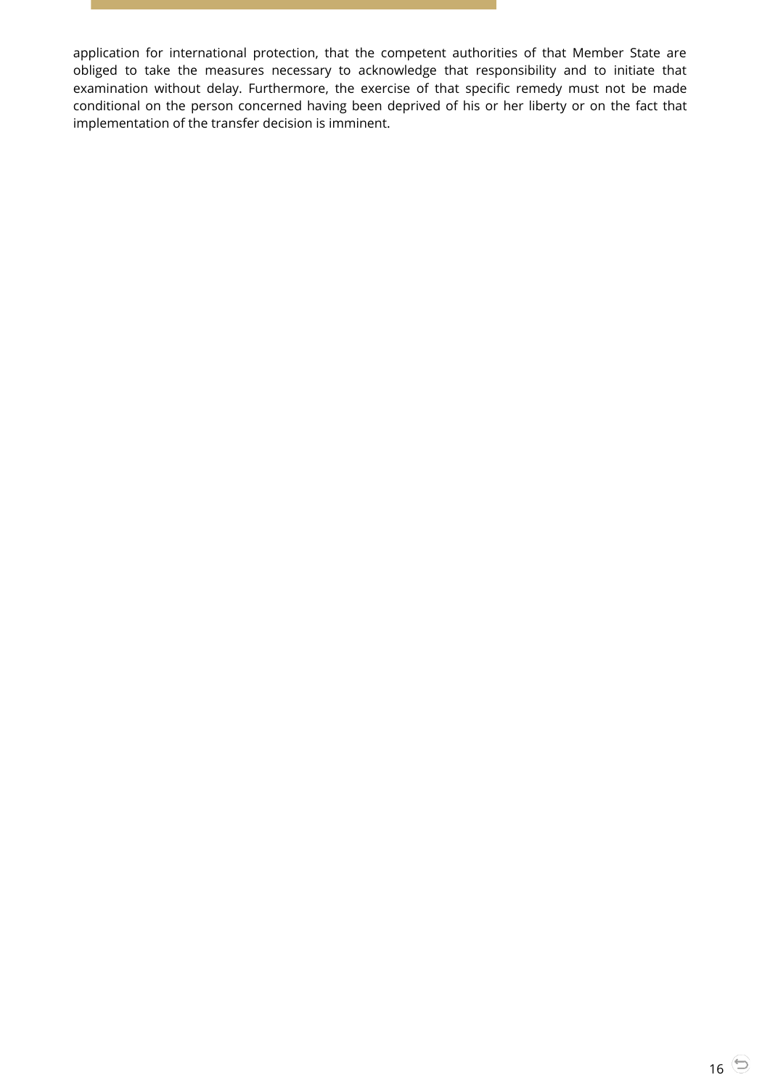application for international protection, that the competent authorities of that Member State are obliged to take the measures necessary to acknowledge that responsibility and to initiate that examination without delay. Furthermore, the exercise of that specific remedy must not be made conditional on the person concerned having been deprived of his or her liberty or on the fact that implementation of the transfer decision is imminent.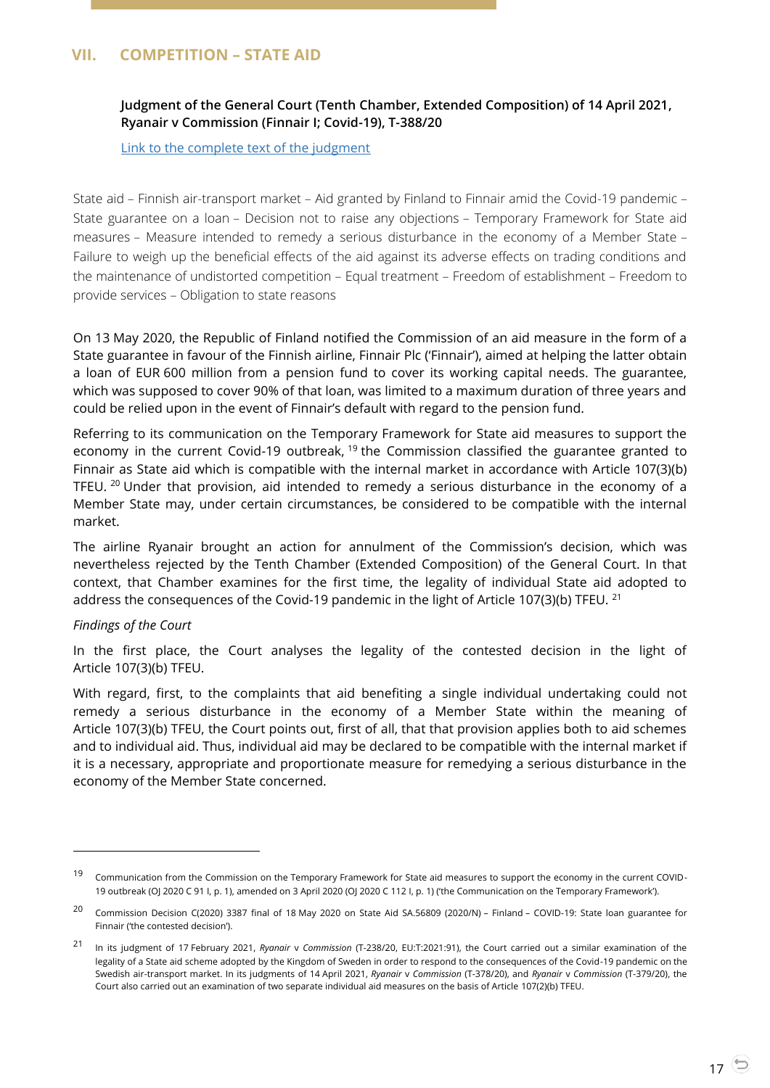# <span id="page-16-1"></span><span id="page-16-0"></span>**VII. COMPETITION – STATE AID**

**Judgment of the General Court (Tenth Chamber, Extended Composition) of 14 April 2021, Ryanair v Commission (Finnair I; Covid-19), T-388/20**

[Link to the complete text of the judgment](https://curia.europa.eu/juris/document/document.jsf?text=&docid=239866&pageIndex=0&doclang=EN&mode=lst&dir=&occ=first&part=1&cid=4583305)

State aid – Finnish air-transport market – Aid granted by Finland to Finnair amid the Covid-19 pandemic – State guarantee on a loan – Decision not to raise any objections – Temporary Framework for State aid measures – Measure intended to remedy a serious disturbance in the economy of a Member State – Failure to weigh up the beneficial effects of the aid against its adverse effects on trading conditions and the maintenance of undistorted competition – Equal treatment – Freedom of establishment – Freedom to provide services – Obligation to state reasons

On 13 May 2020, the Republic of Finland notified the Commission of an aid measure in the form of a State guarantee in favour of the Finnish airline, Finnair Plc ('Finnair'), aimed at helping the latter obtain a loan of EUR 600 million from a pension fund to cover its working capital needs. The guarantee, which was supposed to cover 90% of that loan, was limited to a maximum duration of three years and could be relied upon in the event of Finnair's default with regard to the pension fund.

Referring to its communication on the Temporary Framework for State aid measures to support the economy in the current Covid-19 outbreak, <sup>19</sup> the Commission classified the guarantee granted to Finnair as State aid which is compatible with the internal market in accordance with Article 107(3)(b) TFEU. <sup>20</sup> Under that provision, aid intended to remedy a serious disturbance in the economy of a Member State may, under certain circumstances, be considered to be compatible with the internal market.

The airline Ryanair brought an action for annulment of the Commission's decision, which was nevertheless rejected by the Tenth Chamber (Extended Composition) of the General Court. In that context, that Chamber examines for the first time, the legality of individual State aid adopted to address the consequences of the Covid-19 pandemic in the light of Article 107(3)(b) TFEU. <sup>21</sup>

#### *Findings of the Court*

-

In the first place, the Court analyses the legality of the contested decision in the light of Article 107(3)(b) TFEU.

With regard, first, to the complaints that aid benefiting a single individual undertaking could not remedy a serious disturbance in the economy of a Member State within the meaning of Article 107(3)(b) TFEU, the Court points out, first of all, that that provision applies both to aid schemes and to individual aid. Thus, individual aid may be declared to be compatible with the internal market if it is a necessary, appropriate and proportionate measure for remedying a serious disturbance in the economy of the Member State concerned.

<sup>&</sup>lt;sup>19</sup> Communication from the Commission on the Temporary Framework for State aid measures to support the economy in the current COVID-19 outbreak (OJ 2020 C 91 I, p. 1), amended on 3 April 2020 (OJ 2020 C 112 I, p. 1) ('the Communication on the Temporary Framework').

<sup>&</sup>lt;sup>20</sup> Commission Decision C(2020) 3387 final of 18 May 2020 on State Aid SA.56809 (2020/N) – Finland – COVID-19: State loan guarantee for Finnair ('the contested decision').

<sup>21</sup> In its judgment of 17 February 2021, *Ryanair* <sup>v</sup>*Commission* (T-238/20, EU:T:2021:91), the Court carried out a similar examination of the legality of a State aid scheme adopted by the Kingdom of Sweden in order to respond to the consequences of the Covid-19 pandemic on the Swedish air-transport market. In its judgments of 14 April 2021, *Ryanair* v *Commission* (T-378/20), and *Ryanair* v *Commission* (T-379/20), the Court also carried out an examination of two separate individual aid measures on the basis of Article 107(2)(b) TFEU.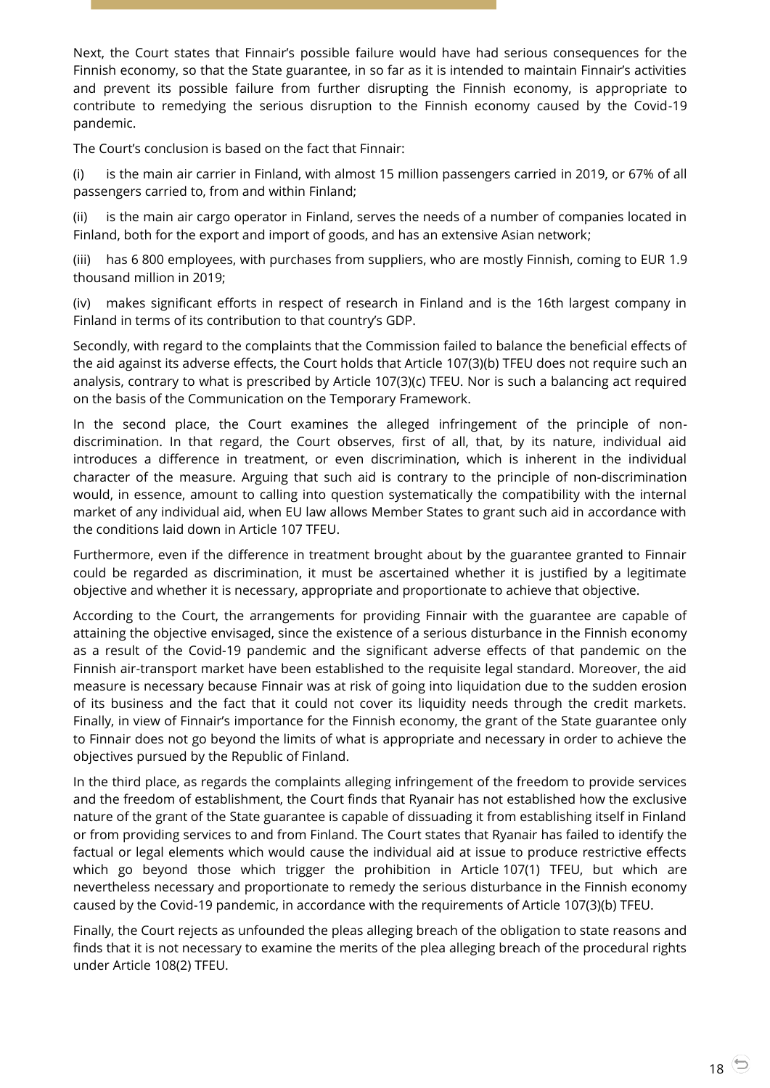Next, the Court states that Finnair's possible failure would have had serious consequences for the Finnish economy, so that the State guarantee, in so far as it is intended to maintain Finnair's activities and prevent its possible failure from further disrupting the Finnish economy, is appropriate to contribute to remedying the serious disruption to the Finnish economy caused by the Covid-19 pandemic.

The Court's conclusion is based on the fact that Finnair:

(i) is the main air carrier in Finland, with almost 15 million passengers carried in 2019, or 67% of all passengers carried to, from and within Finland;

(ii) is the main air cargo operator in Finland, serves the needs of a number of companies located in Finland, both for the export and import of goods, and has an extensive Asian network;

(iii) has 6 800 employees, with purchases from suppliers, who are mostly Finnish, coming to EUR 1.9 thousand million in 2019;

(iv) makes significant efforts in respect of research in Finland and is the 16th largest company in Finland in terms of its contribution to that country's GDP.

Secondly, with regard to the complaints that the Commission failed to balance the beneficial effects of the aid against its adverse effects, the Court holds that Article 107(3)(b) TFEU does not require such an analysis, contrary to what is prescribed by Article 107(3)(c) TFEU. Nor is such a balancing act required on the basis of the Communication on the Temporary Framework.

In the second place, the Court examines the alleged infringement of the principle of nondiscrimination. In that regard, the Court observes, first of all, that, by its nature, individual aid introduces a difference in treatment, or even discrimination, which is inherent in the individual character of the measure. Arguing that such aid is contrary to the principle of non-discrimination would, in essence, amount to calling into question systematically the compatibility with the internal market of any individual aid, when EU law allows Member States to grant such aid in accordance with the conditions laid down in Article 107 TFEU.

Furthermore, even if the difference in treatment brought about by the guarantee granted to Finnair could be regarded as discrimination, it must be ascertained whether it is justified by a legitimate objective and whether it is necessary, appropriate and proportionate to achieve that objective.

According to the Court, the arrangements for providing Finnair with the guarantee are capable of attaining the objective envisaged, since the existence of a serious disturbance in the Finnish economy as a result of the Covid-19 pandemic and the significant adverse effects of that pandemic on the Finnish air-transport market have been established to the requisite legal standard. Moreover, the aid measure is necessary because Finnair was at risk of going into liquidation due to the sudden erosion of its business and the fact that it could not cover its liquidity needs through the credit markets. Finally, in view of Finnair's importance for the Finnish economy, the grant of the State guarantee only to Finnair does not go beyond the limits of what is appropriate and necessary in order to achieve the objectives pursued by the Republic of Finland.

In the third place, as regards the complaints alleging infringement of the freedom to provide services and the freedom of establishment, the Court finds that Ryanair has not established how the exclusive nature of the grant of the State guarantee is capable of dissuading it from establishing itself in Finland or from providing services to and from Finland. The Court states that Ryanair has failed to identify the factual or legal elements which would cause the individual aid at issue to produce restrictive effects which go beyond those which trigger the prohibition in Article 107(1) TFEU, but which are nevertheless necessary and proportionate to remedy the serious disturbance in the Finnish economy caused by the Covid-19 pandemic, in accordance with the requirements of Article 107(3)(b) TFEU.

Finally, the Court rejects as unfounded the pleas alleging breach of the obligation to state reasons and finds that it is not necessary to examine the merits of the plea alleging breach of the procedural rights under Article 108(2) TFEU.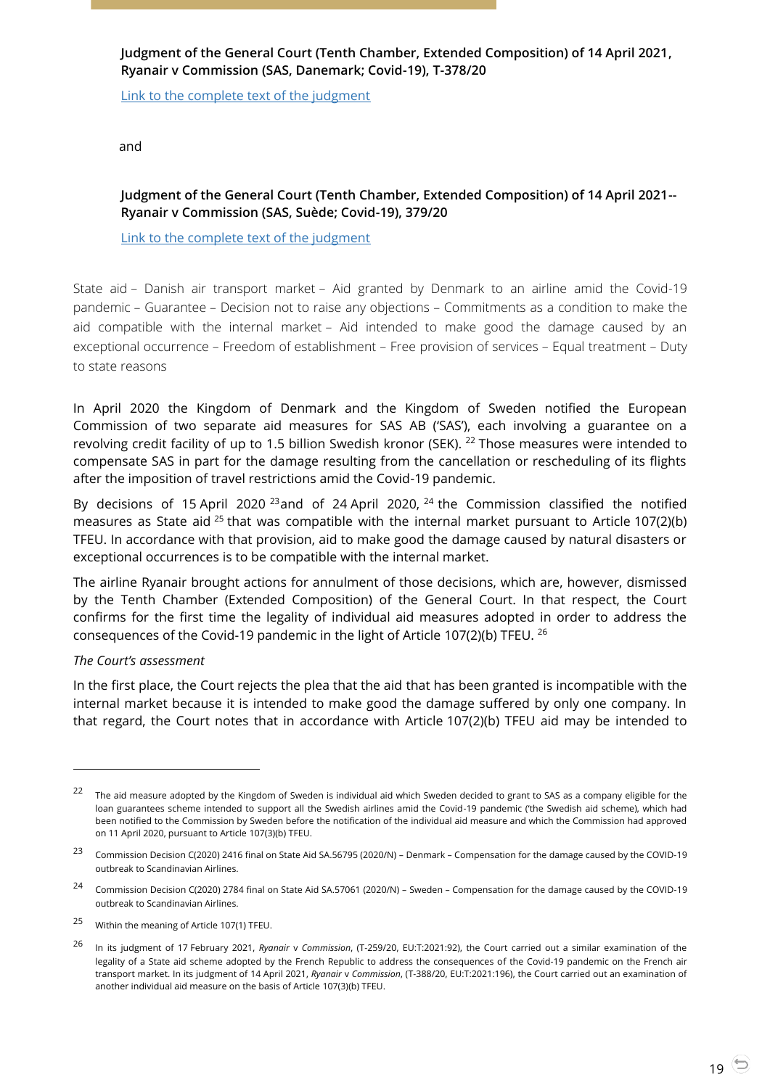## <span id="page-18-0"></span>**Judgment of the General Court (Tenth Chamber, Extended Composition) of 14 April 2021, Ryanair v Commission (SAS, Danemark; Covid-19), T-378/20**

[Link to the complete text of the judgment](https://curia.europa.eu/juris/document/document.jsf?text=&docid=239864&pageIndex=0&doclang=EN&mode=lst&dir=&occ=first&part=1&cid=4592271)

<span id="page-18-1"></span>and

## **Judgment of the General Court (Tenth Chamber, Extended Composition) of 14 April 2021-- Ryanair v Commission (SAS, Suède; Covid-19), 379/20**

#### [Link to the complete text of the judgment](https://curia.europa.eu/juris/document/document.jsf?text=&docid=239863&pageIndex=0&doclang=EN&mode=lst&dir=&occ=first&part=1&cid=4709153)

State aid – Danish air transport market – Aid granted by Denmark to an airline amid the Covid-19 pandemic – Guarantee – Decision not to raise any objections – Commitments as a condition to make the aid compatible with the internal market – Aid intended to make good the damage caused by an exceptional occurrence – Freedom of establishment – Free provision of services – Equal treatment – Duty to state reasons

In April 2020 the Kingdom of Denmark and the Kingdom of Sweden notified the European Commission of two separate aid measures for SAS AB ('SAS'), each involving a guarantee on a revolving credit facility of up to 1.5 billion Swedish kronor (SEK). <sup>22</sup> Those measures were intended to compensate SAS in part for the damage resulting from the cancellation or rescheduling of its flights after the imposition of travel restrictions amid the Covid-19 pandemic.

By decisions of 15 April 2020<sup>23</sup> and of 24 April 2020,  $24$  the Commission classified the notified measures as State aid <sup>25</sup> that was compatible with the internal market pursuant to Article 107(2)(b) TFEU. In accordance with that provision, aid to make good the damage caused by natural disasters or exceptional occurrences is to be compatible with the internal market.

The airline Ryanair brought actions for annulment of those decisions, which are, however, dismissed by the Tenth Chamber (Extended Composition) of the General Court. In that respect, the Court confirms for the first time the legality of individual aid measures adopted in order to address the consequences of the Covid-19 pandemic in the light of Article 107(2)(b) TFEU. <sup>26</sup>

#### *The Court's assessment*

 $\overline{a}$ 

In the first place, the Court rejects the plea that the aid that has been granted is incompatible with the internal market because it is intended to make good the damage suffered by only one company. In that regard, the Court notes that in accordance with Article 107(2)(b) TFEU aid may be intended to

 $22$  The aid measure adopted by the Kingdom of Sweden is individual aid which Sweden decided to grant to SAS as a company eligible for the loan guarantees scheme intended to support all the Swedish airlines amid the Covid-19 pandemic ('the Swedish aid scheme), which had been notified to the Commission by Sweden before the notification of the individual aid measure and which the Commission had approved on 11 April 2020, pursuant to Article 107(3)(b) TFEU.

<sup>23</sup> Commission Decision C(2020) 2416 final on State Aid SA.56795 (2020/N) – Denmark – Compensation for the damage caused by the COVID-19 outbreak to Scandinavian Airlines.

<sup>24</sup> Commission Decision C(2020) 2784 final on State Aid SA.57061 (2020/N) – Sweden – Compensation for the damage caused by the COVID-19 outbreak to Scandinavian Airlines.

<sup>25</sup> Within the meaning of Article 107(1) TFEU.

<sup>26</sup> In its judgment of 17 February 2021, *Ryanair* <sup>v</sup>*Commission*, (T-259/20, EU:T:2021:92), the Court carried out a similar examination of the legality of a State aid scheme adopted by the French Republic to address the consequences of the Covid-19 pandemic on the French air transport market. In its judgment of 14 April 2021, *Ryanair* v *Commission*, (T-388/20, EU:T:2021:196), the Court carried out an examination of another individual aid measure on the basis of Article 107(3)(b) TFEU.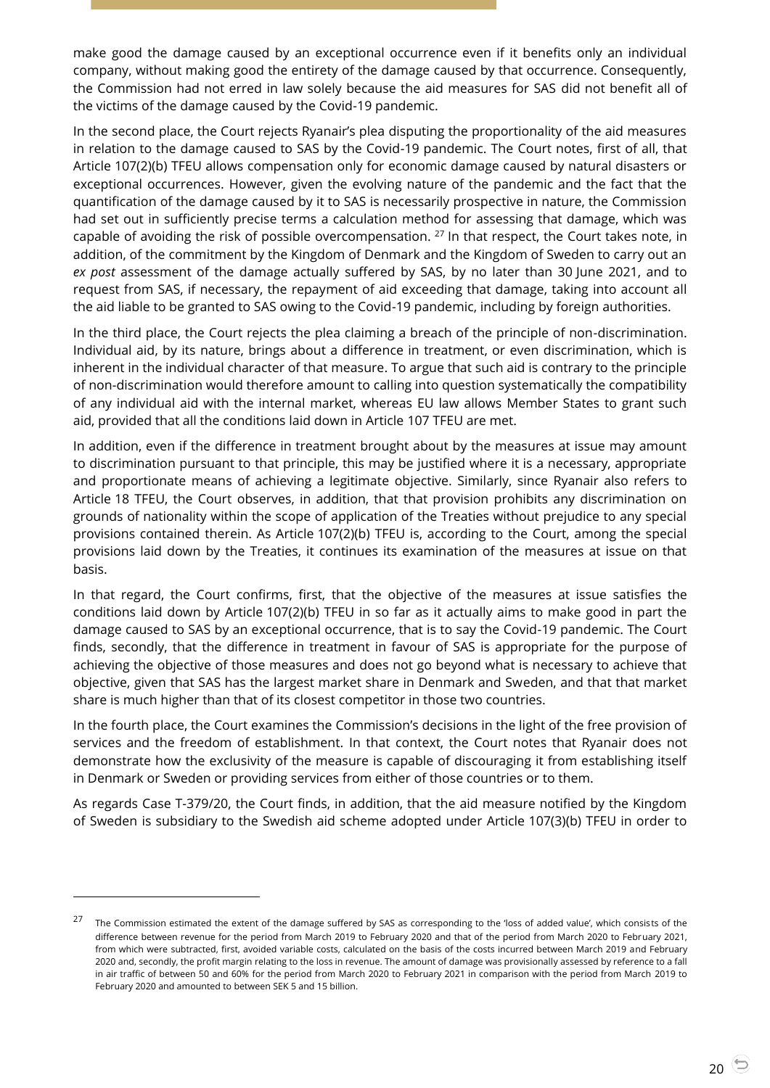make good the damage caused by an exceptional occurrence even if it benefits only an individual company, without making good the entirety of the damage caused by that occurrence. Consequently, the Commission had not erred in law solely because the aid measures for SAS did not benefit all of the victims of the damage caused by the Covid-19 pandemic.

In the second place, the Court rejects Ryanair's plea disputing the proportionality of the aid measures in relation to the damage caused to SAS by the Covid-19 pandemic. The Court notes, first of all, that Article 107(2)(b) TFEU allows compensation only for economic damage caused by natural disasters or exceptional occurrences. However, given the evolving nature of the pandemic and the fact that the quantification of the damage caused by it to SAS is necessarily prospective in nature, the Commission had set out in sufficiently precise terms a calculation method for assessing that damage, which was capable of avoiding the risk of possible overcompensation. <sup>27</sup> In that respect, the Court takes note, in addition, of the commitment by the Kingdom of Denmark and the Kingdom of Sweden to carry out an *ex post* assessment of the damage actually suffered by SAS, by no later than 30 June 2021, and to request from SAS, if necessary, the repayment of aid exceeding that damage, taking into account all the aid liable to be granted to SAS owing to the Covid-19 pandemic, including by foreign authorities.

In the third place, the Court rejects the plea claiming a breach of the principle of non-discrimination. Individual aid, by its nature, brings about a difference in treatment, or even discrimination, which is inherent in the individual character of that measure. To argue that such aid is contrary to the principle of non-discrimination would therefore amount to calling into question systematically the compatibility of any individual aid with the internal market, whereas EU law allows Member States to grant such aid, provided that all the conditions laid down in Article 107 TFEU are met.

In addition, even if the difference in treatment brought about by the measures at issue may amount to discrimination pursuant to that principle, this may be justified where it is a necessary, appropriate and proportionate means of achieving a legitimate objective. Similarly, since Ryanair also refers to Article 18 TFEU, the Court observes, in addition, that that provision prohibits any discrimination on grounds of nationality within the scope of application of the Treaties without prejudice to any special provisions contained therein. As Article 107(2)(b) TFEU is, according to the Court, among the special provisions laid down by the Treaties, it continues its examination of the measures at issue on that basis.

In that regard, the Court confirms, first, that the objective of the measures at issue satisfies the conditions laid down by Article 107(2)(b) TFEU in so far as it actually aims to make good in part the damage caused to SAS by an exceptional occurrence, that is to say the Covid-19 pandemic. The Court finds, secondly, that the difference in treatment in favour of SAS is appropriate for the purpose of achieving the objective of those measures and does not go beyond what is necessary to achieve that objective, given that SAS has the largest market share in Denmark and Sweden, and that that market share is much higher than that of its closest competitor in those two countries.

In the fourth place, the Court examines the Commission's decisions in the light of the free provision of services and the freedom of establishment. In that context, the Court notes that Ryanair does not demonstrate how the exclusivity of the measure is capable of discouraging it from establishing itself in Denmark or Sweden or providing services from either of those countries or to them.

As regards Case T-379/20, the Court finds, in addition, that the aid measure notified by the Kingdom of Sweden is subsidiary to the Swedish aid scheme adopted under Article 107(3)(b) TFEU in order to

<sup>27</sup> The Commission estimated the extent of the damage suffered by SAS as corresponding to the 'loss of added value', which consists of the difference between revenue for the period from March 2019 to February 2020 and that of the period from March 2020 to February 2021, from which were subtracted, first, avoided variable costs, calculated on the basis of the costs incurred between March 2019 and February 2020 and, secondly, the profit margin relating to the loss in revenue. The amount of damage was provisionally assessed by reference to a fall in air traffic of between 50 and 60% for the period from March 2020 to February 2021 in comparison with the period from March 2019 to February 2020 and amounted to between SEK 5 and 15 billion.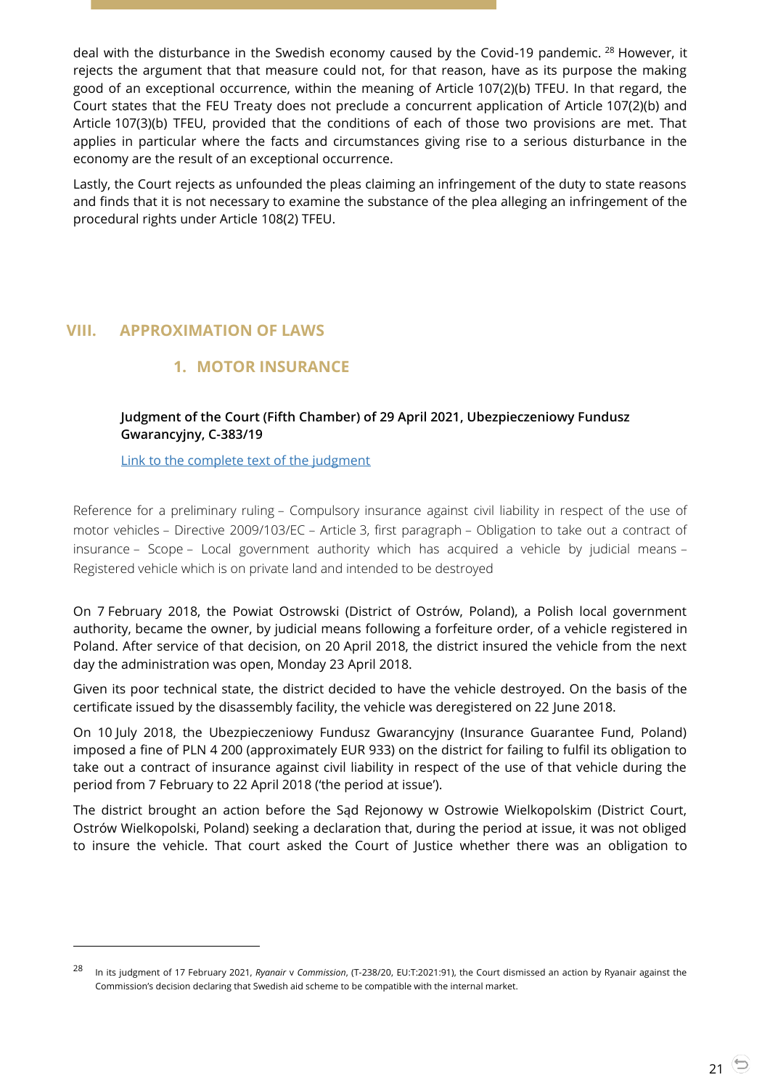deal with the disturbance in the Swedish economy caused by the Covid-19 pandemic. <sup>28</sup> However, it rejects the argument that that measure could not, for that reason, have as its purpose the making good of an exceptional occurrence, within the meaning of Article 107(2)(b) TFEU. In that regard, the Court states that the FEU Treaty does not preclude a concurrent application of Article 107(2)(b) and Article 107(3)(b) TFEU, provided that the conditions of each of those two provisions are met. That applies in particular where the facts and circumstances giving rise to a serious disturbance in the economy are the result of an exceptional occurrence.

Lastly, the Court rejects as unfounded the pleas claiming an infringement of the duty to state reasons and finds that it is not necessary to examine the substance of the plea alleging an infringement of the procedural rights under Article 108(2) TFEU.

# <span id="page-20-2"></span><span id="page-20-1"></span><span id="page-20-0"></span>**VIII. APPROXIMATION OF LAWS**

-

# **1. MOTOR INSURANCE**

# **Judgment of the Court (Fifth Chamber) of 29 April 2021, Ubezpieczeniowy Fundusz Gwarancyjny, C-383/19**

[Link to the complete text of the judgment](https://curia.europa.eu/juris/document/document.jsf?text=&docid=240549&pageIndex=0&doclang=EN&mode=lst&dir=&occ=first&part=1&cid=170416)

Reference for a preliminary ruling – Compulsory insurance against civil liability in respect of the use of motor vehicles – Directive 2009/103/EC – Article 3, first paragraph – Obligation to take out a contract of insurance – Scope – Local government authority which has acquired a vehicle by judicial means – Registered vehicle which is on private land and intended to be destroyed

On 7 February 2018, the Powiat Ostrowski (District of Ostrów, Poland), a Polish local government authority, became the owner, by judicial means following a forfeiture order, of a vehicle registered in Poland. After service of that decision, on 20 April 2018, the district insured the vehicle from the next day the administration was open, Monday 23 April 2018.

Given its poor technical state, the district decided to have the vehicle destroyed. On the basis of the certificate issued by the disassembly facility, the vehicle was deregistered on 22 June 2018.

On 10 July 2018, the Ubezpieczeniowy Fundusz Gwarancyjny (Insurance Guarantee Fund, Poland) imposed a fine of PLN 4 200 (approximately EUR 933) on the district for failing to fulfil its obligation to take out a contract of insurance against civil liability in respect of the use of that vehicle during the period from 7 February to 22 April 2018 ('the period at issue').

The district brought an action before the Sąd Rejonowy w Ostrowie Wielkopolskim (District Court, Ostrów Wielkopolski, Poland) seeking a declaration that, during the period at issue, it was not obliged to insure the vehicle. That court asked the Court of Justice whether there was an obligation to

<sup>28</sup> In its judgment of 17 February 2021, *Ryanair* <sup>v</sup>*Commission*, (T-238/20, EU:T:2021:91), the Court dismissed an action by Ryanair against the Commission's decision declaring that Swedish aid scheme to be compatible with the internal market.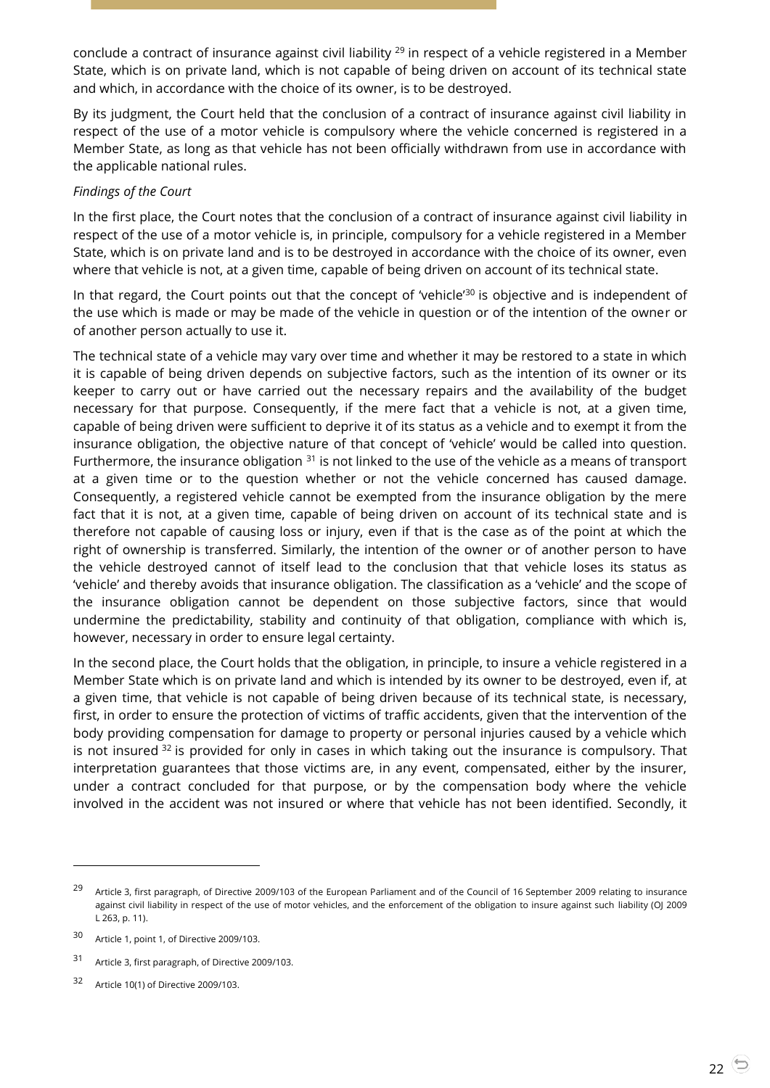conclude a contract of insurance against civil liability <sup>29</sup> in respect of a vehicle registered in a Member State, which is on private land, which is not capable of being driven on account of its technical state and which, in accordance with the choice of its owner, is to be destroyed.

By its judgment, the Court held that the conclusion of a contract of insurance against civil liability in respect of the use of a motor vehicle is compulsory where the vehicle concerned is registered in a Member State, as long as that vehicle has not been officially withdrawn from use in accordance with the applicable national rules.

#### *Findings of the Court*

In the first place, the Court notes that the conclusion of a contract of insurance against civil liability in respect of the use of a motor vehicle is, in principle, compulsory for a vehicle registered in a Member State, which is on private land and is to be destroyed in accordance with the choice of its owner, even where that vehicle is not, at a given time, capable of being driven on account of its technical state.

In that regard, the Court points out that the concept of 'vehicle'<sup>30</sup> is objective and is independent of the use which is made or may be made of the vehicle in question or of the intention of the owner or of another person actually to use it.

The technical state of a vehicle may vary over time and whether it may be restored to a state in which it is capable of being driven depends on subjective factors, such as the intention of its owner or its keeper to carry out or have carried out the necessary repairs and the availability of the budget necessary for that purpose. Consequently, if the mere fact that a vehicle is not, at a given time, capable of being driven were sufficient to deprive it of its status as a vehicle and to exempt it from the insurance obligation, the objective nature of that concept of 'vehicle' would be called into question. Furthermore, the insurance obligation  $31$  is not linked to the use of the vehicle as a means of transport at a given time or to the question whether or not the vehicle concerned has caused damage. Consequently, a registered vehicle cannot be exempted from the insurance obligation by the mere fact that it is not, at a given time, capable of being driven on account of its technical state and is therefore not capable of causing loss or injury, even if that is the case as of the point at which the right of ownership is transferred. Similarly, the intention of the owner or of another person to have the vehicle destroyed cannot of itself lead to the conclusion that that vehicle loses its status as 'vehicle' and thereby avoids that insurance obligation. The classification as a 'vehicle' and the scope of the insurance obligation cannot be dependent on those subjective factors, since that would undermine the predictability, stability and continuity of that obligation, compliance with which is, however, necessary in order to ensure legal certainty.

In the second place, the Court holds that the obligation, in principle, to insure a vehicle registered in a Member State which is on private land and which is intended by its owner to be destroyed, even if, at a given time, that vehicle is not capable of being driven because of its technical state, is necessary, first, in order to ensure the protection of victims of traffic accidents, given that the intervention of the body providing compensation for damage to property or personal injuries caused by a vehicle which is not insured  $32$  is provided for only in cases in which taking out the insurance is compulsory. That interpretation guarantees that those victims are, in any event, compensated, either by the insurer, under a contract concluded for that purpose, or by the compensation body where the vehicle involved in the accident was not insured or where that vehicle has not been identified. Secondly, it

<sup>&</sup>lt;sup>29</sup> Article 3, first paragraph, of Directive 2009/103 of the European Parliament and of the Council of 16 September 2009 relating to insurance against civil liability in respect of the use of motor vehicles, and the enforcement of the obligation to insure against such liability (OJ 2009 L 263, p. 11).

<sup>30</sup> Article 1, point 1, of Directive 2009/103.

<sup>31</sup> Article 3, first paragraph, of Directive 2009/103.

<sup>32</sup> Article 10(1) of Directive 2009/103.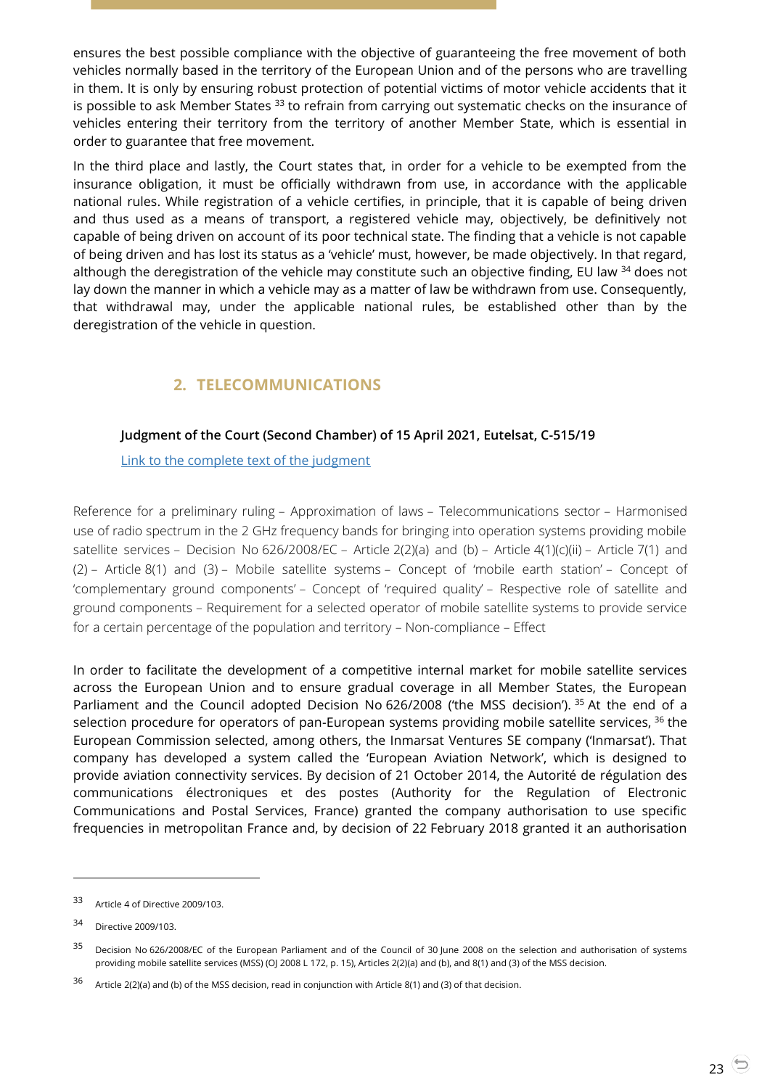ensures the best possible compliance with the objective of guaranteeing the free movement of both vehicles normally based in the territory of the European Union and of the persons who are travelling in them. It is only by ensuring robust protection of potential victims of motor vehicle accidents that it is possible to ask Member States <sup>33</sup> to refrain from carrying out systematic checks on the insurance of vehicles entering their territory from the territory of another Member State, which is essential in order to guarantee that free movement.

In the third place and lastly, the Court states that, in order for a vehicle to be exempted from the insurance obligation, it must be officially withdrawn from use, in accordance with the applicable national rules. While registration of a vehicle certifies, in principle, that it is capable of being driven and thus used as a means of transport, a registered vehicle may, objectively, be definitively not capable of being driven on account of its poor technical state. The finding that a vehicle is not capable of being driven and has lost its status as a 'vehicle' must, however, be made objectively. In that regard, although the deregistration of the vehicle may constitute such an objective finding, EU law <sup>34</sup> does not lay down the manner in which a vehicle may as a matter of law be withdrawn from use. Consequently, that withdrawal may, under the applicable national rules, be established other than by the deregistration of the vehicle in question.

# **2. TELECOMMUNICATIONS**

## <span id="page-22-1"></span><span id="page-22-0"></span>**Judgment of the Court (Second Chamber) of 15 April 2021, Eutelsat, C-515/19**

[Link to the complete text of the judgment](https://curia.europa.eu/juris/document/document.jsf?text=&docid=239893&pageIndex=0&doclang=EN&mode=lst&dir=&occ=first&part=1&cid=4596206)

Reference for a preliminary ruling – Approximation of laws – Telecommunications sector – Harmonised use of radio spectrum in the 2 GHz frequency bands for bringing into operation systems providing mobile satellite services – Decision No 626/2008/EC – Article 2(2)(a) and (b) – Article 4(1)(c)(ii) – Article 7(1) and (2) – Article 8(1) and (3) – Mobile satellite systems – Concept of 'mobile earth station' – Concept of 'complementary ground components' – Concept of 'required quality' – Respective role of satellite and ground components – Requirement for a selected operator of mobile satellite systems to provide service for a certain percentage of the population and territory – Non-compliance – Effect

In order to facilitate the development of a competitive internal market for mobile satellite services across the European Union and to ensure gradual coverage in all Member States, the European Parliament and the Council adopted Decision No 626/2008 ('the MSS decision'). <sup>35</sup> At the end of a selection procedure for operators of pan-European systems providing mobile satellite services, <sup>36</sup> the European Commission selected, among others, the Inmarsat Ventures SE company ('Inmarsat'). That company has developed a system called the 'European Aviation Network', which is designed to provide aviation connectivity services. By decision of 21 October 2014, the Autorité de régulation des communications électroniques et des postes (Authority for the Regulation of Electronic Communications and Postal Services, France) granted the company authorisation to use specific frequencies in metropolitan France and, by decision of 22 February 2018 granted it an authorisation

<sup>33</sup> Article 4 of Directive 2009/103.

<sup>34</sup> Directive 2009/103.

<sup>&</sup>lt;sup>35</sup> Decision No 626/2008/EC of the European Parliament and of the Council of 30 June 2008 on the selection and authorisation of systems providing mobile satellite services (MSS) (OJ 2008 L 172, p. 15), Articles 2(2)(a) and (b), and 8(1) and (3) of the MSS decision.

<sup>36</sup> Article 2(2)(a) and (b) of the MSS decision, read in conjunction with Article 8(1) and (3) of that decision.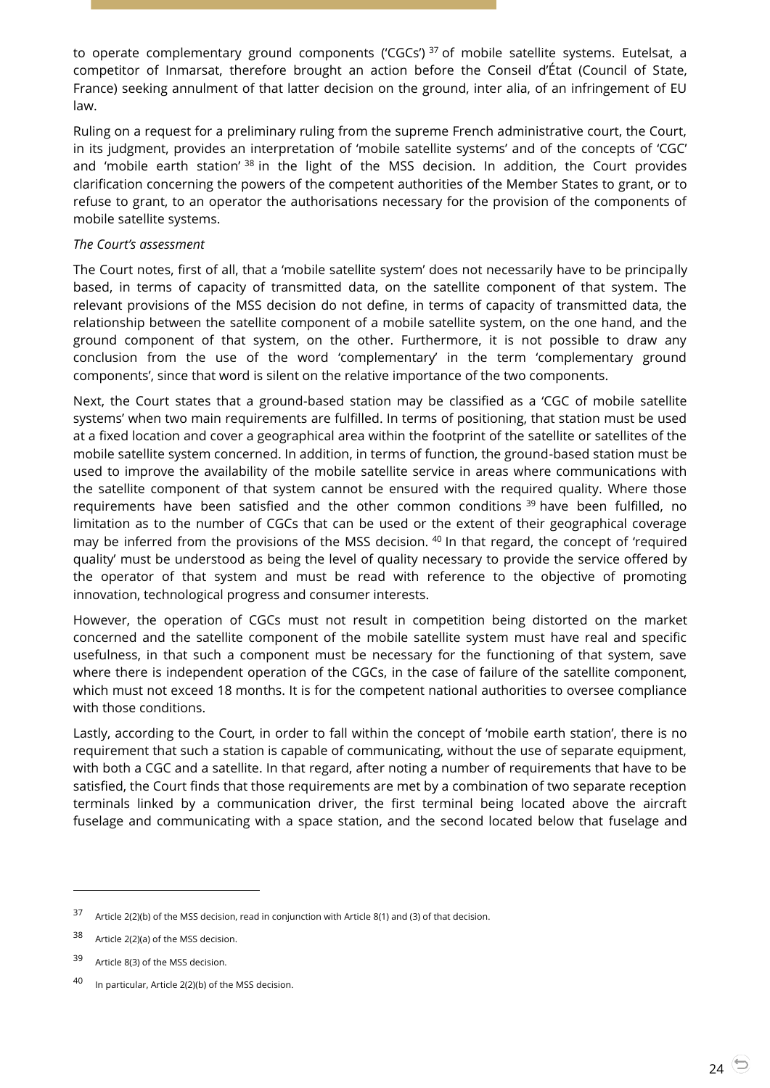to operate complementary ground components ('CGCs')<sup>37</sup> of mobile satellite systems. Eutelsat, a competitor of Inmarsat, therefore brought an action before the Conseil d'État (Council of State, France) seeking annulment of that latter decision on the ground, inter alia, of an infringement of EU law.

Ruling on a request for a preliminary ruling from the supreme French administrative court, the Court, in its judgment, provides an interpretation of 'mobile satellite systems' and of the concepts of 'CGC' and 'mobile earth station'  $38$  in the light of the MSS decision. In addition, the Court provides clarification concerning the powers of the competent authorities of the Member States to grant, or to refuse to grant, to an operator the authorisations necessary for the provision of the components of mobile satellite systems.

#### *The Court's assessment*

The Court notes, first of all, that a 'mobile satellite system' does not necessarily have to be principally based, in terms of capacity of transmitted data, on the satellite component of that system. The relevant provisions of the MSS decision do not define, in terms of capacity of transmitted data, the relationship between the satellite component of a mobile satellite system, on the one hand, and the ground component of that system, on the other. Furthermore, it is not possible to draw any conclusion from the use of the word 'complementary' in the term 'complementary ground components', since that word is silent on the relative importance of the two components.

Next, the Court states that a ground-based station may be classified as a 'CGC of mobile satellite systems' when two main requirements are fulfilled. In terms of positioning, that station must be used at a fixed location and cover a geographical area within the footprint of the satellite or satellites of the mobile satellite system concerned. In addition, in terms of function, the ground-based station must be used to improve the availability of the mobile satellite service in areas where communications with the satellite component of that system cannot be ensured with the required quality. Where those requirements have been satisfied and the other common conditions <sup>39</sup> have been fulfilled, no limitation as to the number of CGCs that can be used or the extent of their geographical coverage may be inferred from the provisions of the MSS decision. <sup>40</sup> In that regard, the concept of 'required quality' must be understood as being the level of quality necessary to provide the service offered by the operator of that system and must be read with reference to the objective of promoting innovation, technological progress and consumer interests.

However, the operation of CGCs must not result in competition being distorted on the market concerned and the satellite component of the mobile satellite system must have real and specific usefulness, in that such a component must be necessary for the functioning of that system, save where there is independent operation of the CGCs, in the case of failure of the satellite component, which must not exceed 18 months. It is for the competent national authorities to oversee compliance with those conditions.

Lastly, according to the Court, in order to fall within the concept of 'mobile earth station', there is no requirement that such a station is capable of communicating, without the use of separate equipment, with both a CGC and a satellite. In that regard, after noting a number of requirements that have to be satisfied, the Court finds that those requirements are met by a combination of two separate reception terminals linked by a communication driver, the first terminal being located above the aircraft fuselage and communicating with a space station, and the second located below that fuselage and

<sup>37</sup> Article 2(2)(b) of the MSS decision, read in conjunction with Article 8(1) and (3) of that decision.

<sup>38</sup> Article 2(2)(a) of the MSS decision.

<sup>39</sup> Article 8(3) of the MSS decision.

<sup>40</sup> In particular, Article 2(2)(b) of the MSS decision.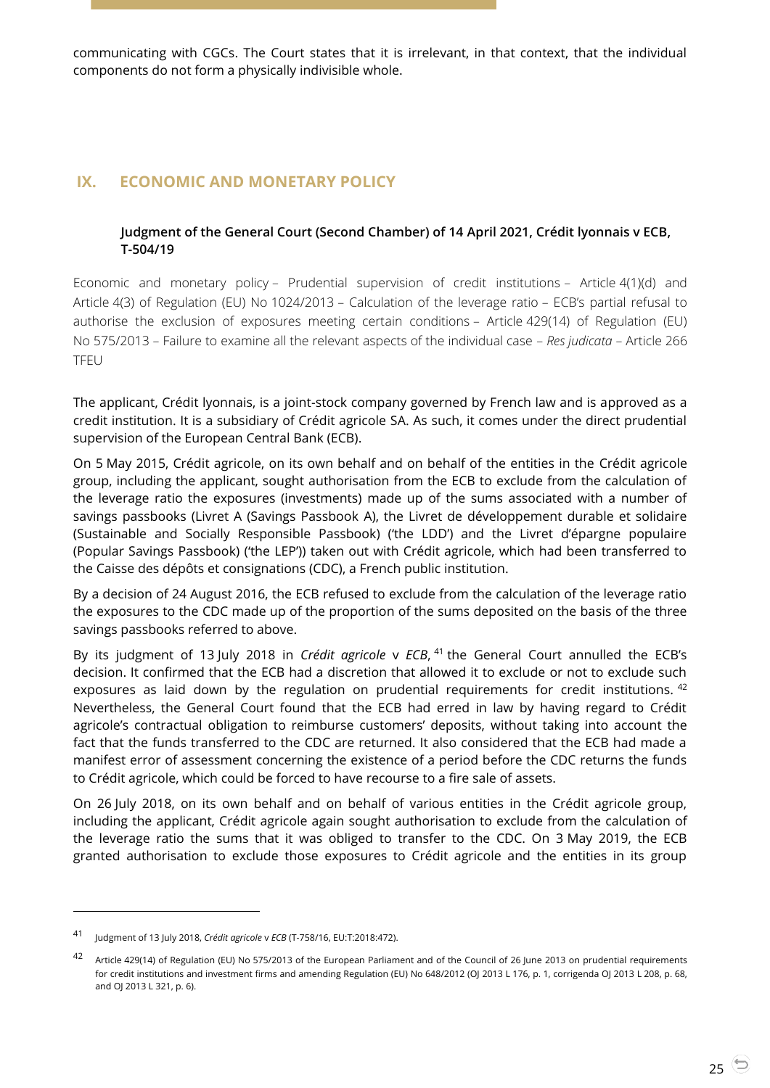communicating with CGCs. The Court states that it is irrelevant, in that context, that the individual components do not form a physically indivisible whole.

# <span id="page-24-1"></span><span id="page-24-0"></span>**IX. ECONOMIC AND MONETARY POLICY**

#### **Judgment of the General Court (Second Chamber) of 14 April 2021, Crédit lyonnais v ECB, T-504/19**

Economic and monetary policy – Prudential supervision of credit institutions – Article 4(1)(d) and Article 4(3) of Regulation (EU) No 1024/2013 – Calculation of the leverage ratio – ECB's partial refusal to authorise the exclusion of exposures meeting certain conditions – Article 429(14) of Regulation (EU) No 575/2013 – Failure to examine all the relevant aspects of the individual case – *Res judicata* – Article 266 TFEU

The applicant, Crédit lyonnais, is a joint-stock company governed by French law and is approved as a credit institution. It is a subsidiary of Crédit agricole SA. As such, it comes under the direct prudential supervision of the European Central Bank (ECB).

On 5 May 2015, Crédit agricole, on its own behalf and on behalf of the entities in the Crédit agricole group, including the applicant, sought authorisation from the ECB to exclude from the calculation of the leverage ratio the exposures (investments) made up of the sums associated with a number of savings passbooks (Livret A (Savings Passbook A), the Livret de développement durable et solidaire (Sustainable and Socially Responsible Passbook) ('the LDD') and the Livret d'épargne populaire (Popular Savings Passbook) ('the LEP')) taken out with Crédit agricole, which had been transferred to the Caisse des dépôts et consignations (CDC), a French public institution.

By a decision of 24 August 2016, the ECB refused to exclude from the calculation of the leverage ratio the exposures to the CDC made up of the proportion of the sums deposited on the basis of the three savings passbooks referred to above.

By its judgment of 13 July 2018 in *Crédit agricole* v *ECB*, <sup>41</sup> the General Court annulled the ECB's decision. It confirmed that the ECB had a discretion that allowed it to exclude or not to exclude such exposures as laid down by the regulation on prudential requirements for credit institutions.  $42$ Nevertheless, the General Court found that the ECB had erred in law by having regard to Crédit agricole's contractual obligation to reimburse customers' deposits, without taking into account the fact that the funds transferred to the CDC are returned. It also considered that the ECB had made a manifest error of assessment concerning the existence of a period before the CDC returns the funds to Crédit agricole, which could be forced to have recourse to a fire sale of assets.

On 26 July 2018, on its own behalf and on behalf of various entities in the Crédit agricole group, including the applicant, Crédit agricole again sought authorisation to exclude from the calculation of the leverage ratio the sums that it was obliged to transfer to the CDC. On 3 May 2019, the ECB granted authorisation to exclude those exposures to Crédit agricole and the entities in its group

<sup>41</sup> Judgment of 13 July 2018, *Crédit agricole* <sup>v</sup>*ECB* (T-758/16, EU:T:2018:472).

<sup>42</sup> Article 429(14) of Regulation (EU) No 575/2013 of the European Parliament and of the Council of 26 June 2013 on prudential requirements for credit institutions and investment firms and amending Regulation (EU) No 648/2012 (OJ 2013 L 176, p. 1, corrigenda OJ 2013 L 208, p. 68, and OJ 2013 L 321, p. 6).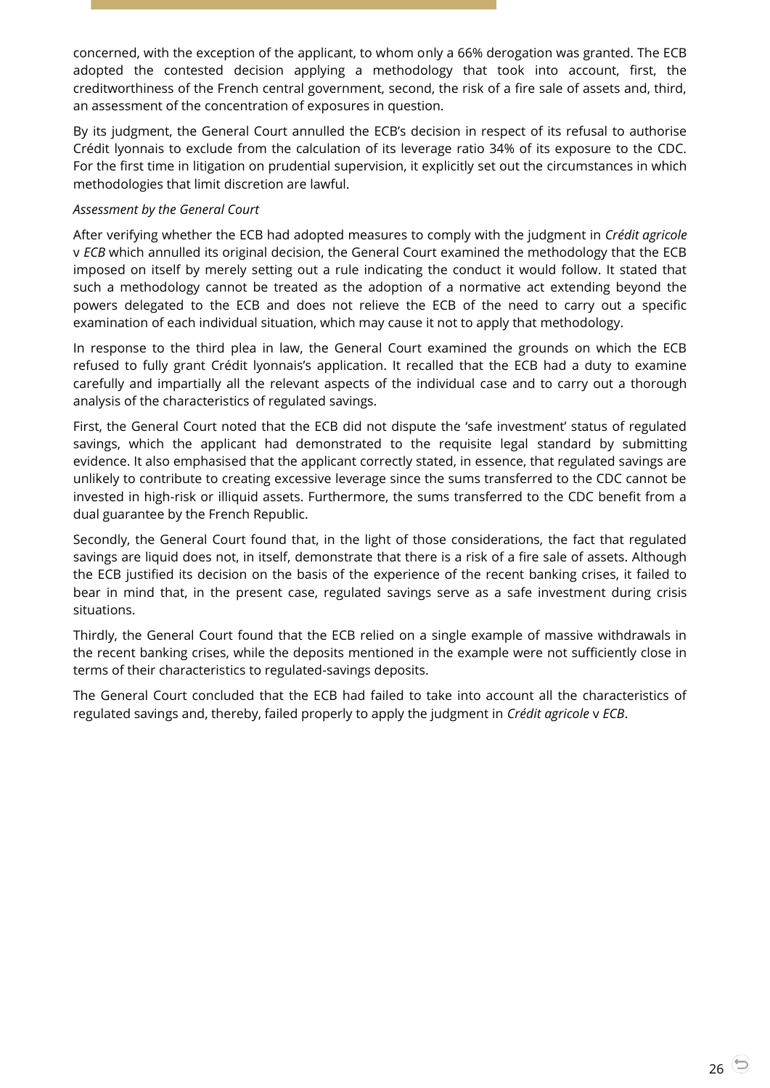concerned, with the exception of the applicant, to whom only a 66% derogation was granted. The ECB adopted the contested decision applying a methodology that took into account, first, the creditworthiness of the French central government, second, the risk of a fire sale of assets and, third, an assessment of the concentration of exposures in question.

By its judgment, the General Court annulled the ECB's decision in respect of its refusal to authorise Crédit lyonnais to exclude from the calculation of its leverage ratio 34% of its exposure to the CDC. For the first time in litigation on prudential supervision, it explicitly set out the circumstances in which methodologies that limit discretion are lawful.

#### *Assessment by the General Court*

After verifying whether the ECB had adopted measures to comply with the judgment in *Crédit agricole* v *ECB* which annulled its original decision, the General Court examined the methodology that the ECB imposed on itself by merely setting out a rule indicating the conduct it would follow. It stated that such a methodology cannot be treated as the adoption of a normative act extending beyond the powers delegated to the ECB and does not relieve the ECB of the need to carry out a specific examination of each individual situation, which may cause it not to apply that methodology.

In response to the third plea in law, the General Court examined the grounds on which the ECB refused to fully grant Crédit lyonnais's application. It recalled that the ECB had a duty to examine carefully and impartially all the relevant aspects of the individual case and to carry out a thorough analysis of the characteristics of regulated savings.

First, the General Court noted that the ECB did not dispute the 'safe investment' status of regulated savings, which the applicant had demonstrated to the requisite legal standard by submitting evidence. It also emphasised that the applicant correctly stated, in essence, that regulated savings are unlikely to contribute to creating excessive leverage since the sums transferred to the CDC cannot be invested in high-risk or illiquid assets. Furthermore, the sums transferred to the CDC benefit from a dual guarantee by the French Republic.

Secondly, the General Court found that, in the light of those considerations, the fact that regulated savings are liquid does not, in itself, demonstrate that there is a risk of a fire sale of assets. Although the ECB justified its decision on the basis of the experience of the recent banking crises, it failed to bear in mind that, in the present case, regulated savings serve as a safe investment during crisis situations.

Thirdly, the General Court found that the ECB relied on a single example of massive withdrawals in the recent banking crises, while the deposits mentioned in the example were not sufficiently close in terms of their characteristics to regulated-savings deposits.

The General Court concluded that the ECB had failed to take into account all the characteristics of regulated savings and, thereby, failed properly to apply the judgment in *Crédit agricole* v *ECB*.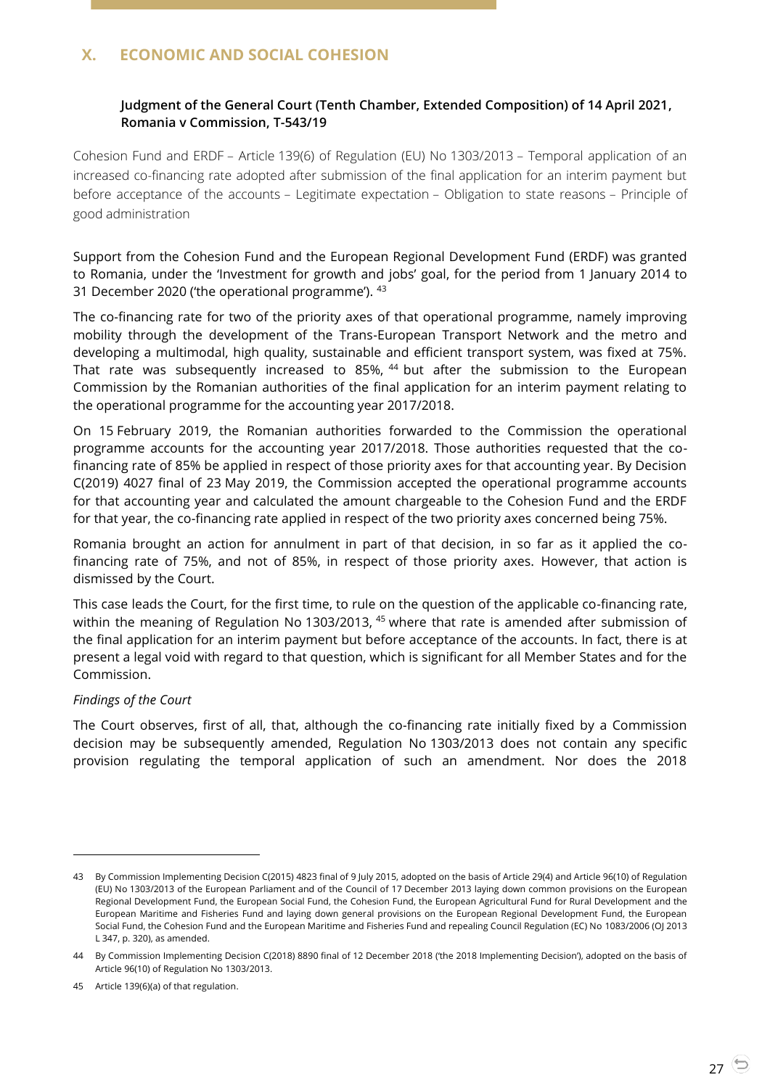# <span id="page-26-1"></span><span id="page-26-0"></span>**X. ECONOMIC AND SOCIAL COHESION**

## **Judgment of the General Court (Tenth Chamber, Extended Composition) of 14 April 2021, Romania v Commission, T-543/19**

Cohesion Fund and ERDF – Article 139(6) of Regulation (EU) No 1303/2013 – Temporal application of an increased co-financing rate adopted after submission of the final application for an interim payment but before acceptance of the accounts – Legitimate expectation – Obligation to state reasons – Principle of good administration

Support from the Cohesion Fund and the European Regional Development Fund (ERDF) was granted to Romania, under the 'Investment for growth and jobs' goal, for the period from 1 January 2014 to 31 December 2020 ('the operational programme'). <sup>43</sup>

The co-financing rate for two of the priority axes of that operational programme, namely improving mobility through the development of the Trans-European Transport Network and the metro and developing a multimodal, high quality, sustainable and efficient transport system, was fixed at 75%. That rate was subsequently increased to 85%, <sup>44</sup> but after the submission to the European Commission by the Romanian authorities of the final application for an interim payment relating to the operational programme for the accounting year 2017/2018.

On 15 February 2019, the Romanian authorities forwarded to the Commission the operational programme accounts for the accounting year 2017/2018. Those authorities requested that the cofinancing rate of 85% be applied in respect of those priority axes for that accounting year. By Decision C(2019) 4027 final of 23 May 2019, the Commission accepted the operational programme accounts for that accounting year and calculated the amount chargeable to the Cohesion Fund and the ERDF for that year, the co-financing rate applied in respect of the two priority axes concerned being 75%.

Romania brought an action for annulment in part of that decision, in so far as it applied the cofinancing rate of 75%, and not of 85%, in respect of those priority axes. However, that action is dismissed by the Court.

This case leads the Court, for the first time, to rule on the question of the applicable co-financing rate, within the meaning of Regulation No 1303/2013, <sup>45</sup> where that rate is amended after submission of the final application for an interim payment but before acceptance of the accounts. In fact, there is at present a legal void with regard to that question, which is significant for all Member States and for the Commission.

## *Findings of the Court*

 $\overline{a}$ 

The Court observes, first of all, that, although the co-financing rate initially fixed by a Commission decision may be subsequently amended, Regulation No 1303/2013 does not contain any specific provision regulating the temporal application of such an amendment. Nor does the 2018

<sup>43</sup> By Commission Implementing Decision C(2015) 4823 final of 9 July 2015, adopted on the basis of Article 29(4) and Article 96(10) of Regulation (EU) No 1303/2013 of the European Parliament and of the Council of 17 December 2013 laying down common provisions on the European Regional Development Fund, the European Social Fund, the Cohesion Fund, the European Agricultural Fund for Rural Development and the European Maritime and Fisheries Fund and laying down general provisions on the European Regional Development Fund, the European Social Fund, the Cohesion Fund and the European Maritime and Fisheries Fund and repealing Council Regulation (EC) No 1083/2006 (OJ 2013 L 347, p. 320), as amended.

<sup>44</sup> By Commission Implementing Decision C(2018) 8890 final of 12 December 2018 ('the 2018 Implementing Decision'), adopted on the basis of Article 96(10) of Regulation No 1303/2013.

<sup>45</sup> Article 139(6)(a) of that regulation.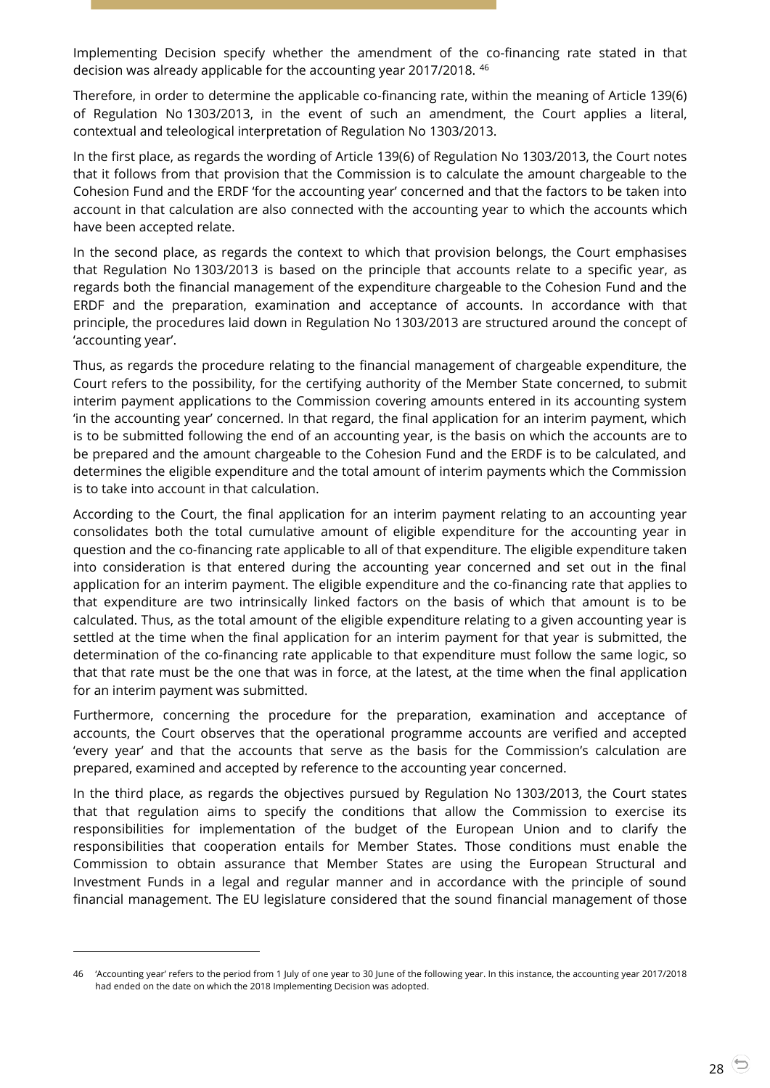Implementing Decision specify whether the amendment of the co-financing rate stated in that decision was already applicable for the accounting year 2017/2018. <sup>46</sup>

Therefore, in order to determine the applicable co-financing rate, within the meaning of Article 139(6) of Regulation No 1303/2013, in the event of such an amendment, the Court applies a literal, contextual and teleological interpretation of Regulation No 1303/2013.

In the first place, as regards the wording of Article 139(6) of Regulation No 1303/2013, the Court notes that it follows from that provision that the Commission is to calculate the amount chargeable to the Cohesion Fund and the ERDF 'for the accounting year' concerned and that the factors to be taken into account in that calculation are also connected with the accounting year to which the accounts which have been accepted relate.

In the second place, as regards the context to which that provision belongs, the Court emphasises that Regulation No 1303/2013 is based on the principle that accounts relate to a specific year, as regards both the financial management of the expenditure chargeable to the Cohesion Fund and the ERDF and the preparation, examination and acceptance of accounts. In accordance with that principle, the procedures laid down in Regulation No 1303/2013 are structured around the concept of 'accounting year'.

Thus, as regards the procedure relating to the financial management of chargeable expenditure, the Court refers to the possibility, for the certifying authority of the Member State concerned, to submit interim payment applications to the Commission covering amounts entered in its accounting system 'in the accounting year' concerned. In that regard, the final application for an interim payment, which is to be submitted following the end of an accounting year, is the basis on which the accounts are to be prepared and the amount chargeable to the Cohesion Fund and the ERDF is to be calculated, and determines the eligible expenditure and the total amount of interim payments which the Commission is to take into account in that calculation.

According to the Court, the final application for an interim payment relating to an accounting year consolidates both the total cumulative amount of eligible expenditure for the accounting year in question and the co-financing rate applicable to all of that expenditure. The eligible expenditure taken into consideration is that entered during the accounting year concerned and set out in the final application for an interim payment. The eligible expenditure and the co-financing rate that applies to that expenditure are two intrinsically linked factors on the basis of which that amount is to be calculated. Thus, as the total amount of the eligible expenditure relating to a given accounting year is settled at the time when the final application for an interim payment for that year is submitted, the determination of the co-financing rate applicable to that expenditure must follow the same logic, so that that rate must be the one that was in force, at the latest, at the time when the final application for an interim payment was submitted.

Furthermore, concerning the procedure for the preparation, examination and acceptance of accounts, the Court observes that the operational programme accounts are verified and accepted 'every year' and that the accounts that serve as the basis for the Commission's calculation are prepared, examined and accepted by reference to the accounting year concerned.

In the third place, as regards the objectives pursued by Regulation No 1303/2013, the Court states that that regulation aims to specify the conditions that allow the Commission to exercise its responsibilities for implementation of the budget of the European Union and to clarify the responsibilities that cooperation entails for Member States. Those conditions must enable the Commission to obtain assurance that Member States are using the European Structural and Investment Funds in a legal and regular manner and in accordance with the principle of sound financial management. The EU legislature considered that the sound financial management of those

<sup>46</sup> 'Accounting year' refers to the period from 1 July of one year to 30 June of the following year. In this instance, the accounting year 2017/2018 had ended on the date on which the 2018 Implementing Decision was adopted.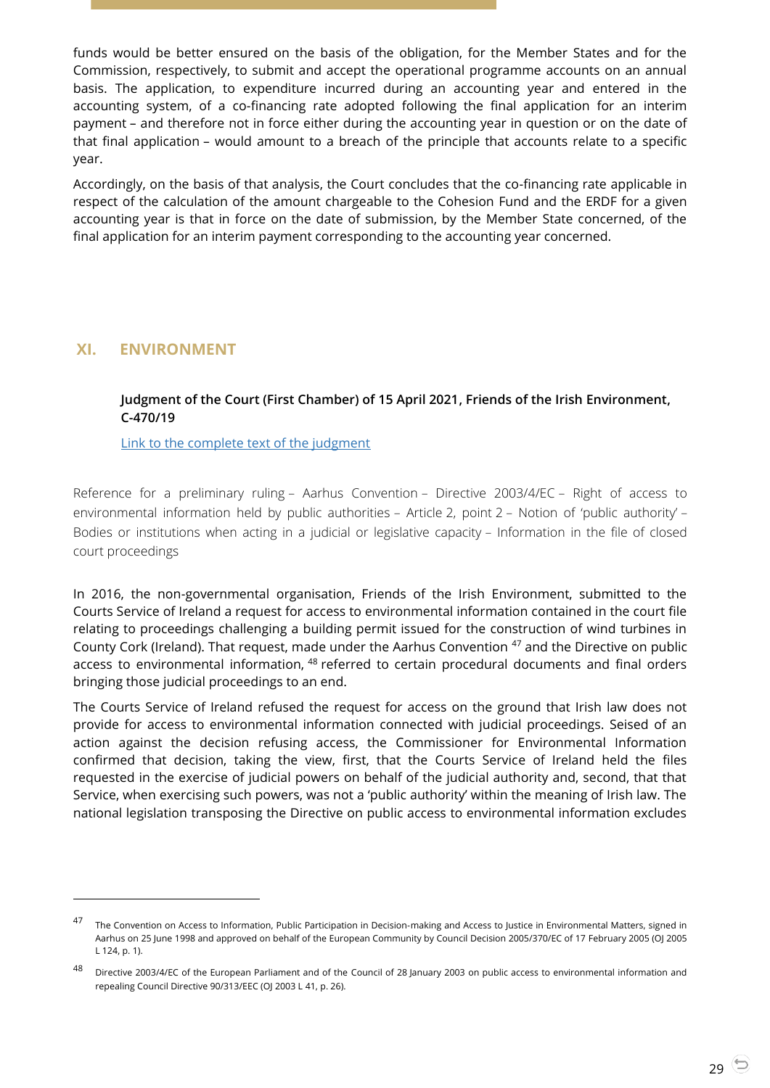funds would be better ensured on the basis of the obligation, for the Member States and for the Commission, respectively, to submit and accept the operational programme accounts on an annual basis. The application, to expenditure incurred during an accounting year and entered in the accounting system, of a co-financing rate adopted following the final application for an interim payment – and therefore not in force either during the accounting year in question or on the date of that final application – would amount to a breach of the principle that accounts relate to a specific year.

Accordingly, on the basis of that analysis, the Court concludes that the co-financing rate applicable in respect of the calculation of the amount chargeable to the Cohesion Fund and the ERDF for a given accounting year is that in force on the date of submission, by the Member State concerned, of the final application for an interim payment corresponding to the accounting year concerned.

# <span id="page-28-1"></span><span id="page-28-0"></span>**XI. ENVIRONMENT**

-

## **Judgment of the Court (First Chamber) of 15 April 2021, Friends of the Irish Environment, C-470/19**

[Link to the complete text of the judgment](https://curia.europa.eu/juris/document/document.jsf?text=&docid=239890&pageIndex=0&doclang=EN&mode=lst&dir=&occ=first&part=1&cid=4599677)

Reference for a preliminary ruling – Aarhus Convention – Directive 2003/4/EC – Right of access to environmental information held by public authorities – Article 2, point 2 – Notion of 'public authority' – Bodies or institutions when acting in a judicial or legislative capacity – Information in the file of closed court proceedings

In 2016, the non-governmental organisation, Friends of the Irish Environment, submitted to the Courts Service of Ireland a request for access to environmental information contained in the court file relating to proceedings challenging a building permit issued for the construction of wind turbines in County Cork (Ireland). That request, made under the Aarhus Convention <sup>47</sup> and the Directive on public access to environmental information, <sup>48</sup> referred to certain procedural documents and final orders bringing those judicial proceedings to an end.

The Courts Service of Ireland refused the request for access on the ground that Irish law does not provide for access to environmental information connected with judicial proceedings. Seised of an action against the decision refusing access, the Commissioner for Environmental Information confirmed that decision, taking the view, first, that the Courts Service of Ireland held the files requested in the exercise of judicial powers on behalf of the judicial authority and, second, that that Service, when exercising such powers, was not a 'public authority' within the meaning of Irish law. The national legislation transposing the Directive on public access to environmental information excludes

<sup>47</sup> The Convention on Access to Information, Public Participation in Decision-making and Access to Justice in Environmental Matters, signed in Aarhus on 25 June 1998 and approved on behalf of the European Community by Council Decision 2005/370/EC of 17 February 2005 (OJ 2005 L 124, p. 1).

<sup>48</sup> Directive 2003/4/EC of the European Parliament and of the Council of 28 January 2003 on public access to environmental information and repealing Council Directive 90/313/EEC (OJ 2003 L 41, p. 26).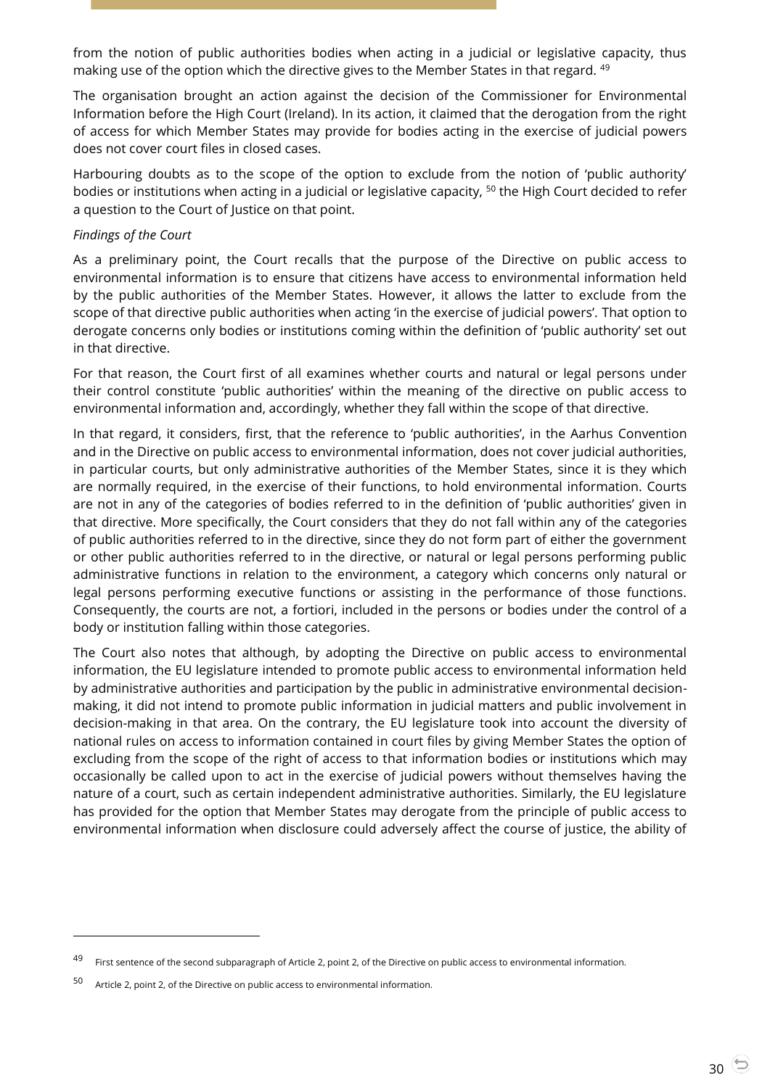from the notion of public authorities bodies when acting in a judicial or legislative capacity, thus making use of the option which the directive gives to the Member States in that regard. <sup>49</sup>

The organisation brought an action against the decision of the Commissioner for Environmental Information before the High Court (Ireland). In its action, it claimed that the derogation from the right of access for which Member States may provide for bodies acting in the exercise of judicial powers does not cover court files in closed cases.

Harbouring doubts as to the scope of the option to exclude from the notion of 'public authority' bodies or institutions when acting in a judicial or legislative capacity, <sup>50</sup> the High Court decided to refer a question to the Court of Justice on that point.

#### *Findings of the Court*

As a preliminary point, the Court recalls that the purpose of the Directive on public access to environmental information is to ensure that citizens have access to environmental information held by the public authorities of the Member States. However, it allows the latter to exclude from the scope of that directive public authorities when acting 'in the exercise of judicial powers'. That option to derogate concerns only bodies or institutions coming within the definition of 'public authority' set out in that directive.

For that reason, the Court first of all examines whether courts and natural or legal persons under their control constitute 'public authorities' within the meaning of the directive on public access to environmental information and, accordingly, whether they fall within the scope of that directive.

In that regard, it considers, first, that the reference to 'public authorities', in the Aarhus Convention and in the Directive on public access to environmental information, does not cover judicial authorities, in particular courts, but only administrative authorities of the Member States, since it is they which are normally required, in the exercise of their functions, to hold environmental information. Courts are not in any of the categories of bodies referred to in the definition of 'public authorities' given in that directive. More specifically, the Court considers that they do not fall within any of the categories of public authorities referred to in the directive, since they do not form part of either the government or other public authorities referred to in the directive, or natural or legal persons performing public administrative functions in relation to the environment, a category which concerns only natural or legal persons performing executive functions or assisting in the performance of those functions. Consequently, the courts are not, a fortiori, included in the persons or bodies under the control of a body or institution falling within those categories.

The Court also notes that although, by adopting the Directive on public access to environmental information, the EU legislature intended to promote public access to environmental information held by administrative authorities and participation by the public in administrative environmental decisionmaking, it did not intend to promote public information in judicial matters and public involvement in decision-making in that area. On the contrary, the EU legislature took into account the diversity of national rules on access to information contained in court files by giving Member States the option of excluding from the scope of the right of access to that information bodies or institutions which may occasionally be called upon to act in the exercise of judicial powers without themselves having the nature of a court, such as certain independent administrative authorities. Similarly, the EU legislature has provided for the option that Member States may derogate from the principle of public access to environmental information when disclosure could adversely affect the course of justice, the ability of

<sup>&</sup>lt;sup>49</sup> First sentence of the second subparagraph of Article 2, point 2, of the Directive on public access to environmental information.

<sup>50</sup> Article 2, point 2, of the Directive on public access to environmental information.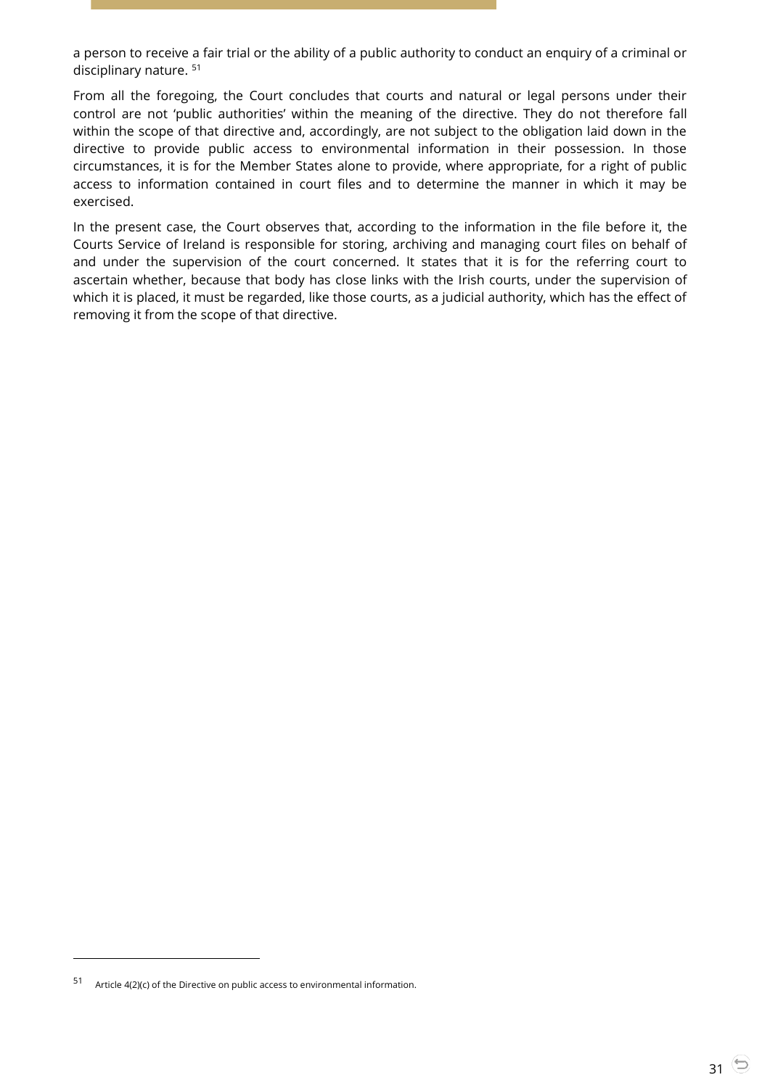a person to receive a fair trial or the ability of a public authority to conduct an enquiry of a criminal or disciplinary nature. <sup>51</sup>

From all the foregoing, the Court concludes that courts and natural or legal persons under their control are not 'public authorities' within the meaning of the directive. They do not therefore fall within the scope of that directive and, accordingly, are not subject to the obligation laid down in the directive to provide public access to environmental information in their possession. In those circumstances, it is for the Member States alone to provide, where appropriate, for a right of public access to information contained in court files and to determine the manner in which it may be exercised.

In the present case, the Court observes that, according to the information in the file before it, the Courts Service of Ireland is responsible for storing, archiving and managing court files on behalf of and under the supervision of the court concerned. It states that it is for the referring court to ascertain whether, because that body has close links with the Irish courts, under the supervision of which it is placed, it must be regarded, like those courts, as a judicial authority, which has the effect of removing it from the scope of that directive.

<sup>51</sup> Article 4(2)(c) of the Directive on public access to environmental information.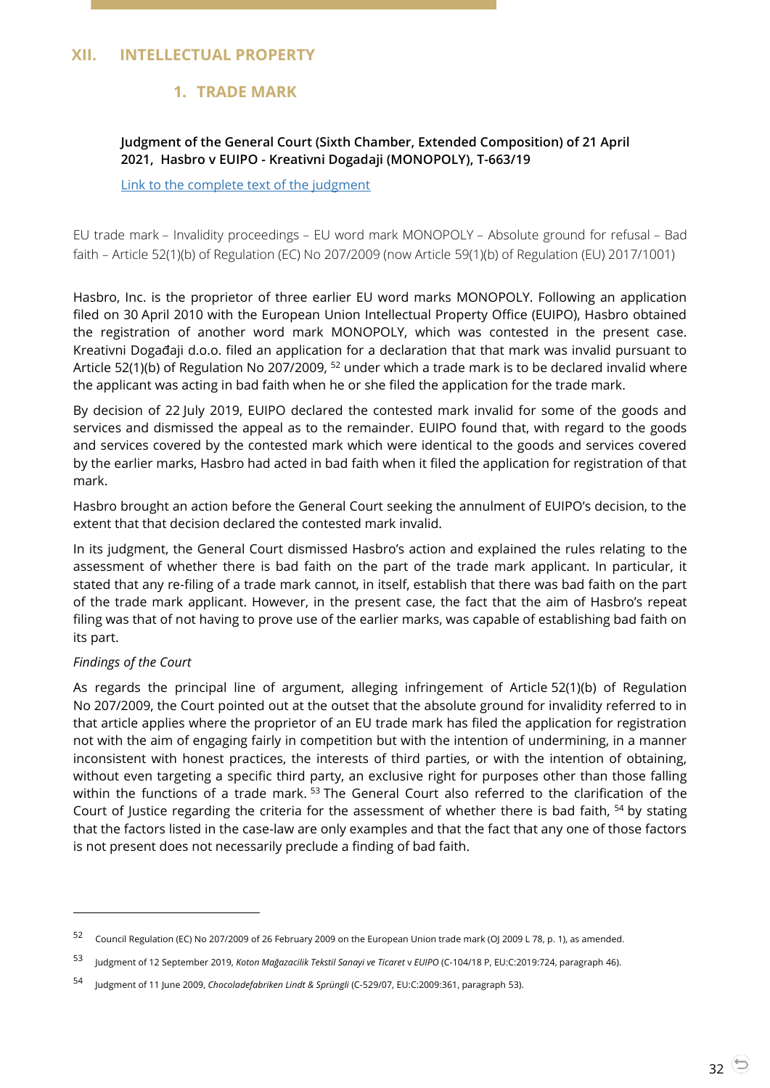# <span id="page-31-2"></span><span id="page-31-1"></span><span id="page-31-0"></span>**XII. INTELLECTUAL PROPERTY**

# **1. TRADE MARK**

# **Judgment of the General Court (Sixth Chamber, Extended Composition) of 21 April 2021, Hasbro v EUIPO - Kreativni Dogadaji (MONOPOLY), T-663/19**

[Link to the complete text of the judgment](https://curia.europa.eu/juris/document/document.jsf?text=&docid=240162&pageIndex=0&doclang=EN&mode=lst&dir=&occ=first&part=1&cid=4600584)

EU trade mark – Invalidity proceedings – EU word mark MONOPOLY – Absolute ground for refusal – Bad faith – Article 52(1)(b) of Regulation (EC) No 207/2009 (now Article 59(1)(b) of Regulation (EU) 2017/1001)

Hasbro, Inc. is the proprietor of three earlier EU word marks MONOPOLY. Following an application filed on 30 April 2010 with the European Union Intellectual Property Office (EUIPO), Hasbro obtained the registration of another word mark MONOPOLY, which was contested in the present case. Kreativni Događaji d.o.o. filed an application for a declaration that that mark was invalid pursuant to Article 52(1)(b) of Regulation No 207/2009, <sup>52</sup> under which a trade mark is to be declared invalid where the applicant was acting in bad faith when he or she filed the application for the trade mark.

By decision of 22 July 2019, EUIPO declared the contested mark invalid for some of the goods and services and dismissed the appeal as to the remainder. EUIPO found that, with regard to the goods and services covered by the contested mark which were identical to the goods and services covered by the earlier marks, Hasbro had acted in bad faith when it filed the application for registration of that mark.

Hasbro brought an action before the General Court seeking the annulment of EUIPO's decision, to the extent that that decision declared the contested mark invalid.

In its judgment, the General Court dismissed Hasbro's action and explained the rules relating to the assessment of whether there is bad faith on the part of the trade mark applicant. In particular, it stated that any re-filing of a trade mark cannot, in itself, establish that there was bad faith on the part of the trade mark applicant. However, in the present case, the fact that the aim of Hasbro's repeat filing was that of not having to prove use of the earlier marks, was capable of establishing bad faith on its part.

## *Findings of the Court*

 $\overline{a}$ 

As regards the principal line of argument, alleging infringement of Article 52(1)(b) of Regulation No 207/2009, the Court pointed out at the outset that the absolute ground for invalidity referred to in that article applies where the proprietor of an EU trade mark has filed the application for registration not with the aim of engaging fairly in competition but with the intention of undermining, in a manner inconsistent with honest practices, the interests of third parties, or with the intention of obtaining, without even targeting a specific third party, an exclusive right for purposes other than those falling within the functions of a trade mark.<sup>53</sup> The General Court also referred to the clarification of the Court of Justice regarding the criteria for the assessment of whether there is bad faith, <sup>54</sup> by stating that the factors listed in the case-law are only examples and that the fact that any one of those factors is not present does not necessarily preclude a finding of bad faith.

<sup>52</sup> Council Regulation (EC) No 207/2009 of 26 February 2009 on the European Union trade mark (OJ 2009 L 78, p. 1), as amended.

<sup>53</sup> Judgment of 12 September 2019, *Koton Mağazacilik Tekstil Sanayi ve Ticaret* <sup>v</sup>*EUIPO* (C-104/18 P, EU:C:2019:724, paragraph 46).

<sup>54</sup> Judgment of 11 June 2009, *Chocoladefabriken Lindt & Sprüngli* (C-529/07, EU:C:2009:361, paragraph 53).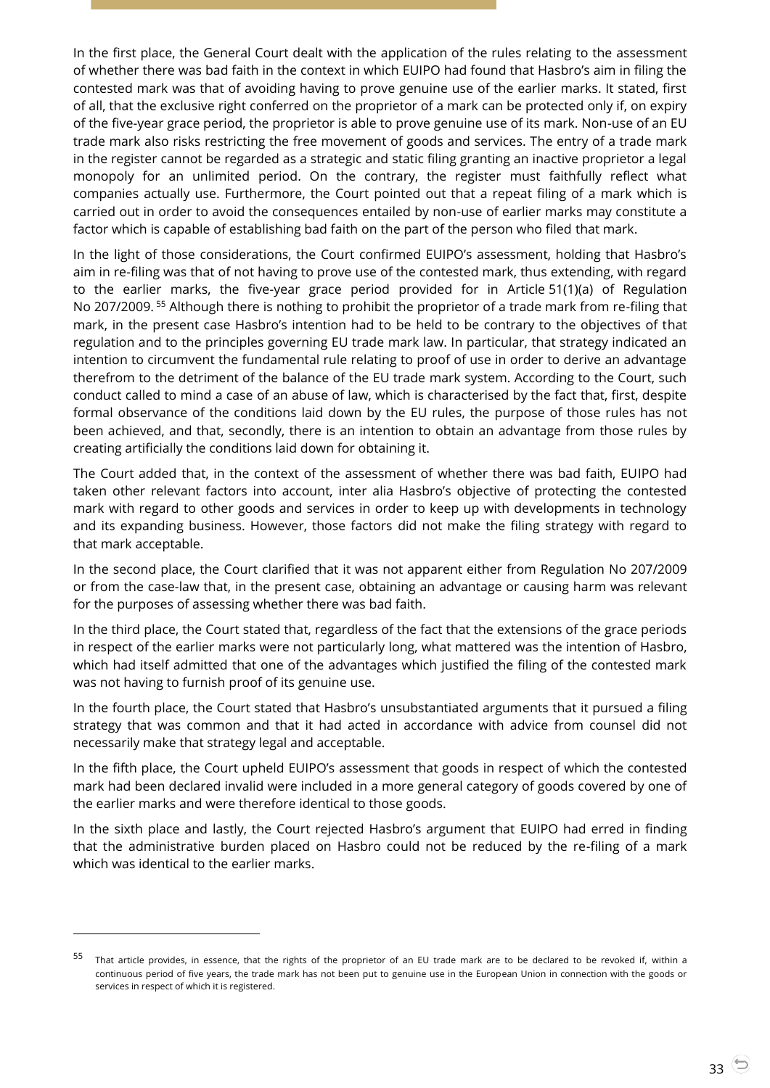In the first place, the General Court dealt with the application of the rules relating to the assessment of whether there was bad faith in the context in which EUIPO had found that Hasbro's aim in filing the contested mark was that of avoiding having to prove genuine use of the earlier marks. It stated, first of all, that the exclusive right conferred on the proprietor of a mark can be protected only if, on expiry of the five-year grace period, the proprietor is able to prove genuine use of its mark. Non-use of an EU trade mark also risks restricting the free movement of goods and services. The entry of a trade mark in the register cannot be regarded as a strategic and static filing granting an inactive proprietor a legal monopoly for an unlimited period. On the contrary, the register must faithfully reflect what companies actually use. Furthermore, the Court pointed out that a repeat filing of a mark which is carried out in order to avoid the consequences entailed by non-use of earlier marks may constitute a factor which is capable of establishing bad faith on the part of the person who filed that mark.

In the light of those considerations, the Court confirmed EUIPO's assessment, holding that Hasbro's aim in re-filing was that of not having to prove use of the contested mark, thus extending, with regard to the earlier marks, the five-year grace period provided for in Article 51(1)(a) of Regulation No 207/2009. <sup>55</sup> Although there is nothing to prohibit the proprietor of a trade mark from re-filing that mark, in the present case Hasbro's intention had to be held to be contrary to the objectives of that regulation and to the principles governing EU trade mark law. In particular, that strategy indicated an intention to circumvent the fundamental rule relating to proof of use in order to derive an advantage therefrom to the detriment of the balance of the EU trade mark system. According to the Court, such conduct called to mind a case of an abuse of law, which is characterised by the fact that, first, despite formal observance of the conditions laid down by the EU rules, the purpose of those rules has not been achieved, and that, secondly, there is an intention to obtain an advantage from those rules by creating artificially the conditions laid down for obtaining it.

The Court added that, in the context of the assessment of whether there was bad faith, EUIPO had taken other relevant factors into account, inter alia Hasbro's objective of protecting the contested mark with regard to other goods and services in order to keep up with developments in technology and its expanding business. However, those factors did not make the filing strategy with regard to that mark acceptable.

In the second place, the Court clarified that it was not apparent either from Regulation No 207/2009 or from the case-law that, in the present case, obtaining an advantage or causing harm was relevant for the purposes of assessing whether there was bad faith.

In the third place, the Court stated that, regardless of the fact that the extensions of the grace periods in respect of the earlier marks were not particularly long, what mattered was the intention of Hasbro, which had itself admitted that one of the advantages which justified the filing of the contested mark was not having to furnish proof of its genuine use.

In the fourth place, the Court stated that Hasbro's unsubstantiated arguments that it pursued a filing strategy that was common and that it had acted in accordance with advice from counsel did not necessarily make that strategy legal and acceptable.

In the fifth place, the Court upheld EUIPO's assessment that goods in respect of which the contested mark had been declared invalid were included in a more general category of goods covered by one of the earlier marks and were therefore identical to those goods.

In the sixth place and lastly, the Court rejected Hasbro's argument that EUIPO had erred in finding that the administrative burden placed on Hasbro could not be reduced by the re-filing of a mark which was identical to the earlier marks.

That article provides, in essence, that the rights of the proprietor of an EU trade mark are to be declared to be revoked if, within a continuous period of five years, the trade mark has not been put to genuine use in the European Union in connection with the goods or services in respect of which it is registered.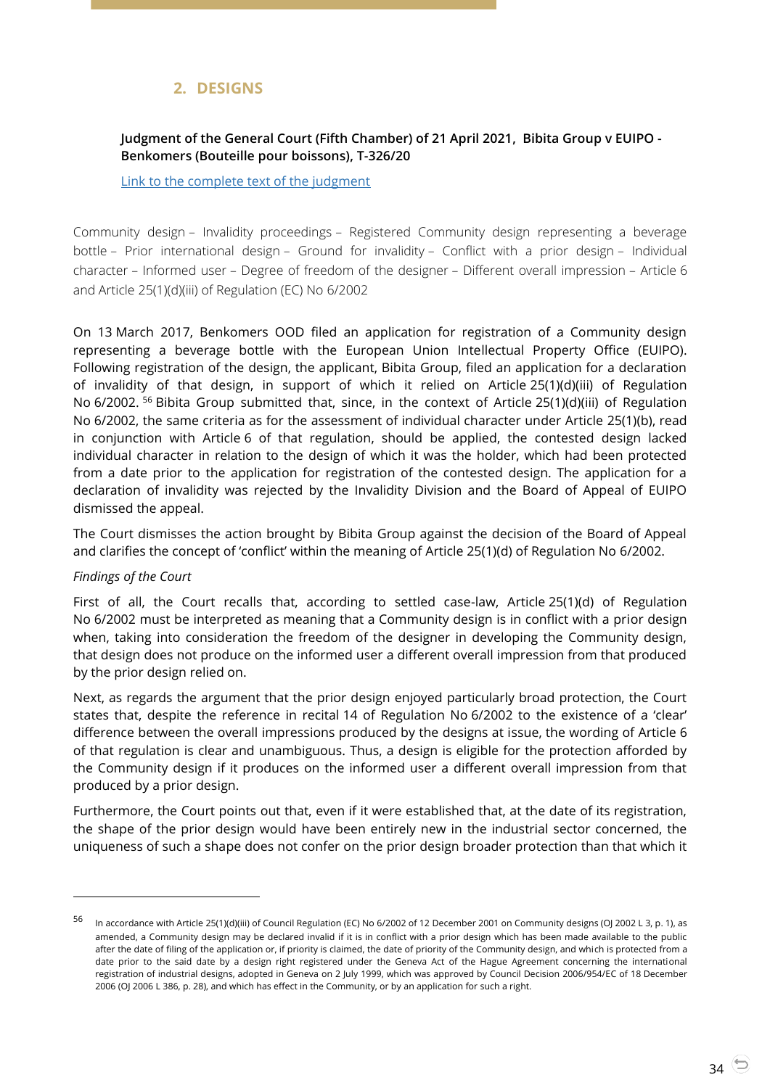# **2. DESIGNS**

## <span id="page-33-1"></span><span id="page-33-0"></span>**Judgment of the General Court (Fifth Chamber) of 21 April 2021, Bibita Group v EUIPO - Benkomers (Bouteille pour boissons), T-326/20**

[Link to the complete text of the judgment](https://curia.europa.eu/juris/document/document.jsf?text=&docid=240170&pageIndex=0&doclang=EN&mode=lst&dir=&occ=first&part=1&cid=4601406)

Community design – Invalidity proceedings – Registered Community design representing a beverage bottle – Prior international design – Ground for invalidity – Conflict with a prior design – Individual character – Informed user – Degree of freedom of the designer – Different overall impression – Article 6 and Article 25(1)(d)(iii) of Regulation (EC) No 6/2002

On 13 March 2017, Benkomers OOD filed an application for registration of a Community design representing a beverage bottle with the European Union Intellectual Property Office (EUIPO). Following registration of the design, the applicant, Bibita Group, filed an application for a declaration of invalidity of that design, in support of which it relied on Article 25(1)(d)(iii) of Regulation No 6/2002. <sup>56</sup> Bibita Group submitted that, since, in the context of Article 25(1)(d)(iii) of Regulation No 6/2002, the same criteria as for the assessment of individual character under Article 25(1)(b), read in conjunction with Article 6 of that regulation, should be applied, the contested design lacked individual character in relation to the design of which it was the holder, which had been protected from a date prior to the application for registration of the contested design. The application for a declaration of invalidity was rejected by the Invalidity Division and the Board of Appeal of EUIPO dismissed the appeal.

The Court dismisses the action brought by Bibita Group against the decision of the Board of Appeal and clarifies the concept of 'conflict' within the meaning of Article 25(1)(d) of Regulation No 6/2002.

#### *Findings of the Court*

 $\overline{a}$ 

First of all, the Court recalls that, according to settled case-law, Article 25(1)(d) of Regulation No 6/2002 must be interpreted as meaning that a Community design is in conflict with a prior design when, taking into consideration the freedom of the designer in developing the Community design, that design does not produce on the informed user a different overall impression from that produced by the prior design relied on.

Next, as regards the argument that the prior design enjoyed particularly broad protection, the Court states that, despite the reference in recital 14 of Regulation No 6/2002 to the existence of a 'clear' difference between the overall impressions produced by the designs at issue, the wording of Article 6 of that regulation is clear and unambiguous. Thus, a design is eligible for the protection afforded by the Community design if it produces on the informed user a different overall impression from that produced by a prior design.

Furthermore, the Court points out that, even if it were established that, at the date of its registration, the shape of the prior design would have been entirely new in the industrial sector concerned, the uniqueness of such a shape does not confer on the prior design broader protection than that which it

<sup>56</sup> In accordance with Article 25(1)(d)(iii) of Council Regulation (EC) No 6/2002 of 12 December 2001 on Community designs (OJ 2002 L 3, p. 1), as amended, a Community design may be declared invalid if it is in conflict with a prior design which has been made available to the public after the date of filing of the application or, if priority is claimed, the date of priority of the Community design, and which is protected from a date prior to the said date by a design right registered under the Geneva Act of the Hague Agreement concerning the international registration of industrial designs, adopted in Geneva on 2 July 1999, which was approved by Council Decision 2006/954/EC of 18 December 2006 (OJ 2006 L 386, p. 28), and which has effect in the Community, or by an application for such a right.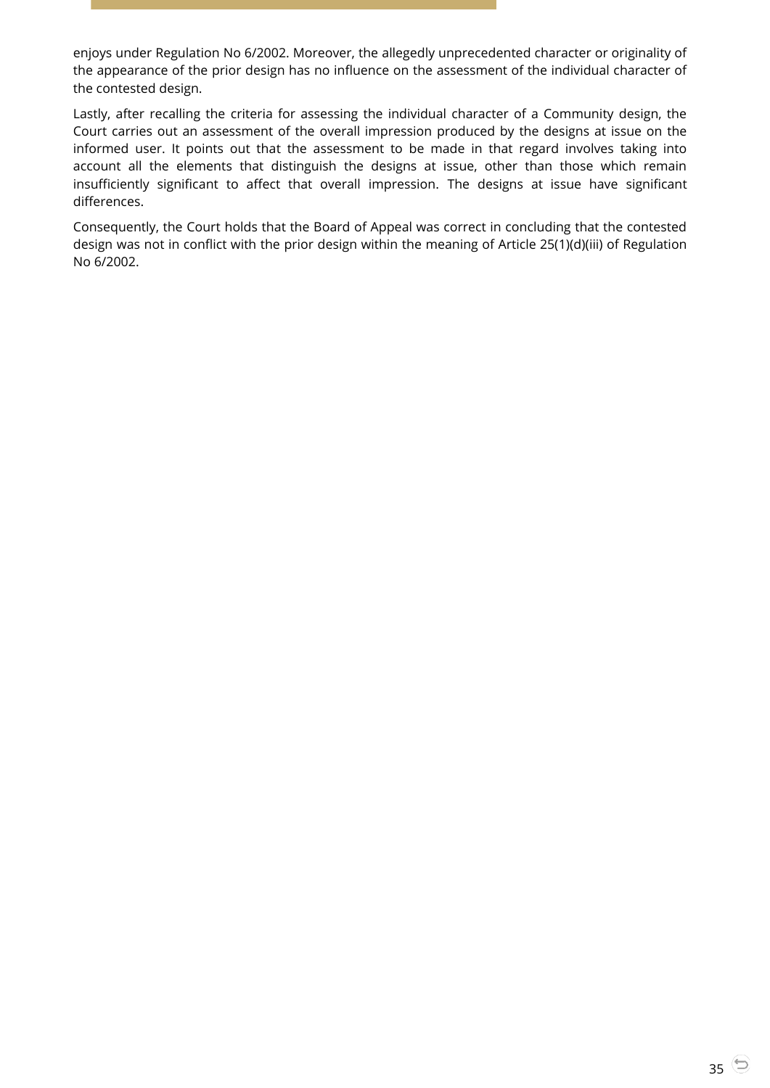enjoys under Regulation No 6/2002. Moreover, the allegedly unprecedented character or originality of the appearance of the prior design has no influence on the assessment of the individual character of the contested design.

Lastly, after recalling the criteria for assessing the individual character of a Community design, the Court carries out an assessment of the overall impression produced by the designs at issue on the informed user. It points out that the assessment to be made in that regard involves taking into account all the elements that distinguish the designs at issue, other than those which remain insufficiently significant to affect that overall impression. The designs at issue have significant differences.

Consequently, the Court holds that the Board of Appeal was correct in concluding that the contested design was not in conflict with the prior design within the meaning of Article 25(1)(d)(iii) of Regulation No 6/2002.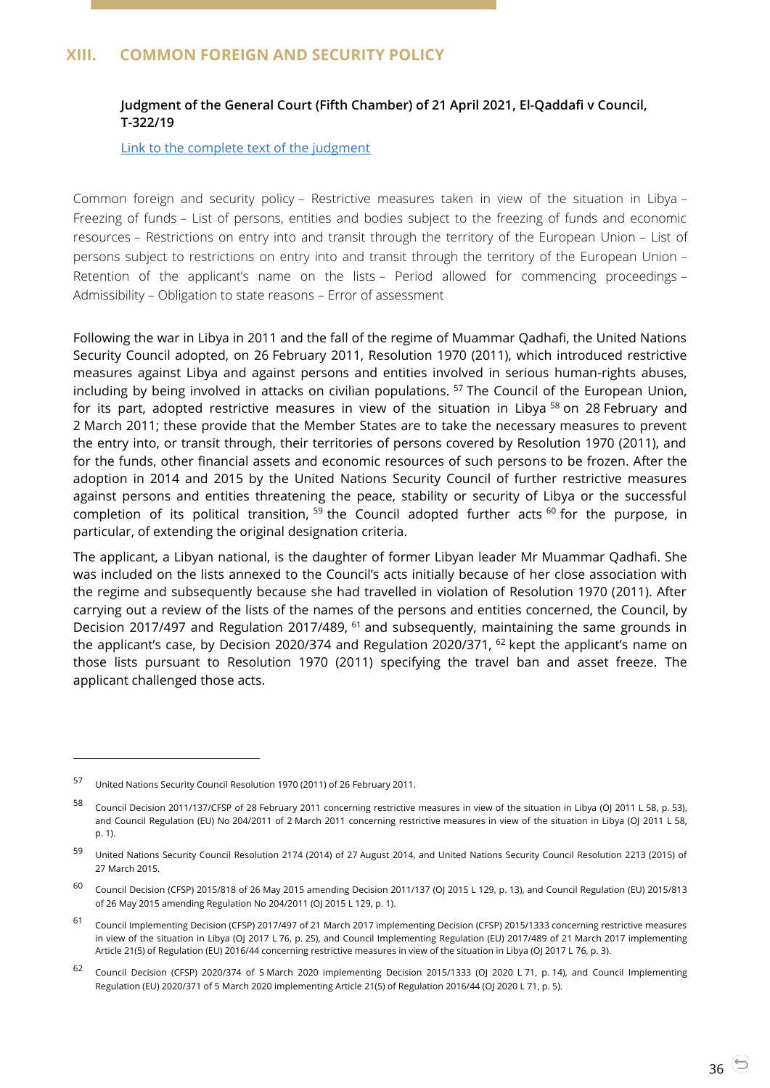# <span id="page-35-1"></span><span id="page-35-0"></span>**XIII. COMMON FOREIGN AND SECURITY POLICY**

## **Judgment of the General Court (Fifth Chamber) of 21 April 2021, El-Qaddafi v Council, T-322/19**

[Link to the complete text of the judgment](https://curia.europa.eu/juris/document/document.jsf?text=&docid=240161&pageIndex=0&doclang=EN&mode=lst&dir=&occ=first&part=1&cid=4603436)

Common foreign and security policy – Restrictive measures taken in view of the situation in Libya – Freezing of funds – List of persons, entities and bodies subject to the freezing of funds and economic resources – Restrictions on entry into and transit through the territory of the European Union – List of persons subject to restrictions on entry into and transit through the territory of the European Union – Retention of the applicant's name on the lists – Period allowed for commencing proceedings – Admissibility – Obligation to state reasons – Error of assessment

Following the war in Libya in 2011 and the fall of the regime of Muammar Qadhafi, the United Nations Security Council adopted, on 26 February 2011, Resolution 1970 (2011), which introduced restrictive measures against Libya and against persons and entities involved in serious human-rights abuses, including by being involved in attacks on civilian populations. <sup>57</sup> The Council of the European Union, for its part, adopted restrictive measures in view of the situation in Libya<sup>58</sup> on 28 February and 2 March 2011; these provide that the Member States are to take the necessary measures to prevent the entry into, or transit through, their territories of persons covered by Resolution 1970 (2011), and for the funds, other financial assets and economic resources of such persons to be frozen. After the adoption in 2014 and 2015 by the United Nations Security Council of further restrictive measures against persons and entities threatening the peace, stability or security of Libya or the successful completion of its political transition,  $59$  the Council adopted further acts  $60$  for the purpose, in particular, of extending the original designation criteria.

The applicant, a Libyan national, is the daughter of former Libyan leader Mr Muammar Qadhafi. She was included on the lists annexed to the Council's acts initially because of her close association with the regime and subsequently because she had travelled in violation of Resolution 1970 (2011). After carrying out a review of the lists of the names of the persons and entities concerned, the Council, by Decision 2017/497 and Regulation 2017/489, <sup>61</sup> and subsequently, maintaining the same grounds in the applicant's case, by Decision 2020/374 and Regulation 2020/371, <sup>62</sup> kept the applicant's name on those lists pursuant to Resolution 1970 (2011) specifying the travel ban and asset freeze. The applicant challenged those acts.

<sup>57</sup> United Nations Security Council Resolution 1970 (2011) of 26 February 2011.

<sup>58</sup> Council Decision 2011/137/CFSP of 28 February 2011 concerning restrictive measures in view of the situation in Libya (OJ 2011 L 58, p. 53), and Council Regulation (EU) No 204/2011 of 2 March 2011 concerning restrictive measures in view of the situation in Libya (OJ 2011 L 58, p. 1).

<sup>59</sup> United Nations Security Council Resolution 2174 (2014) of 27 August 2014, and United Nations Security Council Resolution 2213 (2015) of 27 March 2015.

<sup>&</sup>lt;sup>60</sup> Council Decision (CFSP) 2015/818 of 26 May 2015 amending Decision 2011/137 (OJ 2015 L 129, p. 13), and Council Regulation (EU) 2015/813 of 26 May 2015 amending Regulation No 204/2011 (OJ 2015 L 129, p. 1).

<sup>61</sup> Council Implementing Decision (CFSP) 2017/497 of 21 March 2017 implementing Decision (CFSP) 2015/1333 concerning restrictive measures in view of the situation in Libya (OJ 2017 L 76, p. 25), and Council Implementing Regulation (EU) 2017/489 of 21 March 2017 implementing Article 21(5) of Regulation (EU) 2016/44 concerning restrictive measures in view of the situation in Libya (OJ 2017 L 76, p. 3).

<sup>62</sup> Council Decision (CFSP) 2020/374 of 5 March 2020 implementing Decision 2015/1333 (OJ 2020 L 71, p. 14), and Council Implementing Regulation (EU) 2020/371 of 5 March 2020 implementing Article 21(5) of Regulation 2016/44 (OJ 2020 L 71, p. 5).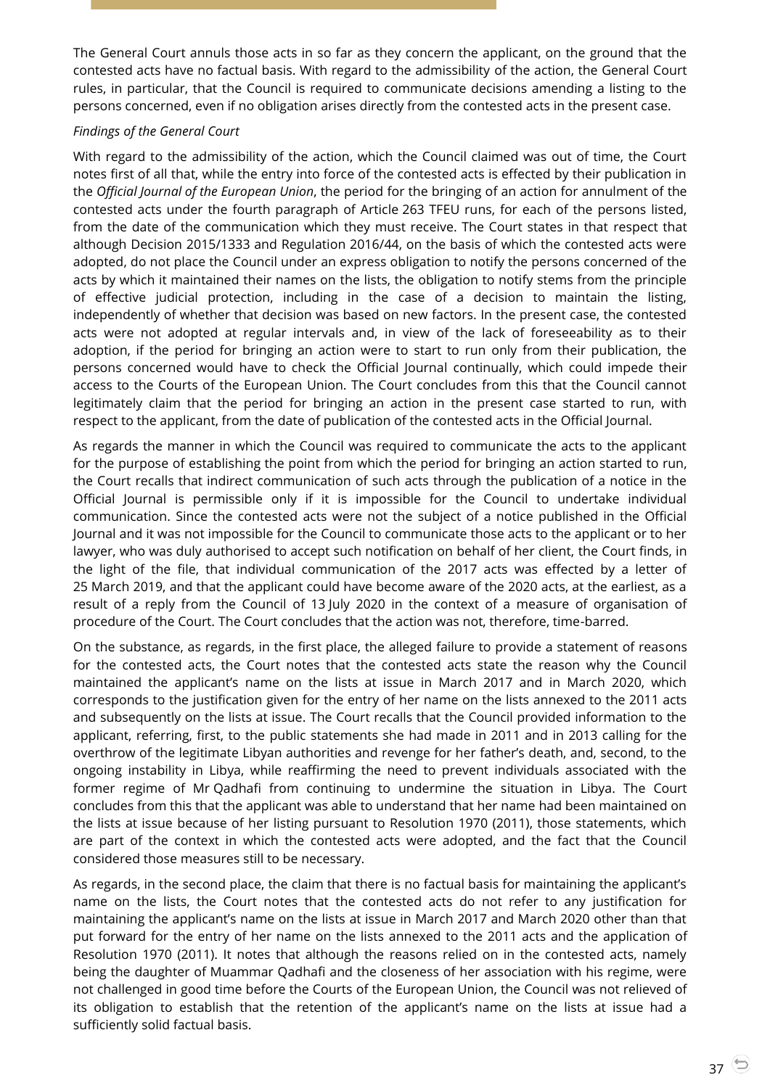The General Court annuls those acts in so far as they concern the applicant, on the ground that the contested acts have no factual basis. With regard to the admissibility of the action, the General Court rules, in particular, that the Council is required to communicate decisions amending a listing to the persons concerned, even if no obligation arises directly from the contested acts in the present case.

#### *Findings of the General Court*

With regard to the admissibility of the action, which the Council claimed was out of time, the Court notes first of all that, while the entry into force of the contested acts is effected by their publication in the *Official Journal of the European Union*, the period for the bringing of an action for annulment of the contested acts under the fourth paragraph of Article 263 TFEU runs, for each of the persons listed, from the date of the communication which they must receive. The Court states in that respect that although Decision 2015/1333 and Regulation 2016/44, on the basis of which the contested acts were adopted, do not place the Council under an express obligation to notify the persons concerned of the acts by which it maintained their names on the lists, the obligation to notify stems from the principle of effective judicial protection, including in the case of a decision to maintain the listing, independently of whether that decision was based on new factors. In the present case, the contested acts were not adopted at regular intervals and, in view of the lack of foreseeability as to their adoption, if the period for bringing an action were to start to run only from their publication, the persons concerned would have to check the Official Journal continually, which could impede their access to the Courts of the European Union. The Court concludes from this that the Council cannot legitimately claim that the period for bringing an action in the present case started to run, with respect to the applicant, from the date of publication of the contested acts in the Official Journal.

As regards the manner in which the Council was required to communicate the acts to the applicant for the purpose of establishing the point from which the period for bringing an action started to run, the Court recalls that indirect communication of such acts through the publication of a notice in the Official Journal is permissible only if it is impossible for the Council to undertake individual communication. Since the contested acts were not the subject of a notice published in the Official Journal and it was not impossible for the Council to communicate those acts to the applicant or to her lawyer, who was duly authorised to accept such notification on behalf of her client, the Court finds, in the light of the file, that individual communication of the 2017 acts was effected by a letter of 25 March 2019, and that the applicant could have become aware of the 2020 acts, at the earliest, as a result of a reply from the Council of 13 July 2020 in the context of a measure of organisation of procedure of the Court. The Court concludes that the action was not, therefore, time-barred.

On the substance, as regards, in the first place, the alleged failure to provide a statement of reasons for the contested acts, the Court notes that the contested acts state the reason why the Council maintained the applicant's name on the lists at issue in March 2017 and in March 2020, which corresponds to the justification given for the entry of her name on the lists annexed to the 2011 acts and subsequently on the lists at issue. The Court recalls that the Council provided information to the applicant, referring, first, to the public statements she had made in 2011 and in 2013 calling for the overthrow of the legitimate Libyan authorities and revenge for her father's death, and, second, to the ongoing instability in Libya, while reaffirming the need to prevent individuals associated with the former regime of Mr Qadhafi from continuing to undermine the situation in Libya. The Court concludes from this that the applicant was able to understand that her name had been maintained on the lists at issue because of her listing pursuant to Resolution 1970 (2011), those statements, which are part of the context in which the contested acts were adopted, and the fact that the Council considered those measures still to be necessary.

As regards, in the second place, the claim that there is no factual basis for maintaining the applicant's name on the lists, the Court notes that the contested acts do not refer to any justification for maintaining the applicant's name on the lists at issue in March 2017 and March 2020 other than that put forward for the entry of her name on the lists annexed to the 2011 acts and the application of Resolution 1970 (2011). It notes that although the reasons relied on in the contested acts, namely being the daughter of Muammar Qadhafi and the closeness of her association with his regime, were not challenged in good time before the Courts of the European Union, the Council was not relieved of its obligation to establish that the retention of the applicant's name on the lists at issue had a sufficiently solid factual basis.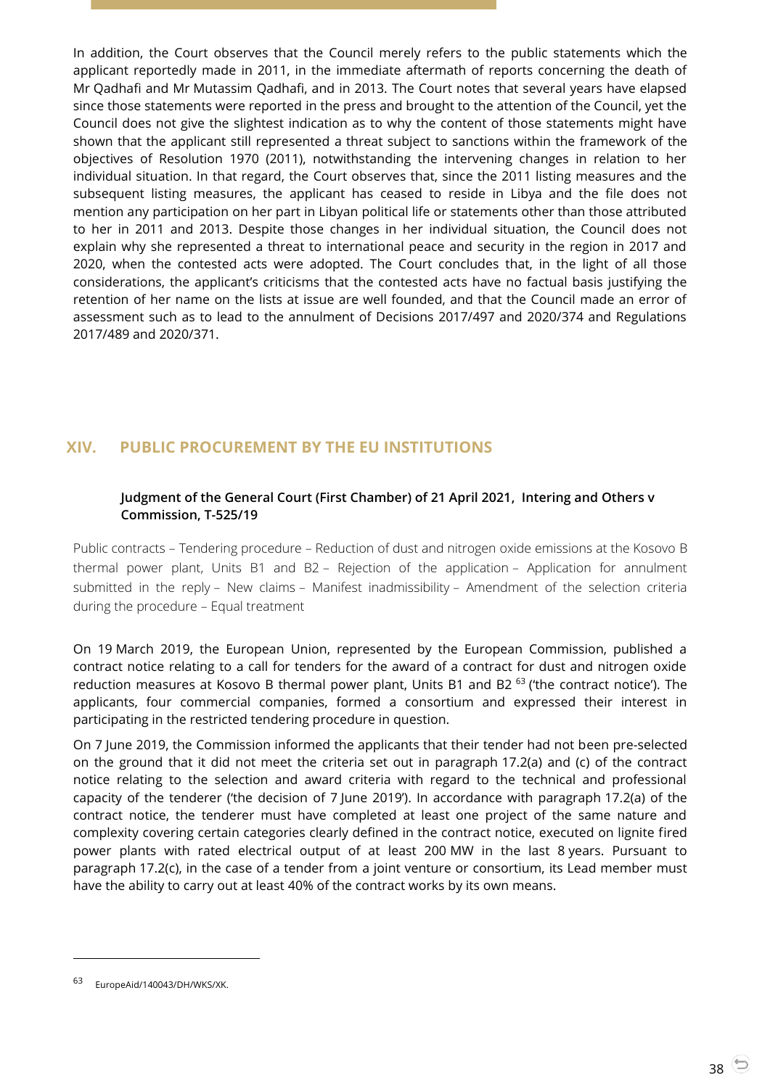In addition, the Court observes that the Council merely refers to the public statements which the applicant reportedly made in 2011, in the immediate aftermath of reports concerning the death of Mr Qadhafi and Mr Mutassim Qadhafi, and in 2013. The Court notes that several years have elapsed since those statements were reported in the press and brought to the attention of the Council, yet the Council does not give the slightest indication as to why the content of those statements might have shown that the applicant still represented a threat subject to sanctions within the framework of the objectives of Resolution 1970 (2011), notwithstanding the intervening changes in relation to her individual situation. In that regard, the Court observes that, since the 2011 listing measures and the subsequent listing measures, the applicant has ceased to reside in Libya and the file does not mention any participation on her part in Libyan political life or statements other than those attributed to her in 2011 and 2013. Despite those changes in her individual situation, the Council does not explain why she represented a threat to international peace and security in the region in 2017 and 2020, when the contested acts were adopted. The Court concludes that, in the light of all those considerations, the applicant's criticisms that the contested acts have no factual basis justifying the retention of her name on the lists at issue are well founded, and that the Council made an error of assessment such as to lead to the annulment of Decisions 2017/497 and 2020/374 and Regulations 2017/489 and 2020/371.

# <span id="page-37-1"></span><span id="page-37-0"></span>**XIV. PUBLIC PROCUREMENT BY THE EU INSTITUTIONS**

## **Judgment of the General Court (First Chamber) of 21 April 2021, Intering and Others v Commission, T-525/19**

Public contracts – Tendering procedure – Reduction of dust and nitrogen oxide emissions at the Kosovo B thermal power plant, Units B1 and B2 – Rejection of the application – Application for annulment submitted in the reply – New claims – Manifest inadmissibility – Amendment of the selection criteria during the procedure – Equal treatment

On 19 March 2019, the European Union, represented by the European Commission, published a contract notice relating to a call for tenders for the award of a contract for dust and nitrogen oxide reduction measures at Kosovo B thermal power plant, Units B1 and B2<sup>63</sup> ('the contract notice'). The applicants, four commercial companies, formed a consortium and expressed their interest in participating in the restricted tendering procedure in question.

On 7 June 2019, the Commission informed the applicants that their tender had not been pre-selected on the ground that it did not meet the criteria set out in paragraph 17.2(a) and (c) of the contract notice relating to the selection and award criteria with regard to the technical and professional capacity of the tenderer ('the decision of 7 June 2019'). In accordance with paragraph 17.2(a) of the contract notice, the tenderer must have completed at least one project of the same nature and complexity covering certain categories clearly defined in the contract notice, executed on lignite fired power plants with rated electrical output of at least 200 MW in the last 8 years. Pursuant to paragraph 17.2(c), in the case of a tender from a joint venture or consortium, its Lead member must have the ability to carry out at least 40% of the contract works by its own means.

EuropeAid/140043/DH/WKS/XK.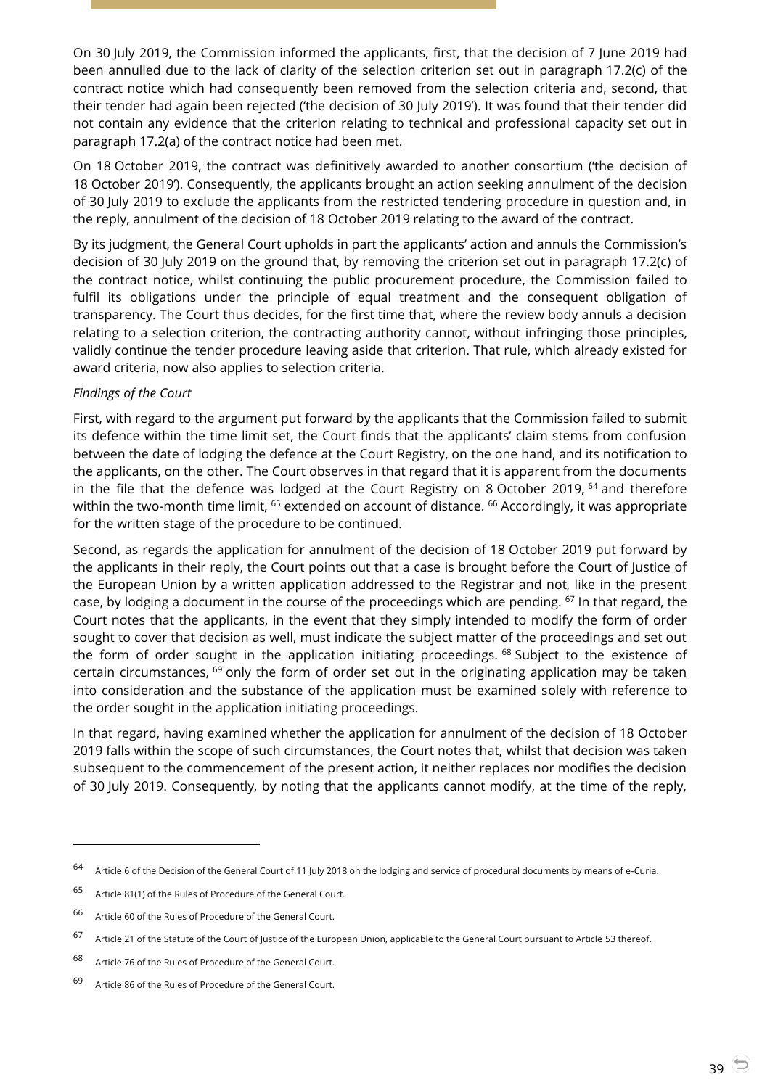On 30 July 2019, the Commission informed the applicants, first, that the decision of 7 June 2019 had been annulled due to the lack of clarity of the selection criterion set out in paragraph 17.2(c) of the contract notice which had consequently been removed from the selection criteria and, second, that their tender had again been rejected ('the decision of 30 July 2019'). It was found that their tender did not contain any evidence that the criterion relating to technical and professional capacity set out in paragraph 17.2(a) of the contract notice had been met.

On 18 October 2019, the contract was definitively awarded to another consortium ('the decision of 18 October 2019'). Consequently, the applicants brought an action seeking annulment of the decision of 30 July 2019 to exclude the applicants from the restricted tendering procedure in question and, in the reply, annulment of the decision of 18 October 2019 relating to the award of the contract.

By its judgment, the General Court upholds in part the applicants' action and annuls the Commission's decision of 30 July 2019 on the ground that, by removing the criterion set out in paragraph 17.2(c) of the contract notice, whilst continuing the public procurement procedure, the Commission failed to fulfil its obligations under the principle of equal treatment and the consequent obligation of transparency. The Court thus decides, for the first time that, where the review body annuls a decision relating to a selection criterion, the contracting authority cannot, without infringing those principles, validly continue the tender procedure leaving aside that criterion. That rule, which already existed for award criteria, now also applies to selection criteria.

#### *Findings of the Court*

First, with regard to the argument put forward by the applicants that the Commission failed to submit its defence within the time limit set, the Court finds that the applicants' claim stems from confusion between the date of lodging the defence at the Court Registry, on the one hand, and its notification to the applicants, on the other. The Court observes in that regard that it is apparent from the documents in the file that the defence was lodged at the Court Registry on 8 October 2019, <sup>64</sup> and therefore within the two-month time limit, <sup>65</sup> extended on account of distance. <sup>66</sup> Accordingly, it was appropriate for the written stage of the procedure to be continued.

Second, as regards the application for annulment of the decision of 18 October 2019 put forward by the applicants in their reply, the Court points out that a case is brought before the Court of Justice of the European Union by a written application addressed to the Registrar and not, like in the present case, by lodging a document in the course of the proceedings which are pending. <sup>67</sup> In that regard, the Court notes that the applicants, in the event that they simply intended to modify the form of order sought to cover that decision as well, must indicate the subject matter of the proceedings and set out the form of order sought in the application initiating proceedings. <sup>68</sup> Subject to the existence of certain circumstances, <sup>69</sup> only the form of order set out in the originating application may be taken into consideration and the substance of the application must be examined solely with reference to the order sought in the application initiating proceedings.

In that regard, having examined whether the application for annulment of the decision of 18 October 2019 falls within the scope of such circumstances, the Court notes that, whilst that decision was taken subsequent to the commencement of the present action, it neither replaces nor modifies the decision of 30 July 2019. Consequently, by noting that the applicants cannot modify, at the time of the reply,

<sup>64</sup> Article <sup>6</sup> of the Decision of the General Court of 11 July 2018 on the lodging and service of procedural documents by means of e-Curia.

<sup>65</sup> Article 81(1) of the Rules of Procedure of the General Court.

<sup>66</sup> Article 60 of the Rules of Procedure of the General Court.

 $67$  Article 21 of the Statute of the Court of Justice of the European Union, applicable to the General Court pursuant to Article 53 thereof.

<sup>68</sup> Article 76 of the Rules of Procedure of the General Court.

<sup>69</sup> Article 86 of the Rules of Procedure of the General Court.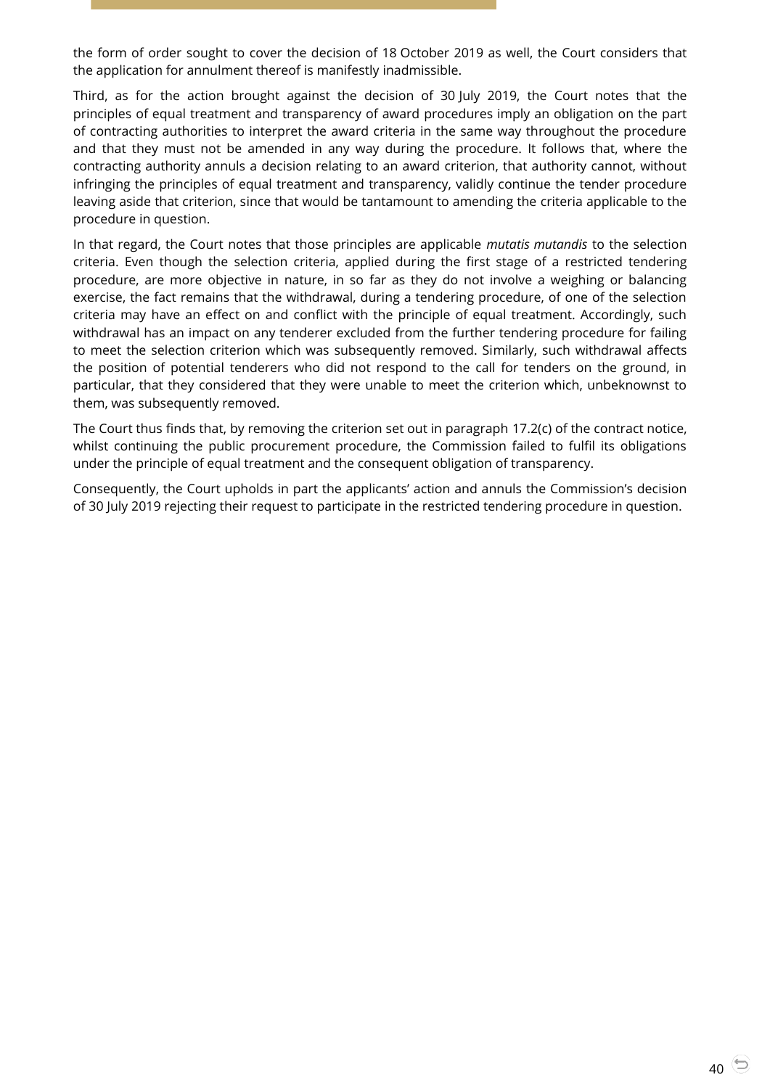the form of order sought to cover the decision of 18 October 2019 as well, the Court considers that the application for annulment thereof is manifestly inadmissible.

Third, as for the action brought against the decision of 30 July 2019, the Court notes that the principles of equal treatment and transparency of award procedures imply an obligation on the part of contracting authorities to interpret the award criteria in the same way throughout the procedure and that they must not be amended in any way during the procedure. It follows that, where the contracting authority annuls a decision relating to an award criterion, that authority cannot, without infringing the principles of equal treatment and transparency, validly continue the tender procedure leaving aside that criterion, since that would be tantamount to amending the criteria applicable to the procedure in question.

In that regard, the Court notes that those principles are applicable *mutatis mutandis* to the selection criteria. Even though the selection criteria, applied during the first stage of a restricted tendering procedure, are more objective in nature, in so far as they do not involve a weighing or balancing exercise, the fact remains that the withdrawal, during a tendering procedure, of one of the selection criteria may have an effect on and conflict with the principle of equal treatment. Accordingly, such withdrawal has an impact on any tenderer excluded from the further tendering procedure for failing to meet the selection criterion which was subsequently removed. Similarly, such withdrawal affects the position of potential tenderers who did not respond to the call for tenders on the ground, in particular, that they considered that they were unable to meet the criterion which, unbeknownst to them, was subsequently removed.

The Court thus finds that, by removing the criterion set out in paragraph 17.2(c) of the contract notice, whilst continuing the public procurement procedure, the Commission failed to fulfil its obligations under the principle of equal treatment and the consequent obligation of transparency.

Consequently, the Court upholds in part the applicants' action and annuls the Commission's decision of 30 July 2019 rejecting their request to participate in the restricted tendering procedure in question.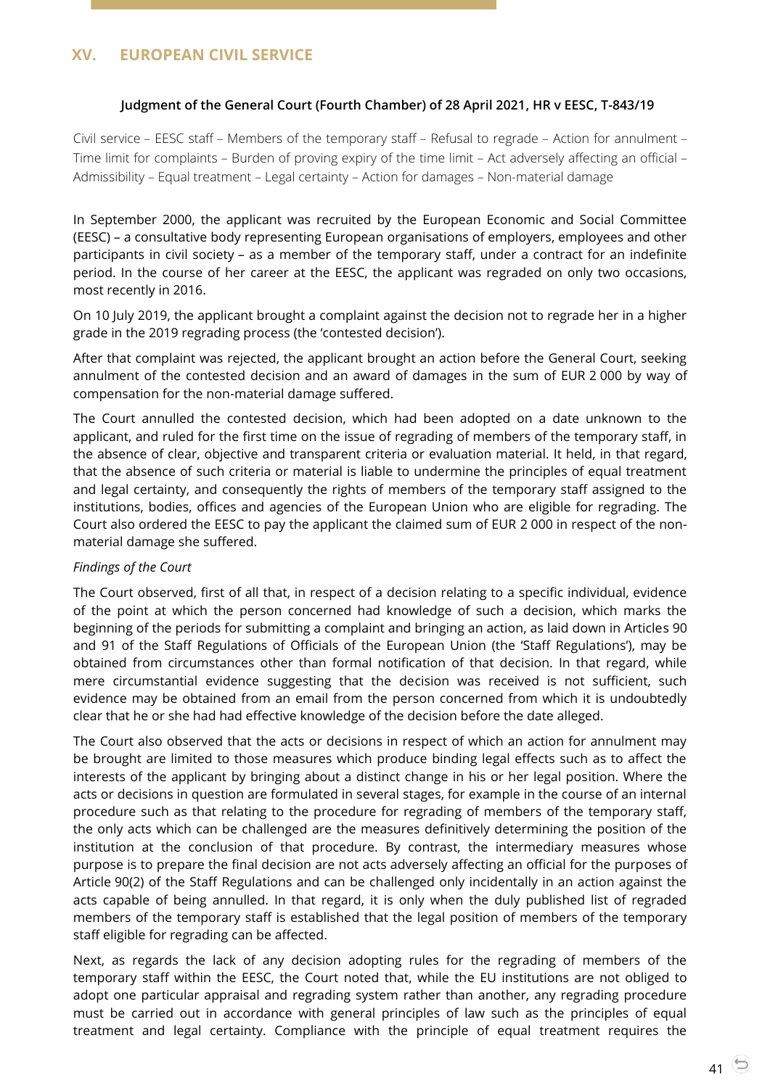#### <span id="page-40-1"></span><span id="page-40-0"></span>**Judgment of the General Court (Fourth Chamber) of 28 April 2021, HR v EESC, T-843/19**

Civil service – EESC staff – Members of the temporary staff – Refusal to regrade – Action for annulment – Time limit for complaints – Burden of proving expiry of the time limit – Act adversely affecting an official – Admissibility – Equal treatment – Legal certainty – Action for damages – Non-material damage

In September 2000, the applicant was recruited by the European Economic and Social Committee (EESC) – a consultative body representing European organisations of employers, employees and other participants in civil society – as a member of the temporary staff, under a contract for an indefinite period. In the course of her career at the EESC, the applicant was regraded on only two occasions, most recently in 2016.

On 10 July 2019, the applicant brought a complaint against the decision not to regrade her in a higher grade in the 2019 regrading process (the 'contested decision').

After that complaint was rejected, the applicant brought an action before the General Court, seeking annulment of the contested decision and an award of damages in the sum of EUR 2 000 by way of compensation for the non-material damage suffered.

The Court annulled the contested decision, which had been adopted on a date unknown to the applicant, and ruled for the first time on the issue of regrading of members of the temporary staff, in the absence of clear, objective and transparent criteria or evaluation material. It held, in that regard, that the absence of such criteria or material is liable to undermine the principles of equal treatment and legal certainty, and consequently the rights of members of the temporary staff assigned to the institutions, bodies, offices and agencies of the European Union who are eligible for regrading. The Court also ordered the EESC to pay the applicant the claimed sum of EUR 2 000 in respect of the nonmaterial damage she suffered.

#### *Findings of the Court*

The Court observed, first of all that, in respect of a decision relating to a specific individual, evidence of the point at which the person concerned had knowledge of such a decision, which marks the beginning of the periods for submitting a complaint and bringing an action, as laid down in Articles 90 and 91 of the Staff Regulations of Officials of the European Union (the 'Staff Regulations'), may be obtained from circumstances other than formal notification of that decision. In that regard, while mere circumstantial evidence suggesting that the decision was received is not sufficient, such evidence may be obtained from an email from the person concerned from which it is undoubtedly clear that he or she had had effective knowledge of the decision before the date alleged.

The Court also observed that the acts or decisions in respect of which an action for annulment may be brought are limited to those measures which produce binding legal effects such as to affect the interests of the applicant by bringing about a distinct change in his or her legal position. Where the acts or decisions in question are formulated in several stages, for example in the course of an internal procedure such as that relating to the procedure for regrading of members of the temporary staff, the only acts which can be challenged are the measures definitively determining the position of the institution at the conclusion of that procedure. By contrast, the intermediary measures whose purpose is to prepare the final decision are not acts adversely affecting an official for the purposes of Article 90(2) of the Staff Regulations and can be challenged only incidentally in an action against the acts capable of being annulled. In that regard, it is only when the duly published list of regraded members of the temporary staff is established that the legal position of members of the temporary staff eligible for regrading can be affected.

Next, as regards the lack of any decision adopting rules for the regrading of members of the temporary staff within the EESC, the Court noted that, while the EU institutions are not obliged to adopt one particular appraisal and regrading system rather than another, any regrading procedure must be carried out in accordance with general principles of law such as the principles of equal treatment and legal certainty. Compliance with the principle of equal treatment requires the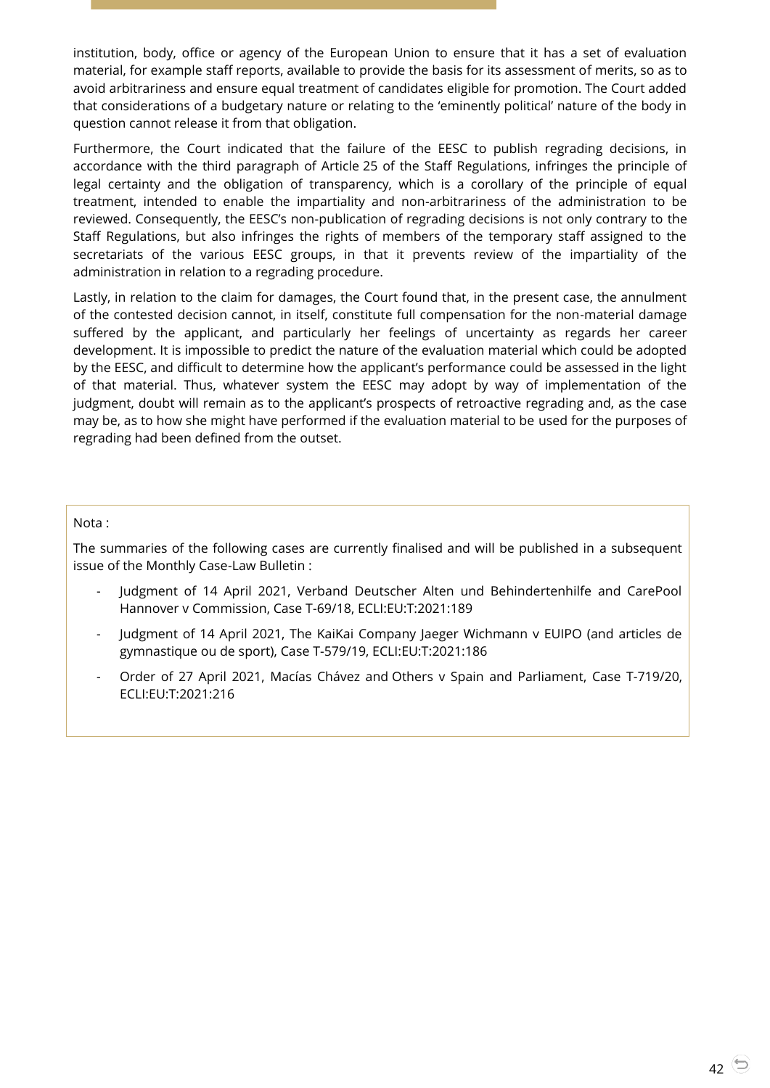institution, body, office or agency of the European Union to ensure that it has a set of evaluation material, for example staff reports, available to provide the basis for its assessment of merits, so as to avoid arbitrariness and ensure equal treatment of candidates eligible for promotion. The Court added that considerations of a budgetary nature or relating to the 'eminently political' nature of the body in question cannot release it from that obligation.

Furthermore, the Court indicated that the failure of the EESC to publish regrading decisions, in accordance with the third paragraph of Article 25 of the Staff Regulations, infringes the principle of legal certainty and the obligation of transparency, which is a corollary of the principle of equal treatment, intended to enable the impartiality and non-arbitrariness of the administration to be reviewed. Consequently, the EESC's non-publication of regrading decisions is not only contrary to the Staff Regulations, but also infringes the rights of members of the temporary staff assigned to the secretariats of the various EESC groups, in that it prevents review of the impartiality of the administration in relation to a regrading procedure.

Lastly, in relation to the claim for damages, the Court found that, in the present case, the annulment of the contested decision cannot, in itself, constitute full compensation for the non-material damage suffered by the applicant, and particularly her feelings of uncertainty as regards her career development. It is impossible to predict the nature of the evaluation material which could be adopted by the EESC, and difficult to determine how the applicant's performance could be assessed in the light of that material. Thus, whatever system the EESC may adopt by way of implementation of the judgment, doubt will remain as to the applicant's prospects of retroactive regrading and, as the case may be, as to how she might have performed if the evaluation material to be used for the purposes of regrading had been defined from the outset.

Nota :

The summaries of the following cases are currently finalised and will be published in a subsequent issue of the Monthly Case-Law Bulletin :

- Judgment of 14 April 2021, Verband Deutscher Alten und Behindertenhilfe and CarePool Hannover v Commission, Case T-69/18, ECLI:EU:T:2021:189
- Judgment of 14 April 2021, The KaiKai Company Jaeger Wichmann v EUIPO (and articles de gymnastique ou de sport), Case T-579/19, ECLI:EU:T:2021:186
- Order of 27 April 2021, Macías Chávez and Others v Spain and Parliament, Case T-719/20, ECLI:EU:T:2021:216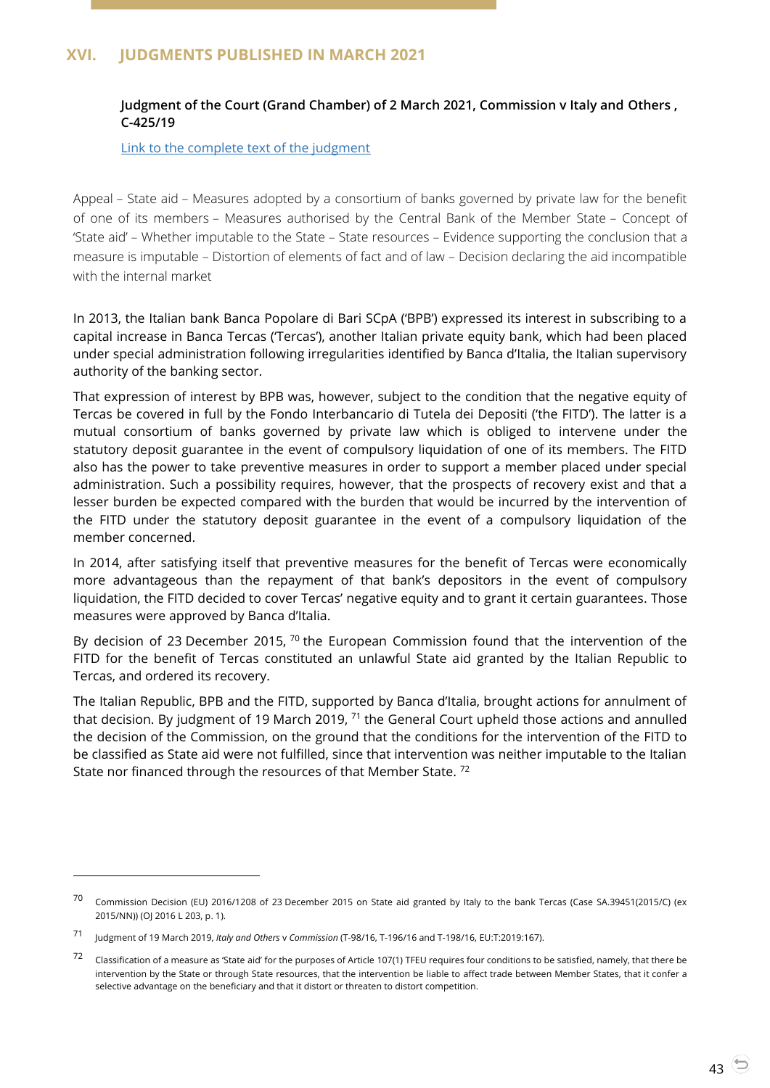# <span id="page-42-1"></span><span id="page-42-0"></span>**XVI. JUDGMENTS PUBLISHED IN MARCH 2021**

## **Judgment of the Court (Grand Chamber) of 2 March 2021, Commission v Italy and Others , C-425/19**

[Link to the complete text of the judgment](https://curia.europa.eu/juris/document/document.jsf?text=&docid=238383&pageIndex=0&doclang=EN&mode=lst&dir=&occ=first&part=1&cid=4625312)

Appeal – State aid – Measures adopted by a consortium of banks governed by private law for the benefit of one of its members – Measures authorised by the Central Bank of the Member State – Concept of 'State aid' – Whether imputable to the State – State resources – Evidence supporting the conclusion that a measure is imputable – Distortion of elements of fact and of law – Decision declaring the aid incompatible with the internal market

In 2013, the Italian bank Banca Popolare di Bari SCpA ('BPB') expressed its interest in subscribing to a capital increase in Banca Tercas ('Tercas'), another Italian private equity bank, which had been placed under special administration following irregularities identified by Banca d'Italia, the Italian supervisory authority of the banking sector.

That expression of interest by BPB was, however, subject to the condition that the negative equity of Tercas be covered in full by the Fondo Interbancario di Tutela dei Depositi ('the FITD'). The latter is a mutual consortium of banks governed by private law which is obliged to intervene under the statutory deposit guarantee in the event of compulsory liquidation of one of its members. The FITD also has the power to take preventive measures in order to support a member placed under special administration. Such a possibility requires, however, that the prospects of recovery exist and that a lesser burden be expected compared with the burden that would be incurred by the intervention of the FITD under the statutory deposit guarantee in the event of a compulsory liquidation of the member concerned.

In 2014, after satisfying itself that preventive measures for the benefit of Tercas were economically more advantageous than the repayment of that bank's depositors in the event of compulsory liquidation, the FITD decided to cover Tercas' negative equity and to grant it certain guarantees. Those measures were approved by Banca d'Italia.

By decision of 23 December 2015,  $70$  the European Commission found that the intervention of the FITD for the benefit of Tercas constituted an unlawful State aid granted by the Italian Republic to Tercas, and ordered its recovery.

The Italian Republic, BPB and the FITD, supported by Banca d'Italia, brought actions for annulment of that decision. By judgment of 19 March 2019,  $71$  the General Court upheld those actions and annulled the decision of the Commission, on the ground that the conditions for the intervention of the FITD to be classified as State aid were not fulfilled, since that intervention was neither imputable to the Italian State nor financed through the resources of that Member State. <sup>72</sup>

-

<sup>70</sup> Commission Decision (EU) 2016/1208 of 23 December 2015 on State aid granted by Italy to the bank Tercas (Case SA.39451(2015/C) (ex 2015/NN)) (OJ 2016 L 203, p. 1).

<sup>71</sup> Judgment of 19 March 2019, *Italy and Others* <sup>v</sup>*Commission* (T-98/16, T-196/16 and T-198/16, EU:T:2019:167).

<sup>72</sup> Classification of a measure as 'State aid' for the purposes of Article 107(1) TFEU requires four conditions to be satisfied, namely, that there be intervention by the State or through State resources, that the intervention be liable to affect trade between Member States, that it confer a selective advantage on the beneficiary and that it distort or threaten to distort competition.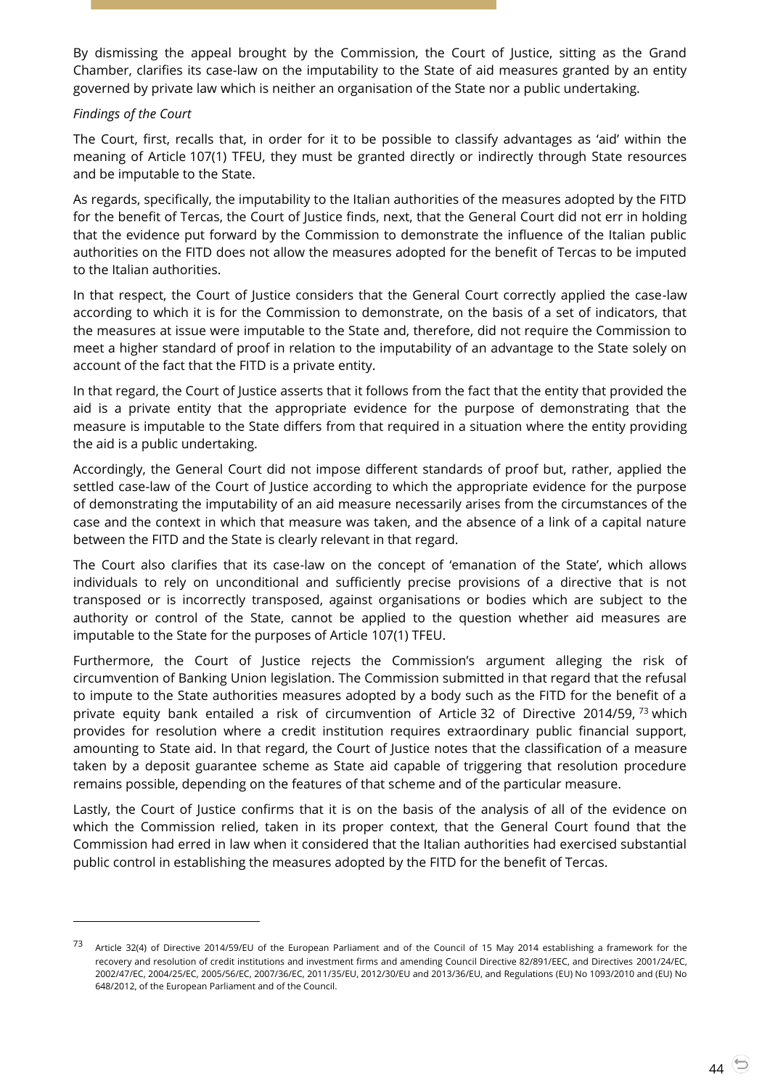By dismissing the appeal brought by the Commission, the Court of Justice, sitting as the Grand Chamber, clarifies its case-law on the imputability to the State of aid measures granted by an entity governed by private law which is neither an organisation of the State nor a public undertaking.

#### *Findings of the Court*

-

The Court, first, recalls that, in order for it to be possible to classify advantages as 'aid' within the meaning of Article 107(1) TFEU, they must be granted directly or indirectly through State resources and be imputable to the State.

As regards, specifically, the imputability to the Italian authorities of the measures adopted by the FITD for the benefit of Tercas, the Court of Justice finds, next, that the General Court did not err in holding that the evidence put forward by the Commission to demonstrate the influence of the Italian public authorities on the FITD does not allow the measures adopted for the benefit of Tercas to be imputed to the Italian authorities.

In that respect, the Court of Justice considers that the General Court correctly applied the case-law according to which it is for the Commission to demonstrate, on the basis of a set of indicators, that the measures at issue were imputable to the State and, therefore, did not require the Commission to meet a higher standard of proof in relation to the imputability of an advantage to the State solely on account of the fact that the FITD is a private entity.

In that regard, the Court of Justice asserts that it follows from the fact that the entity that provided the aid is a private entity that the appropriate evidence for the purpose of demonstrating that the measure is imputable to the State differs from that required in a situation where the entity providing the aid is a public undertaking.

Accordingly, the General Court did not impose different standards of proof but, rather, applied the settled case-law of the Court of Justice according to which the appropriate evidence for the purpose of demonstrating the imputability of an aid measure necessarily arises from the circumstances of the case and the context in which that measure was taken, and the absence of a link of a capital nature between the FITD and the State is clearly relevant in that regard.

The Court also clarifies that its case-law on the concept of 'emanation of the State', which allows individuals to rely on unconditional and sufficiently precise provisions of a directive that is not transposed or is incorrectly transposed, against organisations or bodies which are subject to the authority or control of the State, cannot be applied to the question whether aid measures are imputable to the State for the purposes of Article 107(1) TFEU.

Furthermore, the Court of Justice rejects the Commission's argument alleging the risk of circumvention of Banking Union legislation. The Commission submitted in that regard that the refusal to impute to the State authorities measures adopted by a body such as the FITD for the benefit of a private equity bank entailed a risk of circumvention of Article 32 of Directive 2014/59, <sup>73</sup> which provides for resolution where a credit institution requires extraordinary public financial support, amounting to State aid. In that regard, the Court of Justice notes that the classification of a measure taken by a deposit guarantee scheme as State aid capable of triggering that resolution procedure remains possible, depending on the features of that scheme and of the particular measure.

Lastly, the Court of Justice confirms that it is on the basis of the analysis of all of the evidence on which the Commission relied, taken in its proper context, that the General Court found that the Commission had erred in law when it considered that the Italian authorities had exercised substantial public control in establishing the measures adopted by the FITD for the benefit of Tercas.

<sup>73</sup> Article 32(4) of Directive 2014/59/EU of the European Parliament and of the Council of 15 May 2014 establishing a framework for the recovery and resolution of credit institutions and investment firms and amending Council Directive 82/891/EEC, and Directives 2001/24/EC, 2002/47/EC, 2004/25/EC, 2005/56/EC, 2007/36/EC, 2011/35/EU, 2012/30/EU and 2013/36/EU, and Regulations (EU) No 1093/2010 and (EU) No 648/2012, of the European Parliament and of the Council.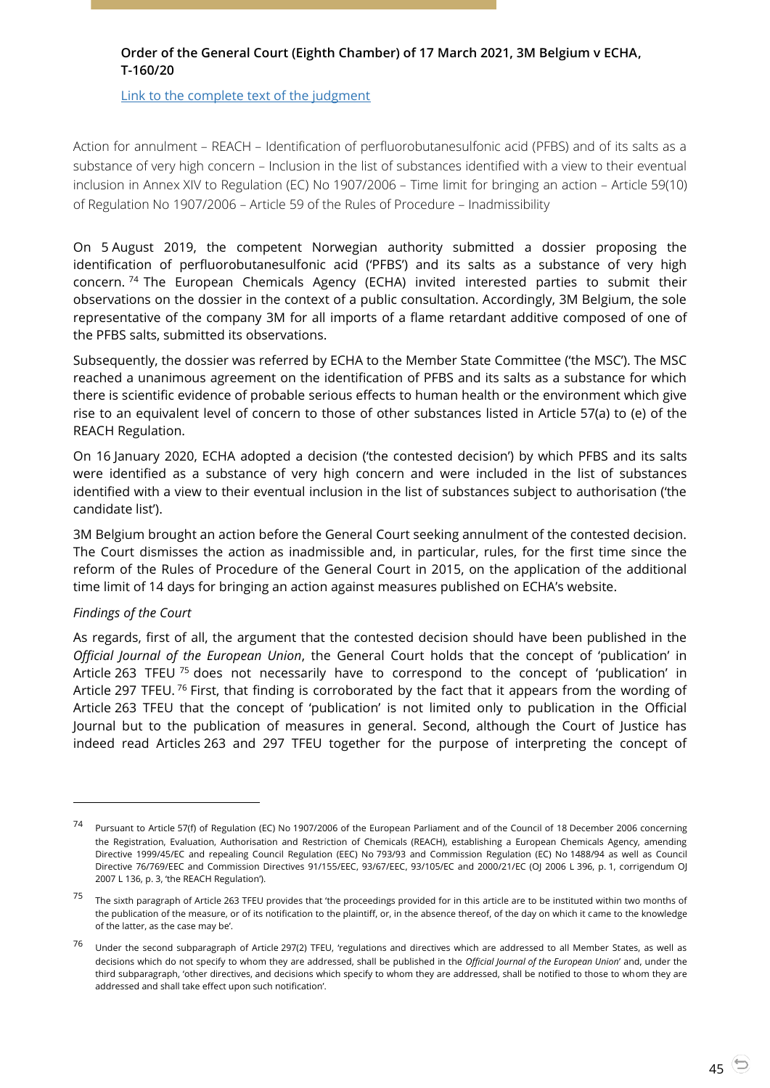# <span id="page-44-0"></span>**Order of the General Court (Eighth Chamber) of 17 March 2021, 3M Belgium v ECHA, T-160/20**

[Link to the complete text of the judgment](https://curia.europa.eu/juris/document/document.jsf?text=&docid=239021&pageIndex=0&doclang=EN&mode=lst&dir=&occ=first&part=1&cid=4560020)

Action for annulment – REACH – Identification of perfluorobutanesulfonic acid (PFBS) and of its salts as a substance of very high concern – Inclusion in the list of substances identified with a view to their eventual inclusion in Annex XIV to Regulation (EC) No 1907/2006 – Time limit for bringing an action – Article 59(10) of Regulation No 1907/2006 – Article 59 of the Rules of Procedure – Inadmissibility

On 5 August 2019, the competent Norwegian authority submitted a dossier proposing the identification of perfluorobutanesulfonic acid ('PFBS') and its salts as a substance of very high concern. <sup>74</sup> The European Chemicals Agency (ECHA) invited interested parties to submit their observations on the dossier in the context of a public consultation. Accordingly, 3M Belgium, the sole representative of the company 3M for all imports of a flame retardant additive composed of one of the PFBS salts, submitted its observations.

Subsequently, the dossier was referred by ECHA to the Member State Committee ('the MSC'). The MSC reached a unanimous agreement on the identification of PFBS and its salts as a substance for which there is scientific evidence of probable serious effects to human health or the environment which give rise to an equivalent level of concern to those of other substances listed in Article 57(a) to (e) of the REACH Regulation.

On 16 January 2020, ECHA adopted a decision ('the contested decision') by which PFBS and its salts were identified as a substance of very high concern and were included in the list of substances identified with a view to their eventual inclusion in the list of substances subject to authorisation ('the candidate list').

3M Belgium brought an action before the General Court seeking annulment of the contested decision. The Court dismisses the action as inadmissible and, in particular, rules, for the first time since the reform of the Rules of Procedure of the General Court in 2015, on the application of the additional time limit of 14 days for bringing an action against measures published on ECHA's website.

## *Findings of the Court*

 $\overline{a}$ 

As regards, first of all, the argument that the contested decision should have been published in the *Official Journal of the European Union*, the General Court holds that the concept of 'publication' in Article 263 TFEU <sup>75</sup> does not necessarily have to correspond to the concept of 'publication' in Article 297 TFEU. <sup>76</sup> First, that finding is corroborated by the fact that it appears from the wording of Article 263 TFEU that the concept of 'publication' is not limited only to publication in the Official Journal but to the publication of measures in general. Second, although the Court of Justice has indeed read Articles 263 and 297 TFEU together for the purpose of interpreting the concept of

<sup>74</sup> Pursuant to Article 57(f) of Regulation (EC) No 1907/2006 of the European Parliament and of the Council of 18 December 2006 concerning the Registration, Evaluation, Authorisation and Restriction of Chemicals (REACH), establishing a European Chemicals Agency, amending Directive 1999/45/EC and repealing Council Regulation (EEC) No 793/93 and Commission Regulation (EC) No 1488/94 as well as Council Directive 76/769/EEC and Commission Directives 91/155/EEC, 93/67/EEC, 93/105/EC and 2000/21/EC (OJ 2006 L 396, p. 1, corrigendum OJ 2007 L 136, p. 3, 'the REACH Regulation').

 $75$  The sixth paragraph of Article 263 TFEU provides that 'the proceedings provided for in this article are to be instituted within two months of the publication of the measure, or of its notification to the plaintiff, or, in the absence thereof, of the day on which it came to the knowledge of the latter, as the case may be'.

<sup>76</sup> Under the second subparagraph of Article 297(2) TFEU, 'regulations and directives which are addressed to all Member States, as well as decisions which do not specify to whom they are addressed, shall be published in the *Official Journal of the European Union*' and, under the third subparagraph, 'other directives, and decisions which specify to whom they are addressed, shall be notified to those to whom they are addressed and shall take effect upon such notification'.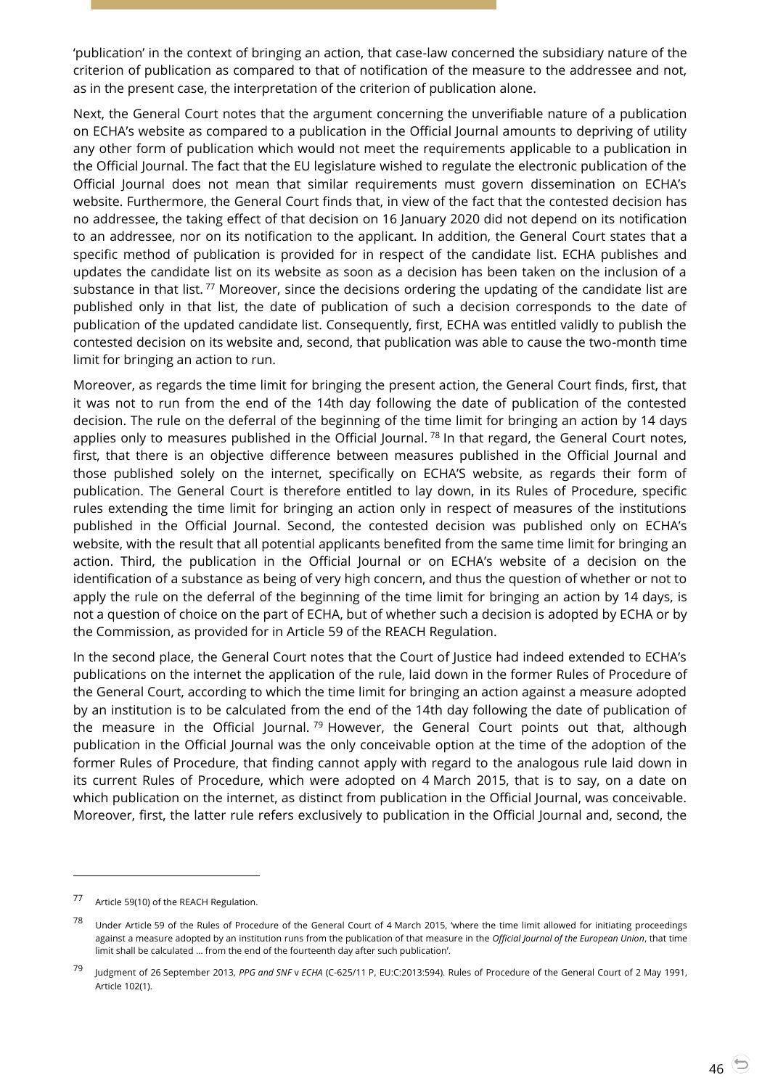'publication' in the context of bringing an action, that case-law concerned the subsidiary nature of the criterion of publication as compared to that of notification of the measure to the addressee and not, as in the present case, the interpretation of the criterion of publication alone.

Next, the General Court notes that the argument concerning the unverifiable nature of a publication on ECHA's website as compared to a publication in the Official Journal amounts to depriving of utility any other form of publication which would not meet the requirements applicable to a publication in the Official Journal. The fact that the EU legislature wished to regulate the electronic publication of the Official Journal does not mean that similar requirements must govern dissemination on ECHA's website. Furthermore, the General Court finds that, in view of the fact that the contested decision has no addressee, the taking effect of that decision on 16 January 2020 did not depend on its notification to an addressee, nor on its notification to the applicant. In addition, the General Court states that a specific method of publication is provided for in respect of the candidate list. ECHA publishes and updates the candidate list on its website as soon as a decision has been taken on the inclusion of a substance in that list.<sup>77</sup> Moreover, since the decisions ordering the updating of the candidate list are published only in that list, the date of publication of such a decision corresponds to the date of publication of the updated candidate list. Consequently, first, ECHA was entitled validly to publish the contested decision on its website and, second, that publication was able to cause the two-month time limit for bringing an action to run.

Moreover, as regards the time limit for bringing the present action, the General Court finds, first, that it was not to run from the end of the 14th day following the date of publication of the contested decision. The rule on the deferral of the beginning of the time limit for bringing an action by 14 days applies only to measures published in the Official Journal.<sup>78</sup> In that regard, the General Court notes, first, that there is an objective difference between measures published in the Official Journal and those published solely on the internet, specifically on ECHA'S website, as regards their form of publication. The General Court is therefore entitled to lay down, in its Rules of Procedure, specific rules extending the time limit for bringing an action only in respect of measures of the institutions published in the Official Journal. Second, the contested decision was published only on ECHA's website, with the result that all potential applicants benefited from the same time limit for bringing an action. Third, the publication in the Official Journal or on ECHA's website of a decision on the identification of a substance as being of very high concern, and thus the question of whether or not to apply the rule on the deferral of the beginning of the time limit for bringing an action by 14 days, is not a question of choice on the part of ECHA, but of whether such a decision is adopted by ECHA or by the Commission, as provided for in Article 59 of the REACH Regulation.

In the second place, the General Court notes that the Court of Justice had indeed extended to ECHA's publications on the internet the application of the rule, laid down in the former Rules of Procedure of the General Court, according to which the time limit for bringing an action against a measure adopted by an institution is to be calculated from the end of the 14th day following the date of publication of the measure in the Official Journal.<sup>79</sup> However, the General Court points out that, although publication in the Official Journal was the only conceivable option at the time of the adoption of the former Rules of Procedure, that finding cannot apply with regard to the analogous rule laid down in its current Rules of Procedure, which were adopted on 4 March 2015, that is to say, on a date on which publication on the internet, as distinct from publication in the Official Journal, was conceivable. Moreover, first, the latter rule refers exclusively to publication in the Official Journal and, second, the

-

<sup>77</sup> Article 59(10) of the REACH Regulation.

<sup>&</sup>lt;sup>78</sup> Under Article 59 of the Rules of Procedure of the General Court of 4 March 2015, 'where the time limit allowed for initiating proceedings against a measure adopted by an institution runs from the publication of that measure in the *Official Journal of the European Union*, that time limit shall be calculated … from the end of the fourteenth day after such publication'.

<sup>79</sup> Judgment of 26 September 2013, *PPG and SNF* <sup>v</sup> *ECHA* (C-625/11 P, EU:C:2013:594). Rules of Procedure of the General Court of 2 May 1991, Article 102(1).